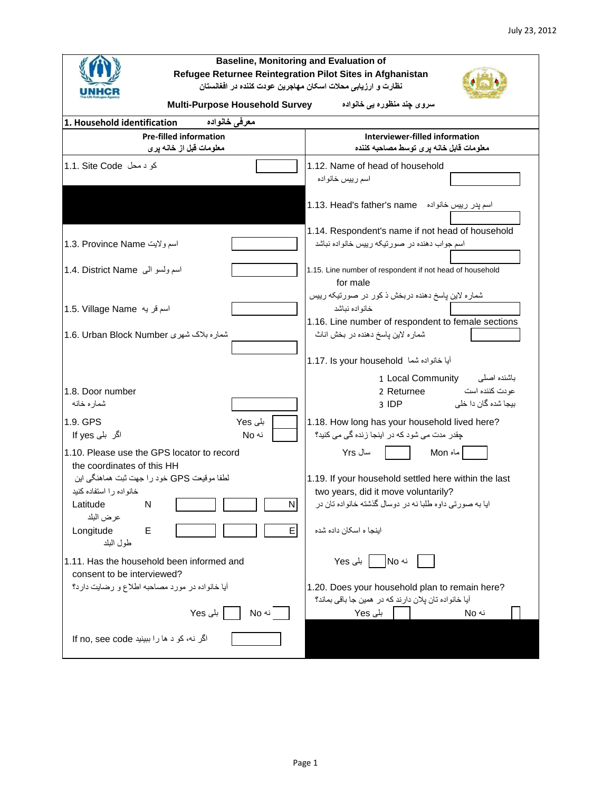| <b>Baseline, Monitoring and Evaluation of</b><br>Refugee Returnee Reintegration Pilot Sites in Afghanistan |                                                                                               |  |  |  |  |  |  |  |  |
|------------------------------------------------------------------------------------------------------------|-----------------------------------------------------------------------------------------------|--|--|--|--|--|--|--|--|
| نظارت و ارزيابي محلات اسكان مهاجرين عودت كننده در افغانستان                                                |                                                                                               |  |  |  |  |  |  |  |  |
| <b>Multi-Purpose Household Survey</b>                                                                      | سروی چند منظورہ یی خانوادہ                                                                    |  |  |  |  |  |  |  |  |
| 1. Household identification<br>معرفى خانواده                                                               |                                                                                               |  |  |  |  |  |  |  |  |
| <b>Pre-filled information</b>                                                                              | Interviewer-filled information                                                                |  |  |  |  |  |  |  |  |
| معلومات قبل از خانـه پر ی                                                                                  | معلومات قابل خانه پرى توسط مصاحبه كننده                                                       |  |  |  |  |  |  |  |  |
| کو د محل 1.1. Site Code                                                                                    | 1.12. Name of head of household                                                               |  |  |  |  |  |  |  |  |
|                                                                                                            | اسم رييس خانو اده                                                                             |  |  |  |  |  |  |  |  |
|                                                                                                            | اسم پدر رییس خانواده   father's name   اسم پدر رییس خانواده                                   |  |  |  |  |  |  |  |  |
|                                                                                                            | 1.14. Respondent's name if not head of household                                              |  |  |  |  |  |  |  |  |
| 1.3. Province Name اسم ولايت                                                                               | اسم جواب دهنده در صورتیکه رییس خانواده نباشد                                                  |  |  |  |  |  |  |  |  |
| اسم ولسو الى 1.4. District Name                                                                            | 1.15. Line number of respondent if not head of household<br>for male                          |  |  |  |  |  |  |  |  |
| 1.5. Village Name اسم قريه                                                                                 | شماره لاین پاسخ دهنده دربخش ذ کور در صورتیکه رییس<br>خانواده نباشد                            |  |  |  |  |  |  |  |  |
|                                                                                                            | 1.16. Line number of respondent to female sections                                            |  |  |  |  |  |  |  |  |
| شماره بلاک شهری 1.6. Urban Block Number                                                                    | شمار ه لاين پاسخ دهنده در بخش اناث                                                            |  |  |  |  |  |  |  |  |
|                                                                                                            |                                                                                               |  |  |  |  |  |  |  |  |
|                                                                                                            | أيا خانواده شما 1.17. Is your household                                                       |  |  |  |  |  |  |  |  |
| 1.8. Door number                                                                                           | 1 Local Community<br>باشنده اصلى<br>عودت كننده است<br>2 Returnee                              |  |  |  |  |  |  |  |  |
| شماره خانه                                                                                                 | بيجا شده گان دا خلي<br>3 IDP                                                                  |  |  |  |  |  |  |  |  |
| 1.9. GPS<br>بلی Yes<br>اگر بلی lf yes<br>نه No                                                             | 1.18. How long has your household lived here?<br>چقدر مدت می شود که در اینجا زنده گی می کنید؟ |  |  |  |  |  |  |  |  |
| 1.10. Please use the GPS locator to record                                                                 | سال Yrs<br>Mon ماه                                                                            |  |  |  |  |  |  |  |  |
| the coordinates of this HH                                                                                 |                                                                                               |  |  |  |  |  |  |  |  |
| لطفا موقیعت GPS خود را جهت ثبت هماهنگی این                                                                 | 1.19. If your household settled here within the last                                          |  |  |  |  |  |  |  |  |
| خانواده را استفاده كنيد                                                                                    | two years, did it move voluntarily?                                                           |  |  |  |  |  |  |  |  |
| N<br>Latitude<br>N                                                                                         | ایا به صورتی داوه طلبا نه در دوسال گذشته خانواده تان در                                       |  |  |  |  |  |  |  |  |
| عر ض البلد<br>E<br>Е<br>Longitude                                                                          | اینجا ه اسکان داده شده                                                                        |  |  |  |  |  |  |  |  |
| طول البلد                                                                                                  |                                                                                               |  |  |  |  |  |  |  |  |
| 1.11. Has the household been informed and<br>consent to be interviewed?                                    | بل <i>ی</i> Yes<br>نه No                                                                      |  |  |  |  |  |  |  |  |
| أيا خانواده در مورد مصاحبه اطلاع و رضايت دارد؟                                                             | 1.20. Does your household plan to remain here?                                                |  |  |  |  |  |  |  |  |
|                                                                                                            | آیا خانواده تان پلان دارند که در همین جا باقی بماند؟                                          |  |  |  |  |  |  |  |  |
| بلی Yes<br>نه No                                                                                           | بلی Yes<br>نه No                                                                              |  |  |  |  |  |  |  |  |
| اگر نه، کو د ها را ببينيد If no, see code                                                                  |                                                                                               |  |  |  |  |  |  |  |  |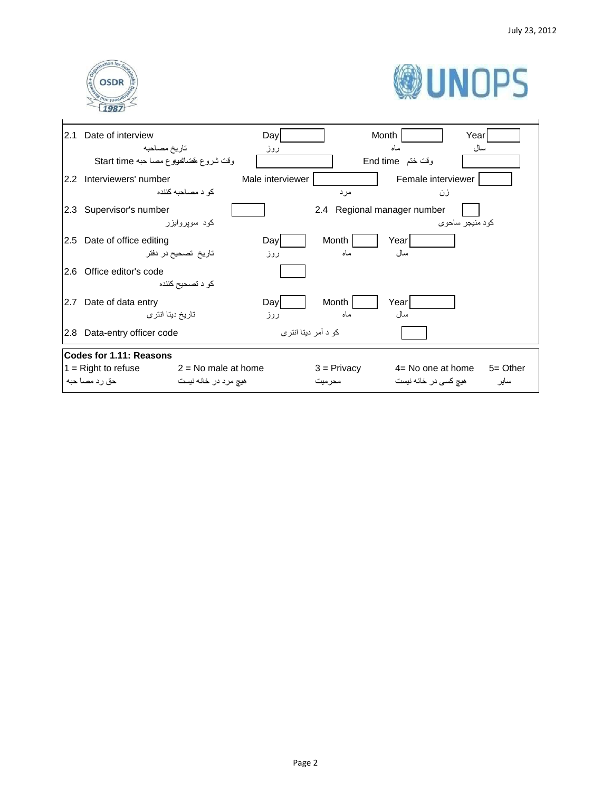



| 2.1 | Date of interview                              | Day              |                             | Month                | Yearl       |
|-----|------------------------------------------------|------------------|-----------------------------|----------------------|-------------|
|     | تاريخ مصاحبه                                   | روز              |                             | ماه                  | سال ،       |
|     | وقت شروع بفضائعولوع مصاحبه Start time          |                  |                             | وقت ختم End time     |             |
|     | 2.2 Interviewers' number                       | Male interviewer |                             | Female interviewer   |             |
|     | کو د مصاحبه کننده                              |                  | مرد                         | زن                   |             |
|     | 2.3 Supervisor's number                        |                  | 2.4 Regional manager number |                      |             |
|     | کود سویروایزر                                  |                  |                             | کو د منيجر ساحو ی    |             |
|     | 2.5 Date of office editing                     | Day              | Month                       | Year                 |             |
|     | تاریخ تصحیح در دفتر                            | روز              | ماه                         | سال                  |             |
| 2.6 | Office editor's code                           |                  |                             |                      |             |
|     | کو د تصحیح کننده                               |                  |                             |                      |             |
| 2.7 | Date of data entry                             | Day              | Month                       | Year                 |             |
|     | تاریخ دیتا انتر ی                              | روز              | ماه                         | سال                  |             |
| 2.8 | Data-entry officer code                        |                  | کو د آمر دیتا انتری         |                      |             |
|     | Codes for 1.11: Reasons                        |                  |                             |                      |             |
|     | $1 =$ Right to refuse<br>$2 = No$ male at home |                  | $3 =$ Privacy               | $4=$ No one at home  | $5 =$ Other |
|     | حق رد مصا حبه<br>هيچ مرد در خانه نيست          |                  | محر میت                     | هیچ کسی در خانه نیست | ساير        |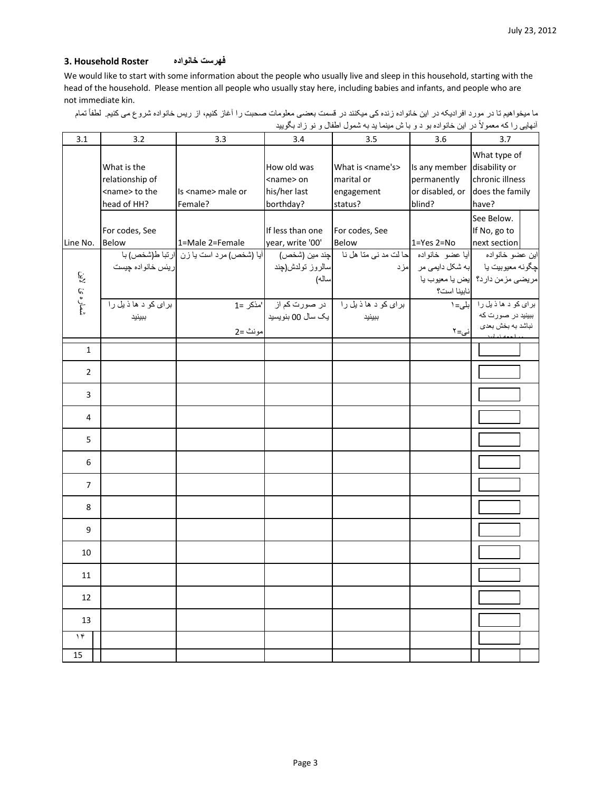#### **فهرست خانواده Roster Household 3.**

We would like to start with some information about the people who usually live and sleep in this household, starting with the head of the household. Please mention all people who usually stay here, including babies and infants, and people who are not immediate kin.

| ما ميخواهيم تا در مورد افراديكه در اين خانواده زنده كي ميكنند در قسمت بعضي معلومات صحبت را أغاز كنيم، از ريس خانواده شروع مي كنيم. لطفأ تمام |  |                                                                                        |  |  |
|----------------------------------------------------------------------------------------------------------------------------------------------|--|----------------------------------------------------------------------------------------|--|--|
|                                                                                                                                              |  | آنهایی را که معمولاً در این خانواده بو د و با ش مینما ید به شمول اطفال و نو زاد بگویید |  |  |

| 3.1              | 3.2                                                                    | 3.3                                      | 3.4                                                            | 3.5                                                                                                                                                              | 3.6                                                  | 3.7                                                                              |
|------------------|------------------------------------------------------------------------|------------------------------------------|----------------------------------------------------------------|------------------------------------------------------------------------------------------------------------------------------------------------------------------|------------------------------------------------------|----------------------------------------------------------------------------------|
|                  | What is the<br>relationship of<br><name> to the<br/>head of HH?</name> | Is <name> male or<br/>Female?</name>     | How old was<br><name> on<br/>his/her last<br/>borthday?</name> | What is <name's><br/>marital or<br/>engagement<br/>status?</name's>                                                                                              | Is any member disability or<br>permanently<br>blind? | What type of<br>chronic illness<br>or disabled, or does the family<br>have?      |
| Line No.         | For codes, See<br><b>Below</b>                                         | 1=Male 2=Female                          | If less than one<br>year, write '00'                           | For codes, See                                                                                                                                                   |                                                      | See Below.<br>If No, go to                                                       |
| شماره ئ لاين     | ريئس خانواده چيست                                                      | آبا (شخص) مرد است یا زن آارتبا ط(شخص) با | سالروز تولدش(چند<br>ساله)                                      | ar, write '00' Below 1=Yes 2=No next section <br> این عضو خانواده  آیا عضو خانواده حا لت مد نبی منا هل نا   چند مین (شخص)<br> چگونه معیوبیت یا   به شکل دایمی مر | نابينا است؟                                          | مريضى مزمن دارد؟ <mark>يض يا معيوب يا</mark>                                     |
|                  | برای کو د ها ذیل را<br>ببينيد                                          | مونث =2                                  | یک سال 00 بنویسید                                              | برای کو د ها ذیل را در صورت کم از مذکر =1<br>ببينيد                                                                                                              | نى=٢                                                 | برای کو د ها ذیل را بل <sub>می=۱</sub><br>ببینید در صورت که<br>نباشد به بخش بعدي |
| $\mathbf{1}$     |                                                                        |                                          |                                                                |                                                                                                                                                                  |                                                      |                                                                                  |
| $\overline{2}$   |                                                                        |                                          |                                                                |                                                                                                                                                                  |                                                      |                                                                                  |
| 3                |                                                                        |                                          |                                                                |                                                                                                                                                                  |                                                      |                                                                                  |
| 4                |                                                                        |                                          |                                                                |                                                                                                                                                                  |                                                      |                                                                                  |
| 5                |                                                                        |                                          |                                                                |                                                                                                                                                                  |                                                      |                                                                                  |
| 6                |                                                                        |                                          |                                                                |                                                                                                                                                                  |                                                      |                                                                                  |
| $\overline{7}$   |                                                                        |                                          |                                                                |                                                                                                                                                                  |                                                      |                                                                                  |
| 8                |                                                                        |                                          |                                                                |                                                                                                                                                                  |                                                      |                                                                                  |
| 9                |                                                                        |                                          |                                                                |                                                                                                                                                                  |                                                      |                                                                                  |
| 10               |                                                                        |                                          |                                                                |                                                                                                                                                                  |                                                      |                                                                                  |
| 11               |                                                                        |                                          |                                                                |                                                                                                                                                                  |                                                      |                                                                                  |
| 12               |                                                                        |                                          |                                                                |                                                                                                                                                                  |                                                      |                                                                                  |
| 13               |                                                                        |                                          |                                                                |                                                                                                                                                                  |                                                      |                                                                                  |
| $\gamma$ ۴<br>15 |                                                                        |                                          |                                                                |                                                                                                                                                                  |                                                      |                                                                                  |
|                  |                                                                        |                                          |                                                                |                                                                                                                                                                  |                                                      |                                                                                  |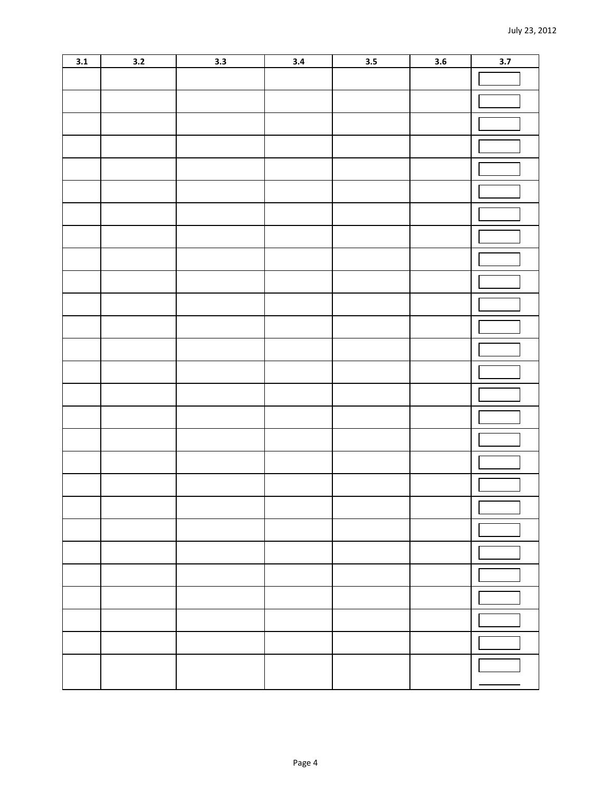| 3.1 | 3.2 | 3.3 | 3.4 | 3.5 | 3.6 | 3.7 |
|-----|-----|-----|-----|-----|-----|-----|
|     |     |     |     |     |     |     |
|     |     |     |     |     |     |     |
|     |     |     |     |     |     |     |
|     |     |     |     |     |     |     |
|     |     |     |     |     |     |     |
|     |     |     |     |     |     |     |
|     |     |     |     |     |     |     |
|     |     |     |     |     |     |     |
|     |     |     |     |     |     |     |
|     |     |     |     |     |     |     |
|     |     |     |     |     |     |     |
|     |     |     |     |     |     |     |
|     |     |     |     |     |     |     |
|     |     |     |     |     |     |     |
|     |     |     |     |     |     |     |
|     |     |     |     |     |     |     |
|     |     |     |     |     |     |     |
|     |     |     |     |     |     |     |
|     |     |     |     |     |     |     |
|     |     |     |     |     |     |     |
|     |     |     |     |     |     | Г   |
|     |     |     |     |     |     |     |
|     |     |     |     |     |     |     |
|     |     |     |     |     |     |     |
|     |     |     |     |     |     |     |
|     |     |     |     |     |     |     |
|     |     |     |     |     |     |     |
|     |     |     |     |     |     |     |
|     |     |     |     |     |     |     |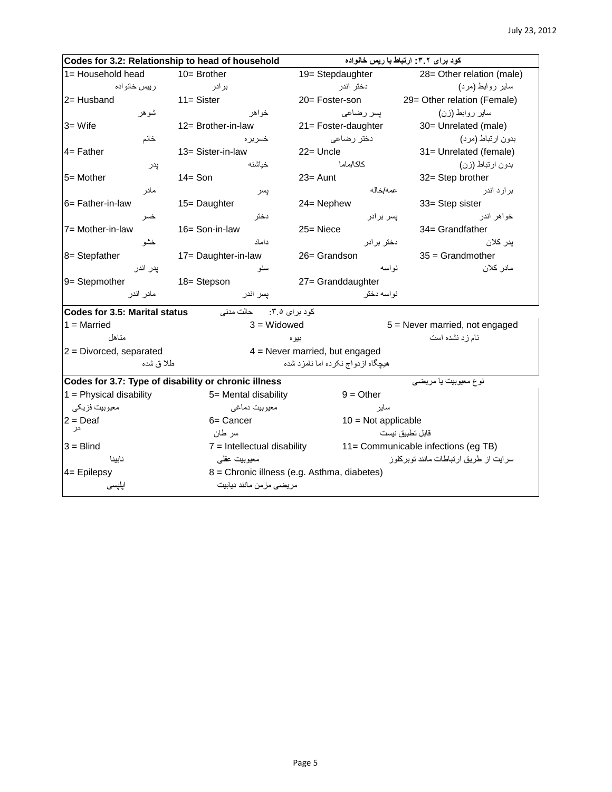| Codes for 3.2: Relationship to head of household     |                               | کود برای ۳.۲: ارتباط با ریس خانواده         |                                        |  |  |
|------------------------------------------------------|-------------------------------|---------------------------------------------|----------------------------------------|--|--|
| 1= Household head                                    | $10 =$ Brother                | 19= Stepdaughter                            | 28= Other relation (male)              |  |  |
| رييس خانواده                                         | بر ادر                        | دختر اندر                                   | سایر روابط (مرد)                       |  |  |
| 2= Husband                                           | $11 =$ Sister                 | 20= Foster-son                              | 29= Other relation (Female)            |  |  |
| شوهر                                                 | خو اهر                        | يسر رضاعي                                   | سایر روابط (زن)                        |  |  |
| $3 = W$ ife                                          | 12= Brother-in-law            | 21= Foster-daughter                         | 30= Unrelated (male)                   |  |  |
| خانم                                                 | خسربر ہ                       | دختر رضاعي                                  | بدون ارتباط (مرد)                      |  |  |
| $4 =$ Father                                         | 13= Sister-in-law             | $22 =$ Uncle                                | 31= Unrelated (female)                 |  |  |
| پدر                                                  | خباشنه                        | كاكا/ماما                                   | بدون ارتباط (زن)                       |  |  |
| 5= Mother                                            | $14 =$ Son                    | $23 =$ Aunt                                 | 32= Step brother                       |  |  |
| مادر                                                 | پسر                           | عمه/خاله                                    | بر ار د اندر                           |  |  |
| 6= Father-in-law                                     | 15= Daughter                  | 24= Nephew                                  | 33= Step sister                        |  |  |
| خسر                                                  | دختر                          | يسر بر ادر                                  | خواهر اندر                             |  |  |
| 7= Mother-in-law                                     | 16= Son-in-law                | $25 =$ Niece                                | 34= Grandfather                        |  |  |
| خشو                                                  | داماد                         | دختر بر ادر                                 | پدر کلان                               |  |  |
| 8= Stepfather                                        | 17= Daughter-in-law           | 26= Grandson                                | $35 =$ Grandmother                     |  |  |
| پدر اندر                                             | سنو                           | نو اسه                                      | مادر كلان                              |  |  |
| 9= Stepmother                                        | 18= Stepson                   | 27= Granddaughter                           |                                        |  |  |
| مادر اندر                                            | يسر اندر                      | نو اسه دختر                                 |                                        |  |  |
| <b>Codes for 3.5: Marital status</b>                 | حالت مدنى<br>کود بر ای ۲.۵:   |                                             |                                        |  |  |
| $1 =$ Married                                        | $3 = Widowed$                 |                                             | 5 = Never married, not engaged         |  |  |
| متاهل                                                |                               | بيو ه                                       | نام زد نشده است                        |  |  |
| $2$ = Divorced, separated                            |                               | $4$ = Never married, but engaged            |                                        |  |  |
| طلا ق شده                                            |                               | هیچگاه از دواج نکر ده اما نامز د شده        |                                        |  |  |
| Codes for 3.7: Type of disability or chronic illness |                               |                                             | نوع معيوبيت يا مريضي                   |  |  |
| $1$ = Physical disability                            | 5= Mental disability          | $9 = Other$                                 |                                        |  |  |
| معيوبيت فزيكي                                        | معيوبيت دماغي                 | ساير                                        |                                        |  |  |
| $2 =$ Deaf                                           | 6= Cancer                     | $10 = Not applicable$                       |                                        |  |  |
| حر                                                   | سر طان                        |                                             | قابل تطبيق نيست                        |  |  |
| $3 = Blind$                                          | $7$ = Intellectual disability |                                             | 11= Communicable infections (eg TB)    |  |  |
| ناببنا                                               | معيوبيت عقلمي                 |                                             | سر ایت از طریق ارتباطات مانند توبرکلوز |  |  |
| $4=$ Epilepsy                                        |                               | 8 = Chronic illness (e.g. Asthma, diabetes) |                                        |  |  |
| اپلپسی                                               | مريضي مزمن مانند ديابيت       |                                             |                                        |  |  |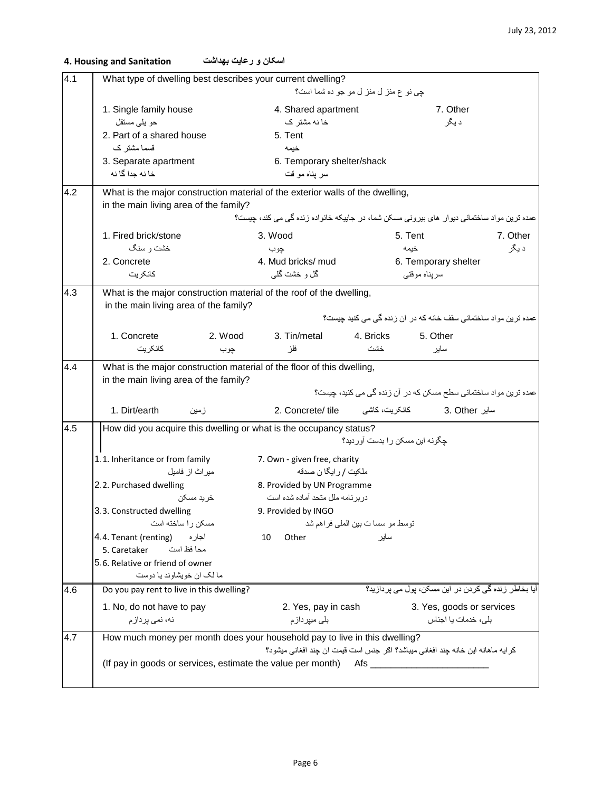| 4.1 | What type of dwelling best describes your current dwelling?                    |                                                                                            |                                       |                                                                  |          |  |  |  |  |
|-----|--------------------------------------------------------------------------------|--------------------------------------------------------------------------------------------|---------------------------------------|------------------------------------------------------------------|----------|--|--|--|--|
|     |                                                                                |                                                                                            | چی نو ع منز ل منز ل مو جو ده شما است؟ |                                                                  |          |  |  |  |  |
|     | 1. Single family house                                                         | 4. Shared apartment                                                                        |                                       | 7. Other                                                         |          |  |  |  |  |
|     | حو يلي مستقل                                                                   | خا نه مشتر ک                                                                               |                                       | د يگر                                                            |          |  |  |  |  |
|     | 2. Part of a shared house                                                      | 5. Tent                                                                                    |                                       |                                                                  |          |  |  |  |  |
|     | قسما مشتر ک                                                                    | خيمه                                                                                       |                                       |                                                                  |          |  |  |  |  |
|     | 3. Separate apartment<br>خا نه جدا گا نه                                       | 6. Temporary shelter/shack<br>سر يناه مو قت                                                |                                       |                                                                  |          |  |  |  |  |
|     |                                                                                |                                                                                            |                                       |                                                                  |          |  |  |  |  |
| 4.2 | What is the major construction material of the exterior walls of the dwelling, |                                                                                            |                                       |                                                                  |          |  |  |  |  |
|     | in the main living area of the family?                                         | عمده ترین مواد ساختمانی دیوار های بیرونی مسکن شما، در جاییکه خانواده زنده گی می کند، جیست؟ |                                       |                                                                  |          |  |  |  |  |
|     |                                                                                |                                                                                            |                                       |                                                                  |          |  |  |  |  |
|     | 1. Fired brick/stone                                                           | 3. Wood                                                                                    |                                       | 5. Tent                                                          | 7. Other |  |  |  |  |
|     | خشت و سنگ                                                                      | چوب                                                                                        |                                       | خيمه                                                             | د پگر    |  |  |  |  |
|     | 2. Concrete<br>كانكريت                                                         | 4. Mud bricks/ mud<br>گل و خشت گلبي                                                        |                                       | 6. Temporary shelter                                             |          |  |  |  |  |
|     |                                                                                |                                                                                            |                                       | سرپناه موقتبي                                                    |          |  |  |  |  |
| 4.3 | What is the major construction material of the roof of the dwelling,           |                                                                                            |                                       |                                                                  |          |  |  |  |  |
|     | in the main living area of the family?                                         |                                                                                            |                                       | عمده ترین مواد ساختمانی سقف خانه که در ان زنده گی می کنید چیست؟  |          |  |  |  |  |
|     |                                                                                |                                                                                            |                                       |                                                                  |          |  |  |  |  |
|     | 1. Concrete<br>2. Wood                                                         | 3. Tin/metal                                                                               | 4. Bricks                             | 5. Other                                                         |          |  |  |  |  |
|     | كانكر يت<br>چوب                                                                | فلز                                                                                        | خشت                                   | ساير                                                             |          |  |  |  |  |
| 4.4 | What is the major construction material of the floor of this dwelling,         |                                                                                            |                                       |                                                                  |          |  |  |  |  |
|     | in the main living area of the family?                                         |                                                                                            |                                       |                                                                  |          |  |  |  |  |
|     |                                                                                |                                                                                            |                                       | عمده ترین مواد ساختمانی سطح مسکن که در آن زنده گی می کنید، چیست؟ |          |  |  |  |  |
|     | 1. Dirt/earth<br>زمين                                                          | 2. Concrete/ tile                                                                          | كانكريت، كاشى                         | 3. Other ساير                                                    |          |  |  |  |  |
| 4.5 | How did you acquire this dwelling or what is the occupancy status?             |                                                                                            |                                       |                                                                  |          |  |  |  |  |
|     |                                                                                |                                                                                            | جگونه این مسکن را بدست آور دید؟       |                                                                  |          |  |  |  |  |
|     | 1.1. Inheritance or from family                                                | 7. Own - given free, charity                                                               |                                       |                                                                  |          |  |  |  |  |
|     | میر اث از فامیل                                                                | ملكيت / رايگا ن صدقه                                                                       |                                       |                                                                  |          |  |  |  |  |
|     | 2.2. Purchased dwelling                                                        | 8. Provided by UN Programme                                                                |                                       |                                                                  |          |  |  |  |  |
|     | خريد مسكن                                                                      | در بر نامه ملل متحد آماده شده است                                                          |                                       |                                                                  |          |  |  |  |  |
|     | 3.3. Constructed dwelling                                                      | 9. Provided by INGO                                                                        |                                       |                                                                  |          |  |  |  |  |
|     | مسكن را ساخته است                                                              |                                                                                            | توسط مو سسات بين الملي فراهم شد       |                                                                  |          |  |  |  |  |
|     | 4.4. Tenant (renting)<br>اجار ہ<br>محا فظ است<br>5. Caretaker                  | 10<br>Other                                                                                | سابر                                  |                                                                  |          |  |  |  |  |
|     | 5.6. Relative or friend of owner                                               |                                                                                            |                                       |                                                                  |          |  |  |  |  |
|     | ما لک ان خویشاوند یا دوست                                                      |                                                                                            |                                       |                                                                  |          |  |  |  |  |
| 4.6 | Do you pay rent to live in this dwelling?                                      |                                                                                            |                                       | آیا بخاطر زندہ گی کر دن در این مسکن، بول می پر دازید؟            |          |  |  |  |  |
|     | 1. No, do not have to pay                                                      | 2. Yes, pay in cash                                                                        |                                       | 3. Yes, goods or services                                        |          |  |  |  |  |
|     | نه، نمي پرداز م                                                                | بلی میپرداز م                                                                              |                                       | بلی، خدمات یا اجناس                                              |          |  |  |  |  |
|     |                                                                                |                                                                                            |                                       |                                                                  |          |  |  |  |  |
| 4.7 | How much money per month does your household pay to live in this dwelling?     | كر ايه ماهانه اين خانه جند افغاني ميباشد؟ اكر جنس است قيمت ان جند افغاني ميشود؟            |                                       |                                                                  |          |  |  |  |  |
|     | (If pay in goods or services, estimate the value per month)                    |                                                                                            | Afs                                   |                                                                  |          |  |  |  |  |
|     |                                                                                |                                                                                            |                                       |                                                                  |          |  |  |  |  |
|     |                                                                                |                                                                                            |                                       |                                                                  |          |  |  |  |  |

## **اسکان و رعایت بهداشت Sanitation and Housing 4.**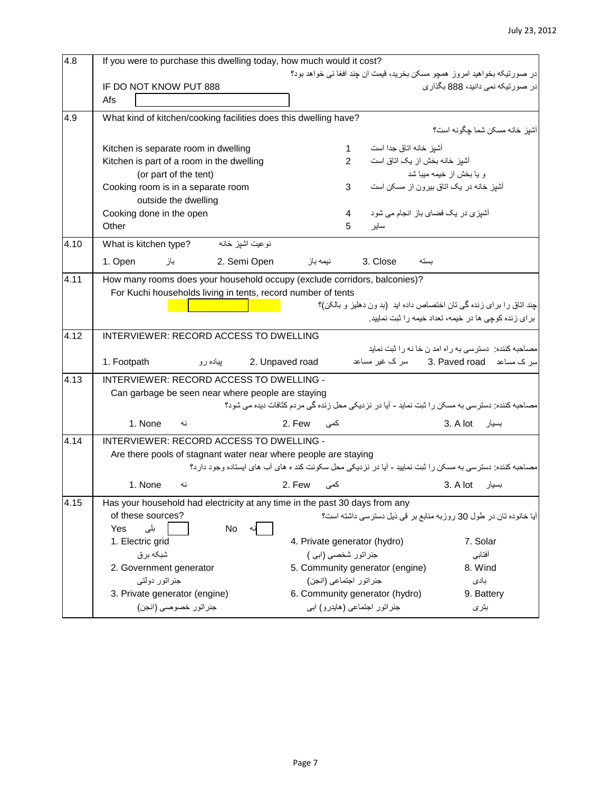| 4.8  | If you were to purchase this dwelling today, how much would it cost?        |                                                                                                          |                                                      |
|------|-----------------------------------------------------------------------------|----------------------------------------------------------------------------------------------------------|------------------------------------------------------|
|      |                                                                             | در صورتیکه بخواهید امروز همچو مسکن بخرید، قیمت ان چند افغا نی خواهد بود؟                                 |                                                      |
|      | IF DO NOT KNOW PUT 888                                                      |                                                                                                          | در صورتیکه نمی دانید، 888 بگذاری                     |
|      | Afs                                                                         |                                                                                                          |                                                      |
| 4.9  | What kind of kitchen/cooking facilities does this dwelling have?            |                                                                                                          |                                                      |
|      |                                                                             |                                                                                                          | آشيز خانه مسكن شما جِگونه است؟                       |
|      | Kitchen is separate room in dwelling                                        | آشپز خانه اتاق جدا است<br>$\mathbf{1}$                                                                   |                                                      |
|      | Kitchen is part of a room in the dwelling                                   | $\overline{2}$<br>آشیز خانه بخش از یک اتاق است                                                           |                                                      |
|      | (or part of the tent)                                                       |                                                                                                          | و یا بخش از خیمه میبا شد                             |
|      | Cooking room is in a separate room                                          | 3                                                                                                        | أشپز خانه در یک اتاق بیرون از مسکن است               |
|      | outside the dwelling                                                        |                                                                                                          |                                                      |
|      | Cooking done in the open                                                    | آشیزی در یک فضای باز انجام می شود<br>4                                                                   |                                                      |
|      | Other                                                                       | ساير<br>5                                                                                                |                                                      |
| 4.10 | نوعيت اشيز خانه<br>What is kitchen type?                                    |                                                                                                          |                                                      |
|      | 1. Open<br>2. Semi Open<br>باز                                              | نيمه باز<br>3. Close<br>بسته                                                                             |                                                      |
| 4.11 | How many rooms does your household occupy (exclude corridors, balconies)?   |                                                                                                          |                                                      |
|      | For Kuchi households living in tents, record number of tents                |                                                                                                          |                                                      |
|      |                                                                             | جند اتاق را برای زنده گی تان اختصاص داده اید (بد ون دهلیز و بالکن)؟                                      |                                                      |
|      |                                                                             |                                                                                                          | برای زنده کوچی ها در خیمه، تعداد خیمه را ثبت نمایید. |
| 4.12 | <b>INTERVIEWER: RECORD ACCESS TO DWELLING</b>                               |                                                                                                          |                                                      |
|      |                                                                             |                                                                                                          | مصاحبه کننده: دسترسی به راه امد ن خا نه را ثبت نماید |
|      | 1. Footpath<br>2. Unpaved road<br>بیاده رو                                  |                                                                                                          | سر ک مساعد 3. Paved road                             |
| 4.13 | INTERVIEWER: RECORD ACCESS TO DWELLING -                                    |                                                                                                          |                                                      |
|      | Can garbage be seen near where people are staying                           |                                                                                                          |                                                      |
|      |                                                                             | مصاحبه کننده: دسترسی به مسکن را ثبت نماید - آیا در نزدیکی محل زنده گی مردم کثافات دیده می شود؟           |                                                      |
|      | 1. None<br>نه                                                               | کمی 2. Few                                                                                               | 3. A lot بسيار                                       |
| 4.14 | INTERVIEWER: RECORD ACCESS TO DWELLING -                                    |                                                                                                          |                                                      |
|      | Are there pools of stagnant water near where people are staying             |                                                                                                          |                                                      |
|      |                                                                             | مصاحبه کننده: دسترسی به مسکن را ثبت نمایید - آیا در نزدیکی محل سکونت کند ه های آب های ایستاده وجود دارد؟ |                                                      |
|      | 1. None<br>نه                                                               | کمی 2. Few                                                                                               | 3. A lot بسيار                                       |
| 4.15 | Has your household had electricity at any time in the past 30 days from any |                                                                                                          |                                                      |
|      | of these sources?                                                           | آیا خانوده تان در طول 30 روزبه منابع بر قی ذیل دسترسی داشته است؟                                         |                                                      |
|      | بلی<br>Yes<br>No                                                            |                                                                                                          |                                                      |
|      | 1. Electric grid                                                            | 4. Private generator (hydro)                                                                             | 7. Solar                                             |
|      | شبكه برق                                                                    | جنراتور شخصي (ابي )                                                                                      | أفتابي                                               |
|      | 2. Government generator                                                     | 5. Community generator (engine)                                                                          | 8. Wind                                              |
|      | جنراتور دولتى                                                               | جنر اتور اجتماعي (انجن)                                                                                  | بادى                                                 |
|      | 3. Private generator (engine)                                               | 6. Community generator (hydro)                                                                           | 9. Battery                                           |
|      | جنراتور خصوصي (انجن)                                                        | جنر اتور اجتماعی (هایدرو) ابی                                                                            | بترى                                                 |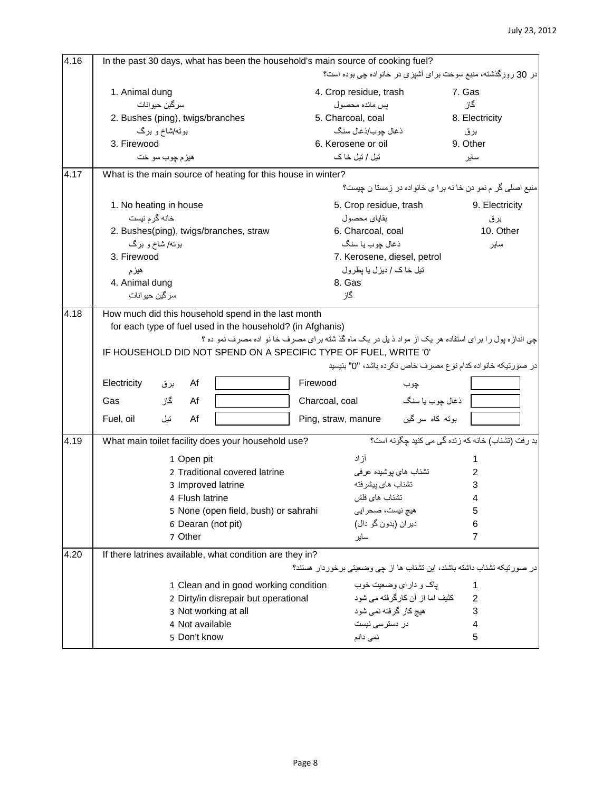| 4.16 | In the past 30 days, what has been the household's main source of cooking fuel?                                                                                                                                    |                                                                                                                                                                                     |                |  |  |  |
|------|--------------------------------------------------------------------------------------------------------------------------------------------------------------------------------------------------------------------|-------------------------------------------------------------------------------------------------------------------------------------------------------------------------------------|----------------|--|--|--|
|      |                                                                                                                                                                                                                    | در 30 روزگذشته، منبع سوخت براي آشپزي در خانواده چي بوده است؟                                                                                                                        |                |  |  |  |
|      | 1. Animal dung                                                                                                                                                                                                     | 4. Crop residue, trash                                                                                                                                                              | 7. Gas         |  |  |  |
|      | سرگين حيوانات                                                                                                                                                                                                      | يس مانده محصول                                                                                                                                                                      | گاز            |  |  |  |
|      | 2. Bushes (ping), twigs/branches                                                                                                                                                                                   | 5. Charcoal, coal                                                                                                                                                                   | 8. Electricity |  |  |  |
|      | بوته/شاخ و برگ                                                                                                                                                                                                     | ذغال چوب/ذغال سنگ                                                                                                                                                                   | برق            |  |  |  |
|      | 3. Firewood                                                                                                                                                                                                        | 6. Kerosene or oil                                                                                                                                                                  | 9. Other       |  |  |  |
|      | هيز ۾ چوب سو خت                                                                                                                                                                                                    | تیل / تیل خا ک                                                                                                                                                                      | ساير           |  |  |  |
| 4.17 | What is the main source of heating for this house in winter?                                                                                                                                                       |                                                                                                                                                                                     |                |  |  |  |
|      |                                                                                                                                                                                                                    | منبع اصلی گر م نمو دن خا نه برا ی خانواده در زمستا ن چیست؟                                                                                                                          |                |  |  |  |
|      | 1. No heating in house                                                                                                                                                                                             | 5. Crop residue, trash                                                                                                                                                              | 9. Electricity |  |  |  |
|      | خانه گر م نیست                                                                                                                                                                                                     | بقاياي محصول                                                                                                                                                                        | برق            |  |  |  |
|      | 2. Bushes(ping), twigs/branches, straw                                                                                                                                                                             | 6. Charcoal, coal                                                                                                                                                                   | 10. Other      |  |  |  |
|      | بوته/ شاخ و برگ                                                                                                                                                                                                    | ذغال چوب يا سنگ                                                                                                                                                                     | ساير           |  |  |  |
|      | 3. Firewood                                                                                                                                                                                                        | 7. Kerosene, diesel, petrol                                                                                                                                                         |                |  |  |  |
|      | هيزم                                                                                                                                                                                                               | تیل خاک / دیزل یا یطرول                                                                                                                                                             |                |  |  |  |
|      | 4. Animal dung                                                                                                                                                                                                     | 8. Gas                                                                                                                                                                              |                |  |  |  |
|      | سرگين حيوانات                                                                                                                                                                                                      | گاز                                                                                                                                                                                 |                |  |  |  |
| 4.18 | How much did this household spend in the last month<br>for each type of fuel used in the household? (in Afghanis)<br>IF HOUSEHOLD DID NOT SPEND ON A SPECIFIC TYPE OF FUEL, WRITE '0'<br>Electricity<br>Af<br>بر ق | چی اندازه پول را برای استفاده هر یک از مواد ذیل در یک ماه گذشته برای مصرف خا نو اده مصرف نمو ده ؟<br>در صورتیکه خانواده کدام نوع مصرف خاص نکرده باشد، "0" بنیسید<br>Firewood<br>چوب |                |  |  |  |
|      |                                                                                                                                                                                                                    |                                                                                                                                                                                     |                |  |  |  |
|      | گاز<br>Af<br>Gas                                                                                                                                                                                                   | ذغال چوب يا سنگ<br>Charcoal, coal                                                                                                                                                   |                |  |  |  |
|      | Af<br>Fuel, oil<br>تيل                                                                                                                                                                                             | Ping, straw, manure بوته كاه سر كين                                                                                                                                                 |                |  |  |  |
| 4.19 | What main toilet facility does your household use?                                                                                                                                                                 | بد رفت (تشناب) خانه كه زنده گی می كنيد چگونه است؟                                                                                                                                   |                |  |  |  |
|      | 1 Open pit                                                                                                                                                                                                         | آزاد                                                                                                                                                                                |                |  |  |  |
|      | 2 Traditional covered latrine                                                                                                                                                                                      | تشناب های پوشیده عرفی                                                                                                                                                               | 2              |  |  |  |
|      | 3 Improved latrine                                                                                                                                                                                                 | تشناب هاى ييشرفته                                                                                                                                                                   | 3              |  |  |  |
|      | 4 Flush latrine                                                                                                                                                                                                    | تشناب های فلش                                                                                                                                                                       | 4              |  |  |  |
|      | 5 None (open field, bush) or sahrahi                                                                                                                                                                               | هيچ نيست، صحر ايي                                                                                                                                                                   | 5              |  |  |  |
|      | 6 Dearan (not pit)                                                                                                                                                                                                 | دیران (بدون گو دال)                                                                                                                                                                 | 6              |  |  |  |
|      | 7 Other                                                                                                                                                                                                            | ساير                                                                                                                                                                                | 7              |  |  |  |
| 4.20 | If there latrines available, what condition are they in?                                                                                                                                                           |                                                                                                                                                                                     |                |  |  |  |
|      |                                                                                                                                                                                                                    | در صورتیکه تشناب داشته باشند، این تشناب ها از چی وضعیتی برخوردار هستند؟                                                                                                             |                |  |  |  |
|      | 1 Clean and in good working condition                                                                                                                                                                              | یاک و دار ای وضعیت خوب                                                                                                                                                              | 1              |  |  |  |
|      | 2 Dirty/in disrepair but operational                                                                                                                                                                               | كثيف اما از آن كارگرفته مي شود                                                                                                                                                      | 2              |  |  |  |
|      | 3 Not working at all                                                                                                                                                                                               | هیچ کار گرفته نمی شود                                                                                                                                                               | 3              |  |  |  |
|      | 4 Not available                                                                                                                                                                                                    | در دسترسی نیست                                                                                                                                                                      | 4              |  |  |  |
|      | 5 Don't know                                                                                                                                                                                                       | نمی دانم                                                                                                                                                                            | 5              |  |  |  |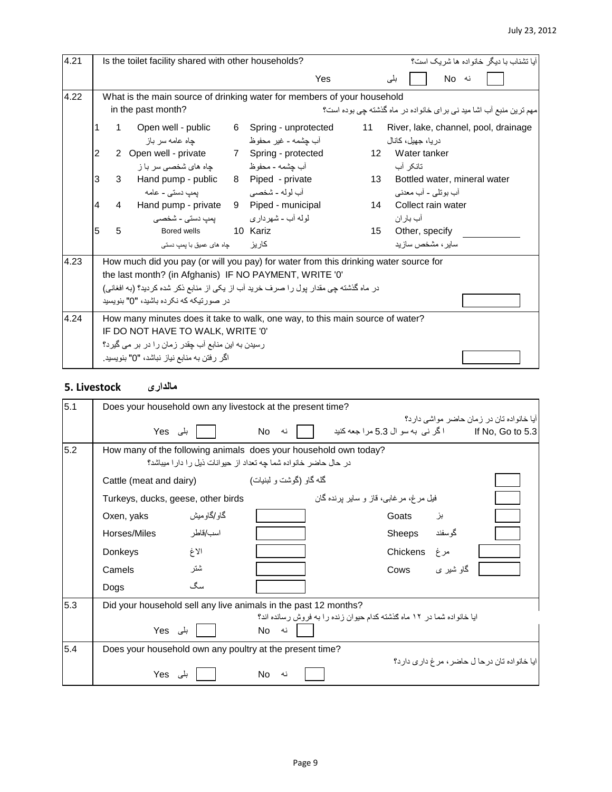| 4.21 |                |                | Is the toilet facility shared with other households?                                                                                                                                                                                                                                 |   |                                             |                 | آبا تشناب با دبگر خانو اده ها شر بک است؟                            |
|------|----------------|----------------|--------------------------------------------------------------------------------------------------------------------------------------------------------------------------------------------------------------------------------------------------------------------------------------|---|---------------------------------------------|-----------------|---------------------------------------------------------------------|
|      |                |                |                                                                                                                                                                                                                                                                                      |   | Yes                                         |                 | نه No<br>بلی                                                        |
| 4.22 |                |                | What is the main source of drinking water for members of your household                                                                                                                                                                                                              |   |                                             |                 |                                                                     |
|      |                |                | in the past month?                                                                                                                                                                                                                                                                   |   |                                             |                 | مهم ترین منبع آب اشا مید نی بر ای خانواده در ماه گذشته چی بوده است؟ |
|      |                | 1              | Open well - public<br>چاه عامه سر باز                                                                                                                                                                                                                                                | 6 | Spring - unprotected<br>أب چشمه - غیر محفوظ | 11              | River, lake, channel, pool, drainage<br>در با، جهبل، کانال          |
|      | $\overline{2}$ |                | 2 Open well - private 7 Spring - protected                                                                                                                                                                                                                                           |   |                                             |                 | 12 Water tanker                                                     |
|      |                |                |                                                                                                                                                                                                                                                                                      |   |                                             |                 | تانکر آب                                                            |
|      | 3              | 3              | Hand pump - public 8 Piped - private                                                                                                                                                                                                                                                 |   |                                             | 13 <sup>7</sup> | Bottled water, mineral water<br>أب بوتلي - أب معدني                 |
|      | $\overline{4}$ | $\overline{4}$ | Hand pump - private 9 Piped - municipal<br>لوله آب - شهرداری مسلم - شخصبی                                                                                                                                                                                                            |   |                                             |                 | 14 Collect rain water<br>اب بار ان                                  |
|      | 5              | 5              | Bored wells                                                                                                                                                                                                                                                                          |   | 10 Kariz                                    | 15              | Other, specify                                                      |
|      |                |                | جاه های عمیق با یمپ دستی                                                                                                                                                                                                                                                             |   | كاريز                                       |                 | سابر ، مشخص ساز بد                                                  |
| 4.23 |                |                | How much did you pay (or will you pay) for water from this drinking water source for<br>the last month? (in Afghanis) IF NO PAYMENT, WRITE '0'<br>در ماه گذشته چی مقدار بول را صرف خرید آب از یکی از منابع ذکر شده کردید؟ (به افغانی)<br>در  صو ر تیکه که نکر ده باشید، "0" بنو پسید |   |                                             |                 |                                                                     |
|      |                |                |                                                                                                                                                                                                                                                                                      |   |                                             |                 |                                                                     |
| 4.24 |                |                | How many minutes does it take to walk, one way, to this main source of water?<br>IF DO NOT HAVE TO WALK, WRITE '0'                                                                                                                                                                   |   |                                             |                 |                                                                     |
|      |                |                | رسیدن به این منابع آب چقدر زمان را در بر می گیرد؟                                                                                                                                                                                                                                    |   |                                             |                 |                                                                     |
|      |                |                | اگر رفتن به منابع نیاز نباشد، "0" بنویسید.                                                                                                                                                                                                                                           |   |                                             |                 |                                                                     |

## **مالداری Livestock 5.**

| 5.1 |                                                                  | Does your household own any livestock at the present time?      |                         |  |                                                                        |          |           |                                                                                                 |  |  |  |
|-----|------------------------------------------------------------------|-----------------------------------------------------------------|-------------------------|--|------------------------------------------------------------------------|----------|-----------|-------------------------------------------------------------------------------------------------|--|--|--|
|     |                                                                  | $Yes \downarrow  $                                              | No<br>نه                |  |                                                                        |          |           | آیا خانو اده تان در ۱ مان حاضر ً مو اشی دار د؟<br>lf No, Go to 5.3 مراجعه كنيد If No, Go to 5.3 |  |  |  |
| 5.2 | How many of the following animals does your household own today? | در حال حاضر خانواده شما چه تعداد از حیوانات نیل را دارا میباشد؟ |                         |  |                                                                        |          |           |                                                                                                 |  |  |  |
|     | Cattle (meat and dairy)                                          |                                                                 | گله گاو (گوشت و لبنیات) |  |                                                                        |          |           |                                                                                                 |  |  |  |
|     | Turkeys, ducks, geese, other birds                               |                                                                 |                         |  | فیل مرغ، مرغابی، قاز و سایر برنده گان                                  |          |           |                                                                                                 |  |  |  |
|     | Oxen, yaks                                                       | گاو /گاو میش                                                    |                         |  |                                                                        | Goats    | بز        |                                                                                                 |  |  |  |
|     | Horses/Miles                                                     | اسب/قاطر                                                        |                         |  |                                                                        | Sheeps   | گوسفند    |                                                                                                 |  |  |  |
|     | Donkeys                                                          | الاغ                                                            |                         |  |                                                                        | Chickens | مرغ       |                                                                                                 |  |  |  |
|     | Camels                                                           | شتر                                                             |                         |  |                                                                        | Cows     | گاو شیر ی |                                                                                                 |  |  |  |
|     | Dogs                                                             | سگ                                                              |                         |  |                                                                        |          |           |                                                                                                 |  |  |  |
| 5.3 | Did your household sell any live animals in the past 12 months?  |                                                                 |                         |  |                                                                        |          |           |                                                                                                 |  |  |  |
|     |                                                                  | Yes بلی                                                         | No<br>نه                |  | ایا خانواده شما در ۱۲ ماه گذشته کدام حیوان زنده را به فروش رسانده اند؟ |          |           |                                                                                                 |  |  |  |
| 5.4 | Does your household own any poultry at the present time?         |                                                                 |                         |  |                                                                        |          |           |                                                                                                 |  |  |  |
|     | Yes                                                              | بلی                                                             | No.<br>نه               |  |                                                                        |          |           | ايا خانواده تان در حا ل حاضر ، مر غ دار ي دار د؟                                                |  |  |  |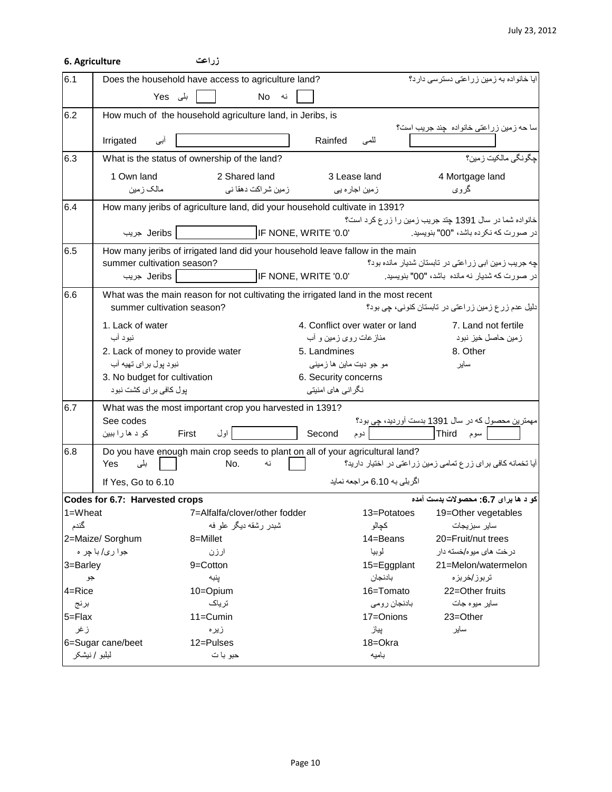#### July 23, 2012

|              | 6. Agriculture                                                                                                   | زراعت                         |                      |                         |                                                                                                                                                                                                                                  |                                                                                                      |
|--------------|------------------------------------------------------------------------------------------------------------------|-------------------------------|----------------------|-------------------------|----------------------------------------------------------------------------------------------------------------------------------------------------------------------------------------------------------------------------------|------------------------------------------------------------------------------------------------------|
| 6.1          | Does the household have access to agriculture land?                                                              |                               |                      |                         |                                                                                                                                                                                                                                  | ایا خانواده به زمین زراعتی دسترسی دارد؟                                                              |
|              | ہلی Yes                                                                                                          |                               | <b>No</b><br>نه      |                         |                                                                                                                                                                                                                                  |                                                                                                      |
| 6.2          | How much of the household agriculture land, in Jeribs, is                                                        |                               |                      |                         |                                                                                                                                                                                                                                  |                                                                                                      |
|              | Irrigated<br>ابی                                                                                                 |                               |                      | Rainfed                 | للمى                                                                                                                                                                                                                             | سا حه زمین زراعتی خانواده  چند جریب است؟                                                             |
| 6.3          | What is the status of ownership of the land?                                                                     |                               |                      |                         |                                                                                                                                                                                                                                  | جگونگي مالکيت زمين؟                                                                                  |
|              | 1 Own land                                                                                                       | 2 Shared land                 |                      |                         | 3 Lease land                                                                                                                                                                                                                     | 4 Mortgage land                                                                                      |
|              | مالک زمین                                                                                                        |                               | ز مین شر اکت دهقا نی |                         | زمین اجار ہ یی                                                                                                                                                                                                                   | گروی                                                                                                 |
| 6.4          | How many jeribs of agriculture land, did your household cultivate in 1391?                                       |                               |                      |                         |                                                                                                                                                                                                                                  |                                                                                                      |
|              |                                                                                                                  |                               |                      |                         |                                                                                                                                                                                                                                  | خانواده شما در سال 1391 چند جریب زمین را زرع کرد است؟                                                |
|              | Jeribs جريب                                                                                                      |                               |                      | IF NONE, WRITE '0.0'    |                                                                                                                                                                                                                                  | در صورت كه نكرده باشد، "00" بنويسيد.                                                                 |
| 6.5          | How many jeribs of irrigated land did your household leave fallow in the main                                    |                               |                      |                         |                                                                                                                                                                                                                                  |                                                                                                      |
|              | summer cultivation season?<br>Jeribs جريب                                                                        |                               |                      | IF NONE, WRITE '0.0'    |                                                                                                                                                                                                                                  | چه جریب زمین ابی زراعتی در تابستان شدیار مانده بود؟<br>در صورت که شدیار نه مانده باشد، "00" بنویسید. |
|              |                                                                                                                  |                               |                      |                         |                                                                                                                                                                                                                                  |                                                                                                      |
| 6.6          | What was the main reason for not cultivating the irrigated land in the most recent<br>summer cultivation season? |                               |                      |                         |                                                                                                                                                                                                                                  | دلیل عدم زرع زمین زراعتی در تابستان کنونی، چی بود؟                                                   |
|              | 1. Lack of water                                                                                                 |                               |                      |                         | 4. Conflict over water or land                                                                                                                                                                                                   | 7. Land not fertile                                                                                  |
|              | نبود آب                                                                                                          |                               |                      | منازعات روی زمین و أب   |                                                                                                                                                                                                                                  | زمین حاصل خیز نبود                                                                                   |
|              | 2. Lack of money to provide water                                                                                |                               |                      | 5. Landmines            |                                                                                                                                                                                                                                  | 8. Other                                                                                             |
|              | نبود پول بر ای تهیه آب                                                                                           |                               |                      | مو جو ديت ماين ها زميني |                                                                                                                                                                                                                                  | ساير                                                                                                 |
|              | 3. No budget for cultivation                                                                                     |                               |                      | 6. Security concerns    |                                                                                                                                                                                                                                  |                                                                                                      |
|              | بول كافي براي كشت نبود                                                                                           |                               |                      | نگر انی های امنیتی      |                                                                                                                                                                                                                                  |                                                                                                      |
| 6.7          | What was the most important crop you harvested in 1391?                                                          |                               |                      |                         |                                                                                                                                                                                                                                  |                                                                                                      |
|              | See codes<br>کو د ها را ببين                                                                                     | اول<br>First                  |                      | Second                  | ا المسلم المسلم المسلم المسلم المسلم المسلم المسلم المسلم المسلم المسلم المسلم المسلم المسلم المسلم المسلم الم<br>والمسلم المسلم المسلم المسلم المسلم المسلم المسلم المسلم المسلم المسلم المسلم المسلم المسلم المسلم المسلم المس | مهمترین محصول که در سال 1391 بدست آوردید، چی بود؟<br> -<br>  سوم   Third                             |
| 6.8          | Do you have enough main crop seeds to plant on all of your agricultural land?                                    |                               |                      |                         |                                                                                                                                                                                                                                  |                                                                                                      |
|              | Yes<br>بلی                                                                                                       | No.                           | نه                   |                         |                                                                                                                                                                                                                                  | آیا تخمانه کافی برای زرع تمامی زمین زراعتی در اختیار دارید؟                                          |
|              | If Yes, Go to 6.10                                                                                               |                               |                      |                         | اگربلي به 6.10 مراجعه نمايد                                                                                                                                                                                                      |                                                                                                      |
|              | Codes for 6.7: Harvested crops                                                                                   |                               |                      |                         |                                                                                                                                                                                                                                  | کو د ها برای 6.7: محصولات بدست آمده                                                                  |
| 1=Wheat      |                                                                                                                  | 7=Alfalfa/clover/other fodder |                      |                         | 13=Potatoes                                                                                                                                                                                                                      | 19=Other vegetables                                                                                  |
| گندم         |                                                                                                                  | شبدر رشقه دیگر علو فه         |                      |                         | كجالو                                                                                                                                                                                                                            | ساير سبزيجات                                                                                         |
|              | 2=Maize/ Sorghum                                                                                                 | 8=Millet                      |                      |                         | 14=Beans                                                                                                                                                                                                                         | 20=Fruit/nut trees                                                                                   |
|              | جوا ري/ با چر ه                                                                                                  | ارزن                          |                      |                         | لوبيا                                                                                                                                                                                                                            | در خت های میوه/خسته دار                                                                              |
| 3=Barley     |                                                                                                                  | 9=Cotton                      |                      |                         | 15=Eggplant                                                                                                                                                                                                                      | 21=Melon/watermelon                                                                                  |
| جو<br>4=Rice |                                                                                                                  | پنبه<br>10=Opium              |                      |                         | بادنجان<br>16=Tomato                                                                                                                                                                                                             | تربوز/خربزه<br>22=Other fruits                                                                       |
| برنج         |                                                                                                                  | ترياك                         |                      |                         | بادنجان رومي                                                                                                                                                                                                                     | ساير ميوه جات                                                                                        |
| 5=Flax       |                                                                                                                  | 11=Cumin                      |                      |                         | 17=Onions                                                                                                                                                                                                                        | 23=Other                                                                                             |
| ز غر         |                                                                                                                  | زير ه                         |                      |                         | پياز                                                                                                                                                                                                                             | ساير                                                                                                 |
|              | 6=Sugar cane/beet                                                                                                | 12=Pulses                     |                      |                         | 18=Okra                                                                                                                                                                                                                          |                                                                                                      |
|              | لبلبو / نیشکر                                                                                                    | حبو با ت                      |                      |                         | باميه                                                                                                                                                                                                                            |                                                                                                      |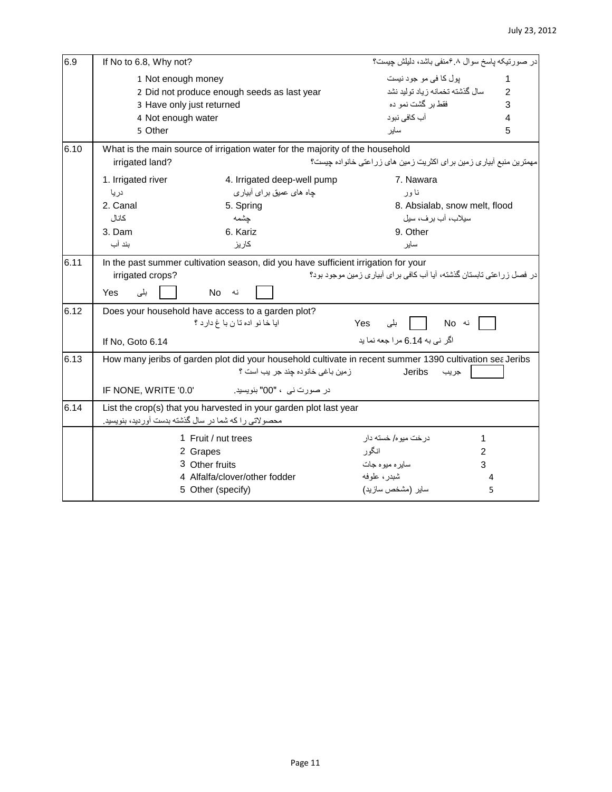| 6.9  | If No to 6.8, Why not?                                |                                                                                    | در صورتیکه پاسخ سوال ۶.۸منفی باشد، دلیلش جیست؟                                                           |                |
|------|-------------------------------------------------------|------------------------------------------------------------------------------------|----------------------------------------------------------------------------------------------------------|----------------|
|      | 1 Not enough money                                    |                                                                                    | پول کا فی مو جود نیست                                                                                    | 1              |
|      |                                                       | 2 Did not produce enough seeds as last year                                        | سال گذشته تخمانه زياد توليد نشد                                                                          | $\mathfrak{p}$ |
|      | 3 Have only just returned                             |                                                                                    | فقط بر گشت نمو ده                                                                                        | 3              |
|      | 4 Not enough water                                    |                                                                                    | آب كافي نبود                                                                                             | 4              |
|      | 5 Other                                               |                                                                                    | ساير                                                                                                     | 5              |
| 6.10 |                                                       | What is the main source of irrigation water for the majority of the household      |                                                                                                          |                |
|      | irrigated land?                                       |                                                                                    | مهمترین منبع آبیاری زمین برای اکثریت زمین های زراعتی خانواده چیست؟                                       |                |
|      | 1. Irrigated river                                    | 4. Irrigated deep-well pump                                                        | 7. Nawara                                                                                                |                |
|      | دريا                                                  | جاه های عمیق بر ای آبیار ی                                                         | نا ور                                                                                                    |                |
|      | 2. Canal                                              | 5. Spring                                                                          | 8. Absialab, snow melt, flood                                                                            |                |
|      | كانال                                                 | جشمه                                                                               | سيلاب، آب بر ف، سيل                                                                                      |                |
|      | 3. Dam                                                | 6. Kariz                                                                           | 9. Other                                                                                                 |                |
|      | بند آب                                                | كاريز                                                                              | ساير                                                                                                     |                |
| 6.11 |                                                       | In the past summer cultivation season, did you have sufficient irrigation for your | در فصل زر اعتی تابستان گذشته، آیا آب کافی بر ای آبیار ی زمین موجود بود؟                                  |                |
|      | irrigated crops?                                      |                                                                                    |                                                                                                          |                |
|      | Yes<br>بلى                                            | <b>No</b><br>نه                                                                    |                                                                                                          |                |
| 6.12 |                                                       | Does your household have access to a garden plot?                                  |                                                                                                          |                |
|      |                                                       | ايا خا نو اده تا ن با غ دار د ؟                                                    | نه No<br>Yes<br>ا بلی                                                                                    |                |
|      | If No, Goto 6.14                                      |                                                                                    | اگر نے به 6.14 مر ا جعه نما بد                                                                           |                |
| 6.13 |                                                       |                                                                                    | How many jeribs of garden plot did your household cultivate in recent summer 1390 cultivation sea Jeribs |                |
|      |                                                       | زمين باغي خانوده جند جر يب است ؟                                                   | Jeribs<br>جريب                                                                                           |                |
|      | IF NONE, WRITE '0.0'                                  | در صورت نے ، "00" بنویسید۔                                                         |                                                                                                          |                |
| 6.14 |                                                       | List the crop(s) that you harvested in your garden plot last year                  |                                                                                                          |                |
|      | محصولاتی را که شما در سال گذشته بدست آوردید، بنویسید. |                                                                                    |                                                                                                          |                |
|      |                                                       | 1 Fruit / nut trees                                                                | در خت میو ه/ خسته دار<br>1                                                                               |                |
|      |                                                       | 2 Grapes                                                                           | انگو ر<br>$\overline{c}$                                                                                 |                |
|      |                                                       | 3 Other fruits                                                                     | سايره ميوه جات<br>3                                                                                      |                |
|      |                                                       | 4 Alfalfa/clover/other fodder                                                      | شبدر، علوفه                                                                                              | 4              |
|      |                                                       | 5 Other (specify)                                                                  | ساير (مشخص سازيد)                                                                                        | 5              |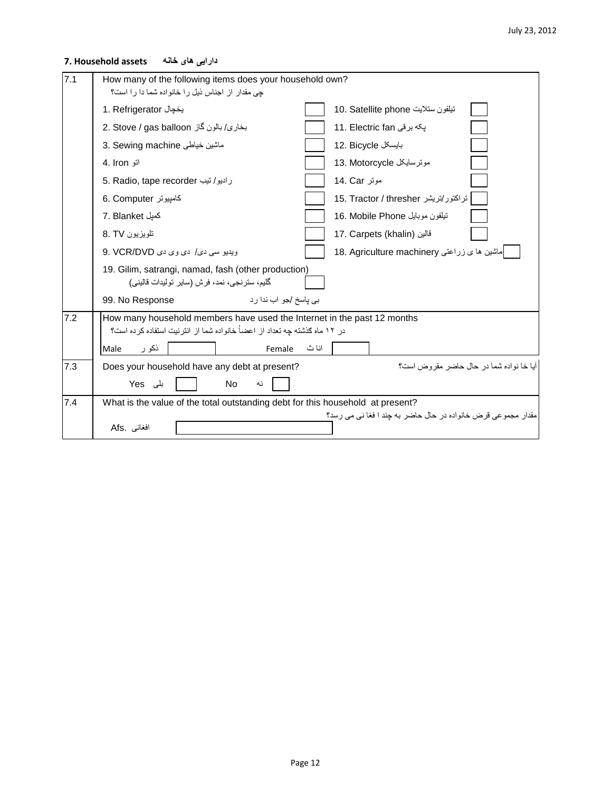## **دارایی های خانه assets Household 7.**

| 7.1 | How many of the following items does your household own?<br>جی مقدار از اجناس نیل را خانواده شما دا را است؟                                           |
|-----|-------------------------------------------------------------------------------------------------------------------------------------------------------|
|     | تيلفون ستلايت 10. Satellite phone<br>1. Refrigerator بخجال                                                                                            |
|     | 2. Stove / gas balloon بخارى/ بالون گاز<br>11. Electric fan بكه برقى                                                                                  |
|     | 3. Sewing machine ماشين خياطي<br>12. Bicycle بايسكل                                                                                                   |
|     | موترسايكل 13. Motorcycle<br>اتو 4. Iron                                                                                                               |
|     | ر ادبو/تيب 5. Radio, tape recorder<br>مونز 14. Car                                                                                                    |
|     | تراكتور/تريشر 15. Tractor / thresher<br>6. Computer كامپيوتر                                                                                          |
|     | كميل 7. Blanket<br>نيلفون موبايل 16. Mobile Phone                                                                                                     |
|     | تلويزيون 8. TV<br>17. Carpets (khalin) قالين                                                                                                          |
|     | 18. Agriculture machinery إماشين ها ي زراعتي<br>ويديو سي دي/ دي وي دي 9. VCR/DVD                                                                      |
|     | 19. Gilim, satrangi, namad, fash (other production)<br>گليم، سترنجي، نمد، فرش (ساير توليدات قاليني)                                                   |
|     | بي پاسخ /جو اب ندا رد<br>99. No Response                                                                                                              |
| 7.2 | How many household members have used the Internet in the past 12 months<br>در ١٢ ماه كذشته چه تعداد از اعضـأ خانواده شما از انترنیت استفاده كرده است؟ |
|     | انا ث<br>ذکو ر<br>Male<br>Female                                                                                                                      |
| 7.3 | آبا خا نو اده شما در حال حاضر ً مقر و ض است؟<br>Does your household have any debt at present?                                                         |
|     | بلی Yes<br>No.<br>نه                                                                                                                                  |
| 7.4 | What is the value of the total outstanding debt for this household at present?                                                                        |
|     | مقدار ۔مجموعے قرض خانوادہ در حال حاضر به جند ا فغا نے مے رسد؟<br>Afs. افغاني                                                                          |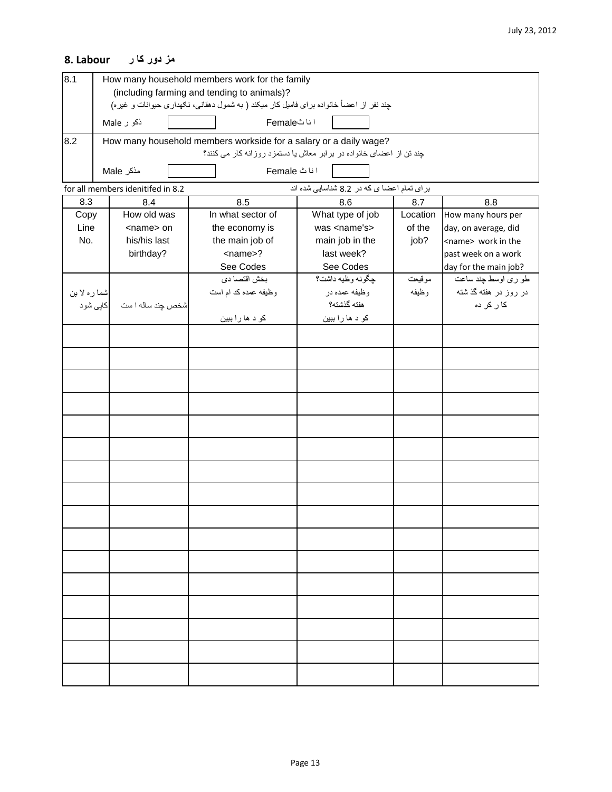# **مز دور کا ر Labour 8.**

| 8.1                                                                             | How many household members work for the family<br>(including farming and tending to animals)? |                   |                                                                                         |                                                                     |          |                           |  |  |  |
|---------------------------------------------------------------------------------|-----------------------------------------------------------------------------------------------|-------------------|-----------------------------------------------------------------------------------------|---------------------------------------------------------------------|----------|---------------------------|--|--|--|
|                                                                                 |                                                                                               |                   | چند نفر از اعضاً خانواده برای فامیل کار میکند ( به شمول دهقانی، نکهداری حیوانات و غیره) |                                                                     |          |                           |  |  |  |
|                                                                                 |                                                                                               |                   | انا ٹFemale                                                                             |                                                                     |          |                           |  |  |  |
|                                                                                 |                                                                                               | ذکو ر Male        |                                                                                         |                                                                     |          |                           |  |  |  |
| 8.2                                                                             |                                                                                               |                   | How many household members workside for a salary or a daily wage?                       |                                                                     |          |                           |  |  |  |
|                                                                                 |                                                                                               |                   |                                                                                         | چند تن از اعضای خانواده در برابر معاش یا دستمزد روزانه کار می کنند؟ |          |                           |  |  |  |
|                                                                                 |                                                                                               | مذكر Male         | اناٹ Female                                                                             |                                                                     |          |                           |  |  |  |
| برای تمام اعضا ی که در 8.2 شناسایی شده اند<br>for all members idenitifed in 8.2 |                                                                                               |                   |                                                                                         |                                                                     |          |                           |  |  |  |
| 8.3                                                                             |                                                                                               | 8.4               | 8.5                                                                                     | 8.6                                                                 | 8.7      | 8.8                       |  |  |  |
| Copy                                                                            |                                                                                               | How old was       | In what sector of                                                                       | What type of job                                                    | Location | How many hours per        |  |  |  |
| Line                                                                            |                                                                                               | <name> on</name>  | the economy is                                                                          | was <name's></name's>                                               | of the   | day, on average, did      |  |  |  |
| No.                                                                             |                                                                                               | his/his last      | the main job of                                                                         | main job in the                                                     | job?     | <name> work in the</name> |  |  |  |
|                                                                                 |                                                                                               | birthday?         | <name>?</name>                                                                          | last week?                                                          |          | past week on a work       |  |  |  |
|                                                                                 |                                                                                               |                   | See Codes                                                                               | See Codes                                                           |          | day for the main job?     |  |  |  |
|                                                                                 |                                                                                               |                   | بخش اقتصا دى                                                                            | جگونه وظيه داشت؟                                                    | موقيعت   | طو ری اوسط چند ساعت       |  |  |  |
| شما ره لا بن                                                                    |                                                                                               |                   | وظیفه عمده کد ام است                                                                    | وظيفه عمده در                                                       | وظيفه    | در روز در هفته گذشته      |  |  |  |
|                                                                                 | کاپی شود                                                                                      | شخص چند ساله ۱ ست |                                                                                         | هفته گذشته؟                                                         |          | کا رکر دہ                 |  |  |  |
|                                                                                 |                                                                                               |                   | کو د ها را ببين                                                                         | کو د ها را ببين                                                     |          |                           |  |  |  |
|                                                                                 |                                                                                               |                   |                                                                                         |                                                                     |          |                           |  |  |  |
|                                                                                 |                                                                                               |                   |                                                                                         |                                                                     |          |                           |  |  |  |
|                                                                                 |                                                                                               |                   |                                                                                         |                                                                     |          |                           |  |  |  |
|                                                                                 |                                                                                               |                   |                                                                                         |                                                                     |          |                           |  |  |  |
|                                                                                 |                                                                                               |                   |                                                                                         |                                                                     |          |                           |  |  |  |
|                                                                                 |                                                                                               |                   |                                                                                         |                                                                     |          |                           |  |  |  |
|                                                                                 |                                                                                               |                   |                                                                                         |                                                                     |          |                           |  |  |  |
|                                                                                 |                                                                                               |                   |                                                                                         |                                                                     |          |                           |  |  |  |
|                                                                                 |                                                                                               |                   |                                                                                         |                                                                     |          |                           |  |  |  |
|                                                                                 |                                                                                               |                   |                                                                                         |                                                                     |          |                           |  |  |  |
|                                                                                 |                                                                                               |                   |                                                                                         |                                                                     |          |                           |  |  |  |
|                                                                                 |                                                                                               |                   |                                                                                         |                                                                     |          |                           |  |  |  |
|                                                                                 |                                                                                               |                   |                                                                                         |                                                                     |          |                           |  |  |  |
|                                                                                 |                                                                                               |                   |                                                                                         |                                                                     |          |                           |  |  |  |
|                                                                                 |                                                                                               |                   |                                                                                         |                                                                     |          |                           |  |  |  |
|                                                                                 |                                                                                               |                   |                                                                                         |                                                                     |          |                           |  |  |  |
|                                                                                 |                                                                                               |                   |                                                                                         |                                                                     |          |                           |  |  |  |
|                                                                                 |                                                                                               |                   |                                                                                         |                                                                     |          |                           |  |  |  |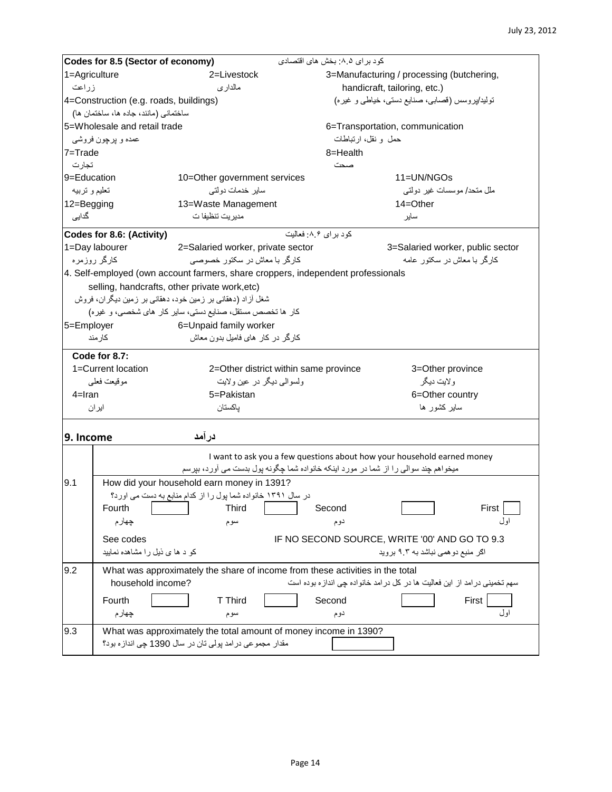|               | Codes for 8.5 (Sector of economy)                                                | كود براي ٨.٥: بخش هاي اقتصادي                                                       |  |  |  |  |  |
|---------------|----------------------------------------------------------------------------------|-------------------------------------------------------------------------------------|--|--|--|--|--|
| 1=Agriculture | 2=Livestock                                                                      | 3=Manufacturing / processing (butchering,                                           |  |  |  |  |  |
| زراعت         | مالداري                                                                          | handicraft, tailoring, etc.)                                                        |  |  |  |  |  |
|               | 4=Construction (e.g. roads, buildings)                                           | تولید/پروسس (قصابی، صنایع دستی، خیاطی و غیره)                                       |  |  |  |  |  |
|               | ساختمانی (مانند، جاده ها، ساختمان ها)                                            |                                                                                     |  |  |  |  |  |
|               | 5=Wholesale and retail trade                                                     | 6=Transportation, communication                                                     |  |  |  |  |  |
|               | عمده و پرچون فروشي                                                               | حمل و نقل، ارتباطات                                                                 |  |  |  |  |  |
| $7 =$ Trade   |                                                                                  | 8=Health                                                                            |  |  |  |  |  |
| تجار ت        |                                                                                  | صحت                                                                                 |  |  |  |  |  |
| 9=Education   | 10=Other government services                                                     | 11=UN/NGOs                                                                          |  |  |  |  |  |
| تعليم و تربيه | سایر خدمات دولتی                                                                 | ملل متحد/ موسسات غیر دولتی                                                          |  |  |  |  |  |
| 12=Begging    | 13=Waste Management                                                              | $14 = Other$                                                                        |  |  |  |  |  |
| گداپی         | مدیریت تنظیفا ت                                                                  | ساير                                                                                |  |  |  |  |  |
|               | Codes for 8.6: (Activity)                                                        | کود بر ای ۸.۶: فعالیت                                                               |  |  |  |  |  |
|               | 1=Day labourer<br>2=Salaried worker, private sector                              | 3=Salaried worker, public sector                                                    |  |  |  |  |  |
|               | کارگر با معاش در سکتور خصوصی<br>كارگر روزمره                                     | کارگر با معاش در سکنور عامه                                                         |  |  |  |  |  |
|               | 4. Self-employed (own account farmers, share croppers, independent professionals |                                                                                     |  |  |  |  |  |
|               | selling, handcrafts, other private work, etc)                                    |                                                                                     |  |  |  |  |  |
|               | شغل آزاد (دهقانی بر زمین خود، دهقانی بر زمین دیگران، فروش                        |                                                                                     |  |  |  |  |  |
|               | کار ها تخصص مستقل، صنایع دستی، سایر کار های شخصی، و غیره)                        |                                                                                     |  |  |  |  |  |
|               | 6=Unpaid family worker<br>5=Employer                                             |                                                                                     |  |  |  |  |  |
|               | کارگر در کار های فامیل بدون معاش<br>كار مند                                      |                                                                                     |  |  |  |  |  |
|               |                                                                                  |                                                                                     |  |  |  |  |  |
|               | Code for 8.7:                                                                    |                                                                                     |  |  |  |  |  |
|               | 1=Current location<br>2=Other district within same province                      | 3=Other province                                                                    |  |  |  |  |  |
|               | ولسوالمي ديگر در عين ولايت<br>موقيعت فعلمي                                       | ولايت ديگر                                                                          |  |  |  |  |  |
| $4=$ Iran     | 5=Pakistan                                                                       | 6=Other country                                                                     |  |  |  |  |  |
|               | باكستان<br>ایران                                                                 | سایر کشور ها                                                                        |  |  |  |  |  |
|               |                                                                                  |                                                                                     |  |  |  |  |  |
| 9. Income     | درآمد                                                                            |                                                                                     |  |  |  |  |  |
|               |                                                                                  | I want to ask you a few questions about how your household earned money             |  |  |  |  |  |
|               |                                                                                  | میخواهم چند سوالی را از شما در مورد اینکه خانواده شما چگونه پول بدست می آورد، بپرسم |  |  |  |  |  |
| 9.1           | How did your household earn money in 1391?                                       |                                                                                     |  |  |  |  |  |
|               | در سال ۱۳۹۱ خانواده شما پول را از کدام منابع به دست می اورد؟                     |                                                                                     |  |  |  |  |  |
|               | Fourth<br>Third                                                                  | Second<br>First                                                                     |  |  |  |  |  |
|               | چھار م<br>سوم                                                                    | او ل<br>دوم                                                                         |  |  |  |  |  |
|               |                                                                                  |                                                                                     |  |  |  |  |  |
|               | See codes                                                                        | IF NO SECOND SOURCE, WRITE '00' AND GO TO 9.3                                       |  |  |  |  |  |
|               | کو د ها ی ذیل را مشاهده نمایید                                                   | اگر منبع دو همی نباشد به ۹.۳ بروید                                                  |  |  |  |  |  |
| 9.2           | What was approximately the share of income from these activities in the total    |                                                                                     |  |  |  |  |  |
|               | household income?                                                                | سهم تخمینی در امد از این فعالیت ها در کل در امد خانواده چی انداز ه بوده است         |  |  |  |  |  |
|               | T Third<br>Fourth                                                                | First<br>Second                                                                     |  |  |  |  |  |
|               | چهار م<br>سوم                                                                    | اول<br>دوم                                                                          |  |  |  |  |  |
|               |                                                                                  |                                                                                     |  |  |  |  |  |
| 9.3           | What was approximately the total amount of money income in 1390?                 |                                                                                     |  |  |  |  |  |
|               | مقدار مجموعي درامد پولي تان در سال 1390 چي اندازه بود؟                           |                                                                                     |  |  |  |  |  |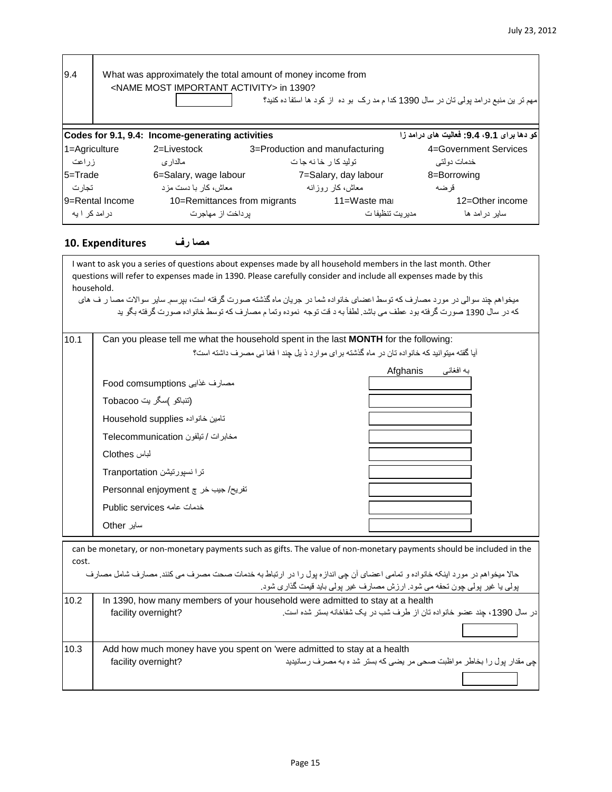| 9.4<br>What was approximately the total amount of money income from<br><name activity="" important="" most=""> in 1390?<br/>مهم نر بن منبع در امد پولمی تان در سال 1390 کدا م مد رک بو ده از کود ها استفا ده کنید؟</name> |                                                                                               |                       |                                |                       |  |  |  |  |  |
|---------------------------------------------------------------------------------------------------------------------------------------------------------------------------------------------------------------------------|-----------------------------------------------------------------------------------------------|-----------------------|--------------------------------|-----------------------|--|--|--|--|--|
|                                                                                                                                                                                                                           | كو دها براي 9.1، 9.4: فعاليت هاي درامد زا<br>Codes for 9.1, 9.4: Income-generating activities |                       |                                |                       |  |  |  |  |  |
| 1=Agriculture                                                                                                                                                                                                             |                                                                                               | 2=Livestock           | 3=Production and manufacturing | 4=Government Services |  |  |  |  |  |
| ز ر اعت                                                                                                                                                                                                                   |                                                                                               | مالدار ي              | تولید کا ر خا نه جا ت          | خدمات دو لتے ِ        |  |  |  |  |  |
| 5=Trade                                                                                                                                                                                                                   |                                                                                               | 6=Salary, wage labour | 7=Salary, day labour           | 8=Borrowing           |  |  |  |  |  |
| تجار ت                                                                                                                                                                                                                    |                                                                                               | معاش، کار با دست مز د | معاش،کار روزانه                | قر ضبه                |  |  |  |  |  |
| 10=Remittances from migrants<br>l9=Rental Income                                                                                                                                                                          |                                                                                               |                       | 11=Waste mai                   | 12=Other income       |  |  |  |  |  |
| در امد کر ۱ به                                                                                                                                                                                                            |                                                                                               | بر داخت از  مهاجر ت   | مدیر یت تنظیفا ت               | سابر در امد ها        |  |  |  |  |  |

#### **مصا رف Expenditures 10.**

I want to ask you a series of questions about expenses made by all household members in the last month. Other questions will refer to expenses made in 1390. Please carefully consider and include all expenses made by this household. میخواهم چند سوالی در مورد مصارف که توسط اعضای خانواده شما در جریان ماه گذشته صورت گرفته است، بپرسم. سایر سواالت مصا ر ف های كه در سال 1390 صورت گرفته بود عطف مي باشد. لطفاً به د قت توجه نموده وتما م مصارف كه توسط خانواده صورت گرفته بگو يد 10.1 Can you please tell me what the household spent in the last **MONTH** for the following: آیا گفته میتوانید که خانواده تان در ماه گذشته برای موارد ذ یل چند ا فغا نی مصرف داشته است؟ به افغانی Afghanis مصارف غذایی comsumptions Food (تنباکو (سگر یت Tobacoo تامین خانواده supplies Household مخابرات / تیلفون Telecommunication لباس Clothes ترا نسپورتیشن Tranportation تفریح/ جیب خر چ enjoyment Personnal خدمات عامه services Public سایر Other Now I would like to ask you about how much your household and all its members spend on health services. Expenditures can be monetary, or non-monetary payments such as gifts. The value of non-monetary payments should be included in the cost. حاال میخواهم در مورد اینکه خانواده و تمامی اعضای آن چی اندازه پول را در ارتباط به خدمات صحت مصرف می کنند. مصارف شامل مصارف پولی یا غیر پولی چون تحفه می شود. ارزش مصارف غیر پولی باید قیمت گذاری شود. 10.2 | In 1390, how many members of your household were admitted to stay at a health در سال ،1390 چند عضو خانواده تان از طرف شب در یک شفاخانه بستر شده است. ?overnight facility  $\Gamma$ 

| 10.3 |                     | Add how much money have you spent on 'were admitted to stay at a health |
|------|---------------------|-------------------------------------------------------------------------|
|      | facility overnight? | چی مقدار پول را بخاطر مواظبت صحی مر یضی که بستر شد ه به مصرف رسانیدید   |
|      |                     |                                                                         |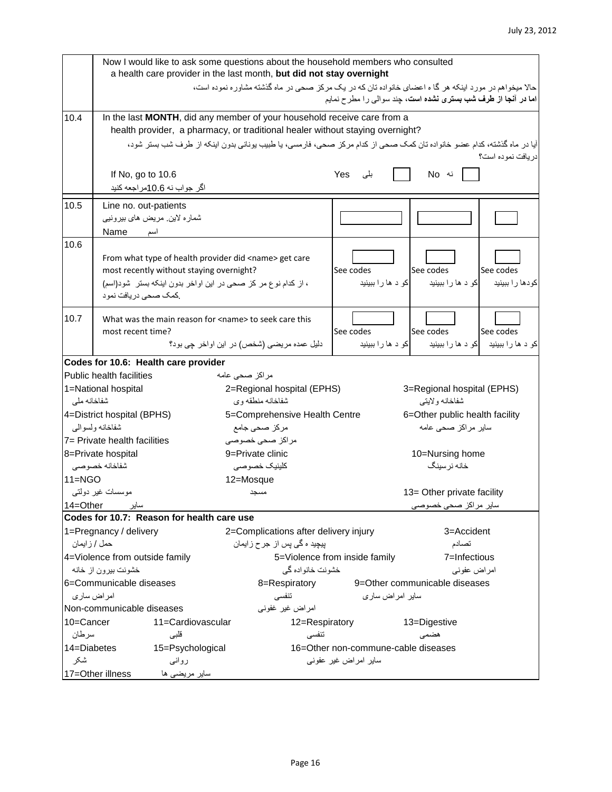#### July 23, 2012

|              | Now I would like to ask some questions about the household members who consulted<br>a health care provider in the last month, but did not stay overnight |                                                                                                                        |                                     |                                                                            |                     |  |  |  |
|--------------|----------------------------------------------------------------------------------------------------------------------------------------------------------|------------------------------------------------------------------------------------------------------------------------|-------------------------------------|----------------------------------------------------------------------------|---------------------|--|--|--|
|              |                                                                                                                                                          | حالا میخواهم در مورد اینکه هر گا ه اعضای خانواده تان که در یک مرکز صحی در ماه گذشته مشاوره نموده است،                  |                                     | ا <b>ما در آنجا از طرف شب بستري نشده است</b> ، چند سوالي را مطر ح نمايم    |                     |  |  |  |
|              |                                                                                                                                                          |                                                                                                                        |                                     |                                                                            |                     |  |  |  |
| 10.4         | In the last MONTH, did any member of your household receive care from a                                                                                  |                                                                                                                        |                                     |                                                                            |                     |  |  |  |
|              |                                                                                                                                                          | health provider, a pharmacy, or traditional healer without staying overnight?                                          |                                     |                                                                            |                     |  |  |  |
|              |                                                                                                                                                          | آیا در ماه گذشته، کدام عضو خانواده تان کمک صحی از کدام مرکز صحی، فارمسی، یا طبیب پونانی بدون اینکه از طرف شب بستر شود، |                                     |                                                                            |                     |  |  |  |
|              |                                                                                                                                                          |                                                                                                                        |                                     |                                                                            | در یافت نمو ده است؟ |  |  |  |
|              | If No, go to 10.6                                                                                                                                        |                                                                                                                        | Yes<br>بلے ،                        | نه No                                                                      |                     |  |  |  |
|              | اگر جواب نه 10.6مر اجعه کنید                                                                                                                             |                                                                                                                        |                                     |                                                                            |                     |  |  |  |
| 10.5         | Line no. out-patients                                                                                                                                    |                                                                                                                        |                                     |                                                                            |                     |  |  |  |
|              | شماره لاين مريض هاي بيرونيي                                                                                                                              |                                                                                                                        |                                     |                                                                            |                     |  |  |  |
|              | Name<br>أسم                                                                                                                                              |                                                                                                                        |                                     |                                                                            |                     |  |  |  |
| 10.6         |                                                                                                                                                          |                                                                                                                        |                                     |                                                                            |                     |  |  |  |
|              | From what type of health provider did <name> get care</name>                                                                                             |                                                                                                                        |                                     |                                                                            |                     |  |  |  |
|              | most recently without staying overnight?                                                                                                                 |                                                                                                                        | See codes                           | See codes                                                                  | See codes           |  |  |  |
|              | ، از کدام نوع مر کز صحی در این اواخر بدون اینکه بستر شود(اسم)                                                                                            |                                                                                                                        |                                     | کو د ها را ببينيد   کو د ها را ببينيد                                      | كودها را ببينيد     |  |  |  |
|              | كمك صحى دريافت نمود                                                                                                                                      |                                                                                                                        |                                     |                                                                            |                     |  |  |  |
| 10.7         | What was the main reason for <name> to seek care this</name>                                                                                             |                                                                                                                        |                                     |                                                                            |                     |  |  |  |
|              | most recent time?                                                                                                                                        |                                                                                                                        | See codes                           | See codes                                                                  | See codes           |  |  |  |
|              |                                                                                                                                                          | دليل عمده مريضي (شخص) در اين اواخر جي بود؟                                                                             |                                     | کو د ها را ببينيد د <mark>کو د ها را ببينيد د د ا</mark> کو د ها را ببينيد |                     |  |  |  |
|              | Codes for 10.6: Health care provider                                                                                                                     |                                                                                                                        |                                     |                                                                            |                     |  |  |  |
|              | <b>Public health facilities</b>                                                                                                                          | مر اکز ۔صحی عامه                                                                                                       |                                     |                                                                            |                     |  |  |  |
|              | 1=National hospital                                                                                                                                      | 2=Regional hospital (EPHS)                                                                                             |                                     | 3=Regional hospital (EPHS)                                                 |                     |  |  |  |
| شفاخانه ملى  |                                                                                                                                                          | شفاخانه منطقه وي                                                                                                       |                                     | شفاخانه ولايتي                                                             |                     |  |  |  |
|              | 4=District hospital (BPHS)                                                                                                                               | 5=Comprehensive Health Centre<br>6=Other public health facility                                                        |                                     |                                                                            |                     |  |  |  |
|              | شفاخانه ولسوالي                                                                                                                                          | مركز صحى جامع<br>سایر مراکز صحی عامه                                                                                   |                                     |                                                                            |                     |  |  |  |
|              | 7= Private health facilities                                                                                                                             | مراكز صحى خصوصى                                                                                                        |                                     |                                                                            |                     |  |  |  |
|              | 8=Private hospital                                                                                                                                       | 9=Private clinic                                                                                                       |                                     | 10=Nursing home                                                            |                     |  |  |  |
|              | شفاخانه خصوصي                                                                                                                                            | كلينيك خصوصي                                                                                                           |                                     | خانه نرسينگ                                                                |                     |  |  |  |
| $11 = NGO$   |                                                                                                                                                          | 12=Mosque                                                                                                              |                                     |                                                                            |                     |  |  |  |
|              | موسسات غیر دولتبی                                                                                                                                        | مسجد                                                                                                                   |                                     | 13= Other private facility                                                 |                     |  |  |  |
| 14=Other     | ساير                                                                                                                                                     |                                                                                                                        |                                     | سایر مراکز صحی خصوصی                                                       |                     |  |  |  |
|              | Codes for 10.7: Reason for health care use                                                                                                               |                                                                                                                        |                                     |                                                                            |                     |  |  |  |
| حمل / زايمان | 1=Pregnancy / delivery                                                                                                                                   | 2=Complications after delivery injury                                                                                  |                                     | 3=Accident                                                                 |                     |  |  |  |
|              | 4=Violence from outside family                                                                                                                           | پیچید ہ گ <i>ی</i> پس از جرح زایما <i>ن</i>                                                                            | 5=Violence from inside family       | تصادم<br>7=Infectious                                                      |                     |  |  |  |
|              | خشونت بیرون از خانه                                                                                                                                      | خشونت خانواده گي                                                                                                       |                                     | امراض عفوني                                                                |                     |  |  |  |
|              | 6=Communicable diseases                                                                                                                                  | 8=Respiratory                                                                                                          |                                     | 9=Other communicable diseases                                              |                     |  |  |  |
|              | امر اض سار ي                                                                                                                                             | تنفسى                                                                                                                  | سایر امراض ساری                     |                                                                            |                     |  |  |  |
|              | Non-communicable diseases                                                                                                                                | امراض غیر غفونی                                                                                                        |                                     |                                                                            |                     |  |  |  |
| 10=Cancer    | 11=Cardiovascular                                                                                                                                        | 12=Respiratory                                                                                                         |                                     | 13=Digestive                                                               |                     |  |  |  |
| سرطان        | قلبي                                                                                                                                                     | تنفسى                                                                                                                  |                                     | هضمى                                                                       |                     |  |  |  |
| 14=Diabetes  | 15=Psychological                                                                                                                                         |                                                                                                                        | 16=Other non-commune-cable diseases |                                                                            |                     |  |  |  |
| شكر          | رواني                                                                                                                                                    |                                                                                                                        | سایر امراض غیر عفونی                |                                                                            |                     |  |  |  |
|              | 17=Other illness<br>سایر مریضی ها                                                                                                                        |                                                                                                                        |                                     |                                                                            |                     |  |  |  |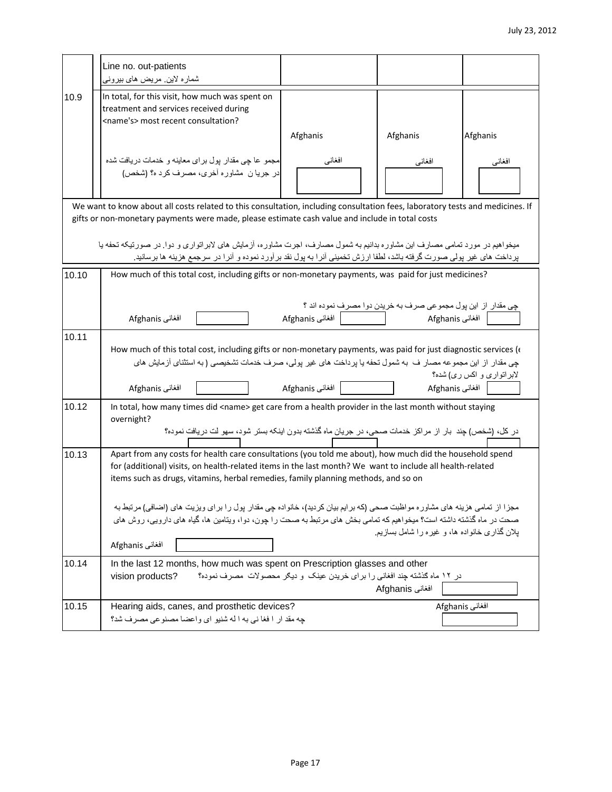|       | Line no. out-patients                                                                                                                                                                                                                            |                                                                          |                                                              |                           |
|-------|--------------------------------------------------------------------------------------------------------------------------------------------------------------------------------------------------------------------------------------------------|--------------------------------------------------------------------------|--------------------------------------------------------------|---------------------------|
|       | شمارہ لاین مریض های بیرونی                                                                                                                                                                                                                       |                                                                          |                                                              |                           |
| 10.9  | In total, for this visit, how much was spent on                                                                                                                                                                                                  |                                                                          |                                                              |                           |
|       | treatment and services received during                                                                                                                                                                                                           |                                                                          |                                                              |                           |
|       | <name's> most recent consultation?</name's>                                                                                                                                                                                                      |                                                                          |                                                              |                           |
|       |                                                                                                                                                                                                                                                  | Afghanis                                                                 | Afghanis                                                     | Afghanis                  |
|       |                                                                                                                                                                                                                                                  |                                                                          |                                                              |                           |
|       | مجمو عا چی مقدار پول برای معاینه و خدمات دریافت شده<br>در جريان مشاوره أخرى، مصرف كرد ه؟ (شخص)                                                                                                                                                   | افغاني                                                                   | افغانى                                                       | افغاني                    |
|       |                                                                                                                                                                                                                                                  |                                                                          |                                                              |                           |
|       |                                                                                                                                                                                                                                                  |                                                                          |                                                              |                           |
|       | We want to know about all costs related to this consultation, including consultation fees, laboratory tests and medicines. If                                                                                                                    |                                                                          |                                                              |                           |
|       | gifts or non-monetary payments were made, please estimate cash value and include in total costs                                                                                                                                                  |                                                                          |                                                              |                           |
|       | میخواهیم در مورد تمامی مصارف این مشاوره بدانیم به شمول مصارف، اجرت مشاوره، آزمایش های لابراتواری و دوا. در صورتیكه تحفه یا                                                                                                                       |                                                                          |                                                              |                           |
|       | پرداخت هاي غير پولمي صورت گرفته باشد، لطفا ارزش تخميني أنرا به پول نقد برأورد نموده و أنرا در سرجمع هزينه ها برسانيد                                                                                                                             |                                                                          |                                                              |                           |
|       |                                                                                                                                                                                                                                                  |                                                                          |                                                              |                           |
| 10.10 | How much of this total cost, including gifts or non-monetary payments, was paid for just medicines?                                                                                                                                              |                                                                          |                                                              |                           |
|       |                                                                                                                                                                                                                                                  |                                                                          |                                                              |                           |
|       |                                                                                                                                                                                                                                                  |                                                                          | چي مقدار از اين پول مجموعي صرف به خريدن دوا مصرف نموده اند ؟ |                           |
|       | Afghanis افغانی                                                                                                                                                                                                                                  |                                                                          |                                                              |                           |
| 10.11 |                                                                                                                                                                                                                                                  |                                                                          |                                                              |                           |
|       | How much of this total cost, including gifts or non-monetary payments, was paid for just diagnostic services ( $\epsilon$                                                                                                                        |                                                                          |                                                              |                           |
|       | چی مقدار از این مجموعه مصار ف به شمول تحفه یا پرداخت های غیر پولی، صرف خدمات تشخیصی (به استثنای آزمایش های                                                                                                                                       |                                                                          |                                                              | لابراتواری و اکس ری) شده؟ |
|       | Afghanis افغانی                                                                                                                                                                                                                                  | افغانی Afghanis                                                          | Afghanis                                                     |                           |
|       |                                                                                                                                                                                                                                                  |                                                                          |                                                              |                           |
| 10.12 | In total, how many times did <name> get care from a health provider in the last month without staying</name>                                                                                                                                     |                                                                          |                                                              |                           |
|       | overnight?<br>در كل، (شخص) چند بار از مراكز خدمات صحي، در جريان ماه گذشته بدون اينكه بستر شود، سهو لت دريافت نموده؟                                                                                                                              |                                                                          |                                                              |                           |
|       |                                                                                                                                                                                                                                                  |                                                                          |                                                              |                           |
| 10.13 | Apart from any costs for health care consultations (you told me about), how much did the household spend                                                                                                                                         |                                                                          |                                                              |                           |
|       | for (additional) visits, on health-related items in the last month? We want to include all health-related                                                                                                                                        |                                                                          |                                                              |                           |
|       | items such as drugs, vitamins, herbal remedies, family planning methods, and so on                                                                                                                                                               |                                                                          |                                                              |                           |
|       |                                                                                                                                                                                                                                                  |                                                                          |                                                              |                           |
|       | مجزا از تمامي هزينه هاي مشاوره مواظبت صحي (كه برايم بيان كرديد)، خانواده چي مقدار پول را براي ويزيت هاي (اضافي) مرتبط به<br>صحت در ماه گذشته داشته است؟ میخواهیم که تمامی بخش های مرتبط به صحت را چون، دوا، ویتامین ها، گیاه های دارویی، روش های |                                                                          |                                                              |                           |
|       |                                                                                                                                                                                                                                                  |                                                                          | یلان گذاری خانواده ها، و غیره را شامل بسازیم.                |                           |
|       | Afghanis افغانی                                                                                                                                                                                                                                  |                                                                          |                                                              |                           |
|       |                                                                                                                                                                                                                                                  |                                                                          |                                                              |                           |
| 10.14 | In the last 12 months, how much was spent on Prescription glasses and other                                                                                                                                                                      | در ۱۲ ماه گذشته چند افغانی را برای خریدن عینک و دیگر محصولات مصرف نموده؟ |                                                              |                           |
|       | vision products?                                                                                                                                                                                                                                 |                                                                          | Afghanis افغانی                                              |                           |
|       |                                                                                                                                                                                                                                                  |                                                                          |                                                              |                           |
| 10.15 | Hearing aids, canes, and prosthetic devices?<br>جه مقد ار ا فغا ني به ا له شنيو اي واعضا مصنوعي مصرف شد؟                                                                                                                                         |                                                                          |                                                              | افغانی Afghanis           |
|       |                                                                                                                                                                                                                                                  |                                                                          |                                                              |                           |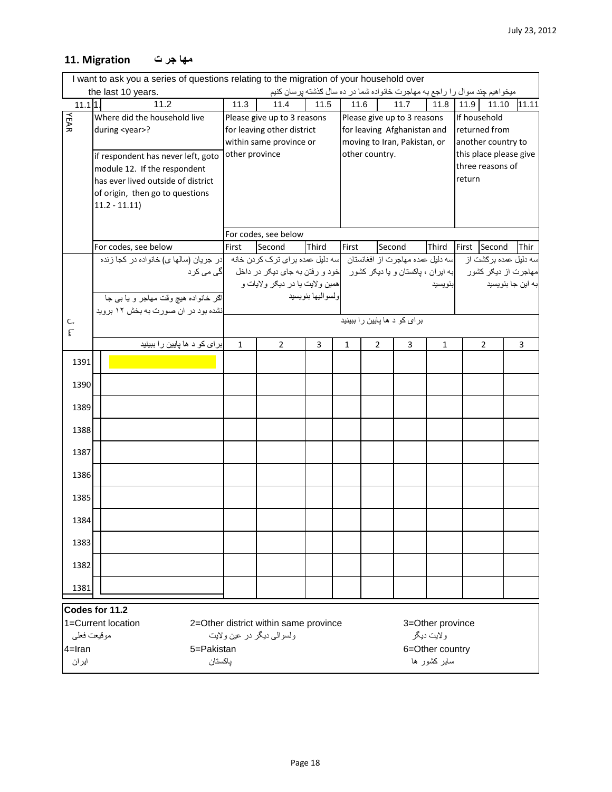## **مها جر ت Migration 11.**

| I want to ask you a series of questions relating to the migration of your household over         |                                                                                                            |                         |                                                                                                              |                   |       |                              |                              |                  |        |                        |       |
|--------------------------------------------------------------------------------------------------|------------------------------------------------------------------------------------------------------------|-------------------------|--------------------------------------------------------------------------------------------------------------|-------------------|-------|------------------------------|------------------------------|------------------|--------|------------------------|-------|
| میخواهیم چند سوال را راجع به مهاجرت خانواده شما در ده سال گذشته پرسان کنیم<br>the last 10 years. |                                                                                                            |                         |                                                                                                              |                   |       |                              |                              |                  |        |                        |       |
| $11.1$ <sup>1</sup> .                                                                            | 11.2                                                                                                       | 11.3                    | 11.4                                                                                                         | 11.5              | 11.6  |                              | 11.7                         | 11.8             | 11.9   | 11.10                  | 11.11 |
| YEAR                                                                                             | Where did the household live                                                                               |                         | Please give up to 3 reasons                                                                                  |                   |       |                              | Please give up to 3 reasons  |                  |        | If household           |       |
|                                                                                                  | during <year>?</year>                                                                                      |                         | for leaving other district                                                                                   |                   |       |                              | for leaving Afghanistan and  |                  |        | returned from          |       |
|                                                                                                  |                                                                                                            | within same province or |                                                                                                              |                   |       |                              | moving to Iran, Pakistan, or |                  |        | another country to     |       |
|                                                                                                  | if respondent has never left, goto                                                                         | other province          |                                                                                                              |                   |       | other country.               |                              |                  |        | this place please give |       |
|                                                                                                  | module 12. If the respondent                                                                               |                         |                                                                                                              |                   |       |                              |                              |                  | return | three reasons of       |       |
|                                                                                                  | has ever lived outside of district                                                                         |                         |                                                                                                              |                   |       |                              |                              |                  |        |                        |       |
|                                                                                                  | of origin, then go to questions                                                                            |                         |                                                                                                              |                   |       |                              |                              |                  |        |                        |       |
|                                                                                                  | $11.2 - 11.11$                                                                                             |                         |                                                                                                              |                   |       |                              |                              |                  |        |                        |       |
|                                                                                                  |                                                                                                            |                         |                                                                                                              |                   |       |                              |                              |                  |        |                        |       |
|                                                                                                  | For codes, see below                                                                                       |                         | For codes, see below<br>Second                                                                               | Third             | First | Second                       |                              |                  |        | Second                 | Thir  |
|                                                                                                  | اسه دلیل عمده مهاجرت از افغانستان اسه دلیل عمده برای ترک کردن خانه ادر جریان (سالها ی) خانواده در کجا زنده | First                   |                                                                                                              |                   |       |                              |                              | Third            | First  | سه دلیل عمده برگشت از  |       |
|                                                                                                  |                                                                                                            |                         | مهاجرت از دیگر کشور      إبه ایران ، پاکستان و یا دیگر کشور     خود و رفتن به جای دیگر در داخل     گی می کرد |                   |       |                              |                              |                  |        |                        |       |
|                                                                                                  |                                                                                                            |                         | همین ولایت یا در دیگر ولایات و                                                                               |                   |       |                              |                              | بنويسيد          |        | به اين جا بنويسيد      |       |
|                                                                                                  | اگر خانواده هیچ وقت مهاجر و یا بی جا                                                                       |                         |                                                                                                              | ولسواليها بنويسيد |       |                              |                              |                  |        |                        |       |
|                                                                                                  | نشده بود در ان صورت به بخش ۱۲ بروید                                                                        |                         |                                                                                                              |                   |       |                              |                              |                  |        |                        |       |
| C                                                                                                |                                                                                                            |                         |                                                                                                              |                   |       | برای کو د ها پایین را ببینید |                              |                  |        |                        |       |
| $\mathsf{E}$                                                                                     |                                                                                                            |                         |                                                                                                              |                   |       |                              |                              |                  |        |                        |       |
|                                                                                                  | برای کو د ها پایین را ببینید                                                                               | $\mathbf{1}$            | $\overline{2}$                                                                                               | 3                 | 1     | 2                            | 3                            | $\mathbf{1}$     |        | $\overline{2}$         | 3     |
| 1391                                                                                             |                                                                                                            |                         |                                                                                                              |                   |       |                              |                              |                  |        |                        |       |
| 1390                                                                                             |                                                                                                            |                         |                                                                                                              |                   |       |                              |                              |                  |        |                        |       |
| 1389                                                                                             |                                                                                                            |                         |                                                                                                              |                   |       |                              |                              |                  |        |                        |       |
| 1388                                                                                             |                                                                                                            |                         |                                                                                                              |                   |       |                              |                              |                  |        |                        |       |
| 1387                                                                                             |                                                                                                            |                         |                                                                                                              |                   |       |                              |                              |                  |        |                        |       |
| 1386                                                                                             |                                                                                                            |                         |                                                                                                              |                   |       |                              |                              |                  |        |                        |       |
|                                                                                                  |                                                                                                            |                         |                                                                                                              |                   |       |                              |                              |                  |        |                        |       |
| 1385                                                                                             |                                                                                                            |                         |                                                                                                              |                   |       |                              |                              |                  |        |                        |       |
| 1384                                                                                             |                                                                                                            |                         |                                                                                                              |                   |       |                              |                              |                  |        |                        |       |
| 1383                                                                                             |                                                                                                            |                         |                                                                                                              |                   |       |                              |                              |                  |        |                        |       |
| 1382                                                                                             |                                                                                                            |                         |                                                                                                              |                   |       |                              |                              |                  |        |                        |       |
| 1381                                                                                             |                                                                                                            |                         |                                                                                                              |                   |       |                              |                              |                  |        |                        |       |
|                                                                                                  | Codes for 11.2                                                                                             |                         |                                                                                                              |                   |       |                              |                              |                  |        |                        |       |
|                                                                                                  | 1=Current location                                                                                         |                         | 2=Other district within same province                                                                        |                   |       |                              |                              | 3=Other province |        |                        |       |
| مو قيعت فعلى                                                                                     |                                                                                                            |                         | ولسوالمي ديگر در عين ولايت                                                                                   |                   |       |                              |                              | ولايت ديگر       |        |                        |       |
| $4 = Iran$                                                                                       | 5=Pakistan                                                                                                 |                         |                                                                                                              |                   |       |                              |                              | 6=Other country  |        |                        |       |
| ايران                                                                                            | باكستان                                                                                                    |                         |                                                                                                              |                   |       |                              |                              | سابر کشور ها     |        |                        |       |
|                                                                                                  |                                                                                                            |                         |                                                                                                              |                   |       |                              |                              |                  |        |                        |       |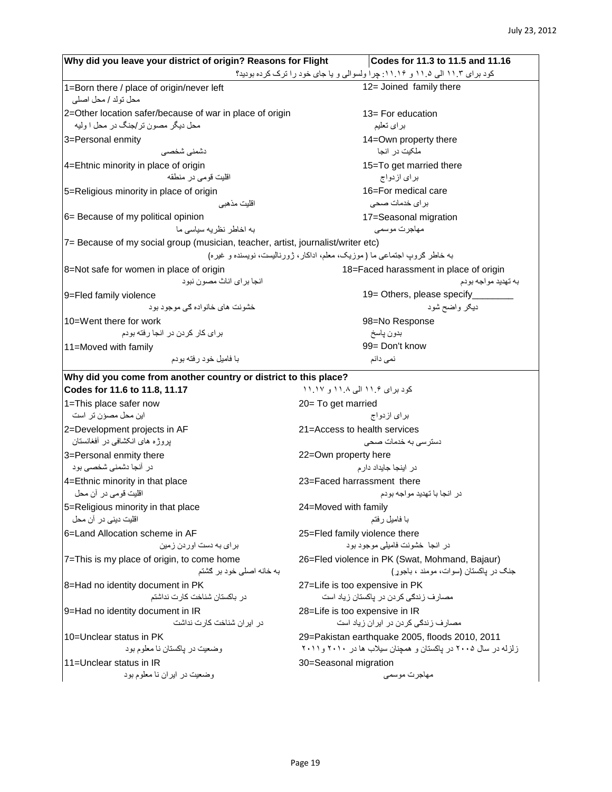| Why did you leave your district of origin? Reasons for Flight                    | Codes for 11.3 to 11.5 and 11.16                                            |
|----------------------------------------------------------------------------------|-----------------------------------------------------------------------------|
|                                                                                  | کود برای ۱۱.۳ الی ۱۱.۵ و ۱۱.۱۶: چرا ولسوالی و یا جای خود را ترک کرده بودید؟ |
| 1=Born there / place of origin/never left                                        | 12= Joined family there                                                     |
| محل تولد / محل اصلي                                                              |                                                                             |
| 2=Other location safer/because of war in place of origin                         | 13= For education                                                           |
| محل دیگر مصون تر /جنگ در محل ا ولیه                                              | براي تعليم                                                                  |
| 3=Personal enmity                                                                | 14=Own property there                                                       |
| دشمنى شخصى                                                                       | ملکیت در انجا                                                               |
| 4=Ehtnic minority in place of origin                                             | 15=To get married there                                                     |
| اقليت قومي در منطقه                                                              | براي ازدواج                                                                 |
| 5=Religious minority in place of origin                                          | 16=For medical care                                                         |
| اقلیت مذهبی                                                                      | برای خدمات صحی                                                              |
| 6= Because of my political opinion                                               | 17=Seasonal migration                                                       |
| به اخاطر نظریه سیاسی ما                                                          | مهاجرت موسمى                                                                |
| 7= Because of my social group (musician, teacher, artist, journalist/writer etc) |                                                                             |
|                                                                                  | به خاطر کروب اجتماعی ما (موزیک، معلم، اداکار، ژورنالیست، نویسنده و غیره)    |
| 8=Not safe for women in place of origin                                          | 18=Faced harassment in place of origin                                      |
| انجا بر ا <i>ی</i> اناث مصو ن نبو د                                              | به تهديد مو اجه بو دم                                                       |
| 9=Fled family violence                                                           | 19 = Others, please specify________                                         |
| خشو نت های خانو اده گی موجو د بو د                                               | ديګر واضح شود                                                               |
| 10=Went there for work                                                           | 98=No Response                                                              |
| بر ای کار کردن در انجا رفته بودم                                                 | بدون پاسخ                                                                   |
| 11=Moved with family                                                             | 99= Don't know                                                              |
| با فاميل خود رفته بودم                                                           | نمی دانم                                                                    |
| Why did you come from another country or district to this place?                 |                                                                             |
| Codes for 11.6 to 11.8, 11.17                                                    | کود برای ۱۱.۶ الی ۱۱.۸ و ۱۱.۱۷                                              |
| 1=This place safer now                                                           | 20= To get married                                                          |
| این محل مصؤن تر است                                                              | براي ازدواج                                                                 |
| 2=Development projects in AF                                                     | 21=Access to health services                                                |
| بروژه های انکشافی در أفغانستان                                                   | دستر سی به خدمات صحی                                                        |
| 3=Personal enmity there                                                          | 22=Own property here                                                        |
| در آنجا دشمنی شخصبی بود                                                          | در اینجا جایداد دار م                                                       |
| 4=Ethnic minority in that place                                                  | 23=Faced harrassment there                                                  |
| اقلیت قومی در أن محل                                                             | در انجا با تهدید مو اجه بو دم                                               |
| 5=Religious minority in that place                                               | 24=Moved with family                                                        |
| اقلیت دینی در آن محل                                                             | با فاميل رفتم                                                               |
|                                                                                  | 25=Fled family violence there                                               |
| 6=Land Allocation scheme in AF<br>برای به دست اوردن زمین                         | در انجا خشونت فاميلي موجود بود                                              |
|                                                                                  |                                                                             |
| 7=This is my place of origin, to come home                                       | 26=Fled violence in PK (Swat, Mohmand, Bajaur)                              |
| به خانه اصلی خود بر گشتم                                                         | جنگ در پاکستان (سوات، مومند ، باجوړ)                                        |
| 8=Had no identity document in PK                                                 | 27=Life is too expensive in PK                                              |
| در باكستان شناخت كارت نداشتم                                                     | مصارف زندگی کردن در پاکستان زیاد است                                        |
| 9=Had no identity document in IR                                                 | 28=Life is too expensive in IR                                              |
| در ایر ان شناخت کارت نداشت                                                       | مصارف زندگی کردن در ایران زیاد است                                          |
| 10=Unclear status in PK                                                          | 29=Pakistan earthquake 2005, floods 2010, 2011                              |
| وضعیت در یاکستان نا معلوم بود                                                    | زلزله در سال ۲۰۰۵ در پاکستان و همچنان سیلاب ها در ۲۰۱۰ و ۲۰۱۱               |
| 11=Unclear status in IR                                                          | 30=Seasonal migration                                                       |
| وضعیت در ایران نا معلوم بود                                                      | مهاجرت موسمى                                                                |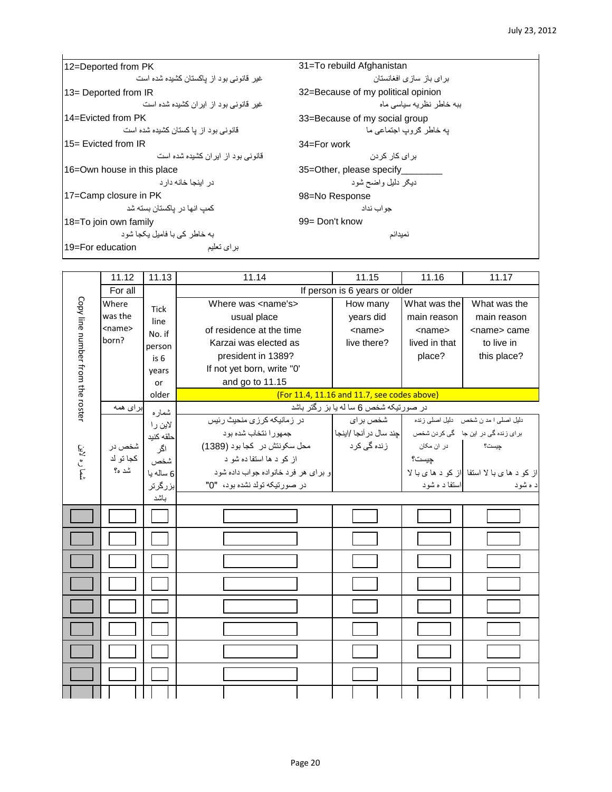| 12=Deported from PK                     | 31=To rebuild Afghanistan          |
|-----------------------------------------|------------------------------------|
| غیر قانونے بود از پاکستان کشیده شده است | بر ای باز ِ ساز ی افغانستان        |
| 13= Deported from IR                    | 32=Because of my political opinion |
| غیر قانونے بود از ابر ان کشیده شده است  | ىيە خاطر نظريە سياسى ماە           |
| 14=Evicted from PK                      | 33=Because of my social group      |
| قانو نے بو د از  یا کستان کشیده شده است | به خاطر گروب اجتماعی ما            |
| 15 = Evicted from IR                    | $34 = For work$                    |
| قانو نے یو د از ابر ان کشیدہ شدہ است    | بر ای کار  کر دن                   |
| 16=Own house in this place              | 35=Other, please specify           |
| در اینجا خانه دار د                     | ديګر دليل واضح شود                 |
| 17=Camp closure in PK                   | 98=No Response                     |
| کمب انها در  باکستان بسته شد            | حو اب نداد                         |
| 18=To join own family                   | 99 = Don't know                    |
| به خاطر کے با فامبل بکجا شود            | نميدانم                            |
| 19=For education<br>بر ای تعلیم         |                                    |

|                                  | 11.12        | 11.13       | 11.14                               | 11.15                                                             | 11.16         | 11.17                                       |
|----------------------------------|--------------|-------------|-------------------------------------|-------------------------------------------------------------------|---------------|---------------------------------------------|
|                                  | For all      |             |                                     | If person is 6 years or older                                     |               |                                             |
|                                  | Where        | <b>Tick</b> | Where was <name's></name's>         | How many                                                          | What was the  | What was the                                |
|                                  | was the      | line        | usual place                         | years did                                                         | main reason   | main reason                                 |
|                                  | $<$ name $>$ | No. if      | of residence at the time            | $<$ name $>$                                                      | $<$ name $>$  | <name> came</name>                          |
|                                  | born?        | person      | Karzai was elected as               | live there?                                                       | lived in that | to live in                                  |
|                                  |              | is 6        | president in 1389?                  |                                                                   | place?        | this place?                                 |
|                                  |              | vears       | If not yet born, write "0"          |                                                                   |               |                                             |
|                                  |              | or          | and go to 11.15                     |                                                                   |               |                                             |
| Copy line number from the roster |              | older       |                                     | (For 11.4, 11.16 and 11.7, see codes above)                       |               |                                             |
|                                  | برای همه     | شماره       |                                     | در صورتیکه شخص 6 سا له یا بز رگتر باشد                            |               |                                             |
|                                  |              | لاين ر ا    | در زمانیکه کرزی منحیث رئیس          | شخص برای                                                          |               | دلیل اصلی ا مد ن شخص دلیل اصلی زنده         |
|                                  |              | حلقه كنيد   | جمهورا نتخاب شده بود                | برای زنده گی در این جا گی کردن شخص معلومت ایند سال در آنجا /اینجا |               |                                             |
|                                  | شخص در       | اگر         | محل سکونتش در کجا بود (1389)        | زندہ گ <i>ی</i> کرد                                               | در ان مکان    | جيست؟                                       |
| شما ره لاين                      | كجا تو لد    | شخص         | از کو د ها استفا ده شو د            |                                                                   | چیست؟         |                                             |
|                                  | شد ه؟        | 6 ساله يا   | و برای هر فرد خانواده جواب داده شود |                                                                   |               | از کو د ها ی با لا استفا از کو د ها ی با لا |
|                                  |              | بزرگرتر     | در صورتيكه تولد نشده بود، "0"       |                                                                   | استفا د ه شود | د ه شود                                     |
|                                  |              | باشد        |                                     |                                                                   |               |                                             |
|                                  |              |             |                                     |                                                                   |               |                                             |
|                                  |              |             |                                     |                                                                   |               |                                             |
|                                  |              |             |                                     |                                                                   |               |                                             |
|                                  |              |             |                                     |                                                                   |               |                                             |
|                                  |              |             |                                     |                                                                   |               |                                             |
|                                  |              |             |                                     |                                                                   |               |                                             |
|                                  |              |             |                                     |                                                                   |               |                                             |
|                                  |              |             |                                     |                                                                   |               |                                             |
|                                  |              |             |                                     |                                                                   |               |                                             |
|                                  |              |             |                                     |                                                                   |               |                                             |
|                                  |              |             |                                     |                                                                   |               |                                             |
|                                  |              |             |                                     |                                                                   |               |                                             |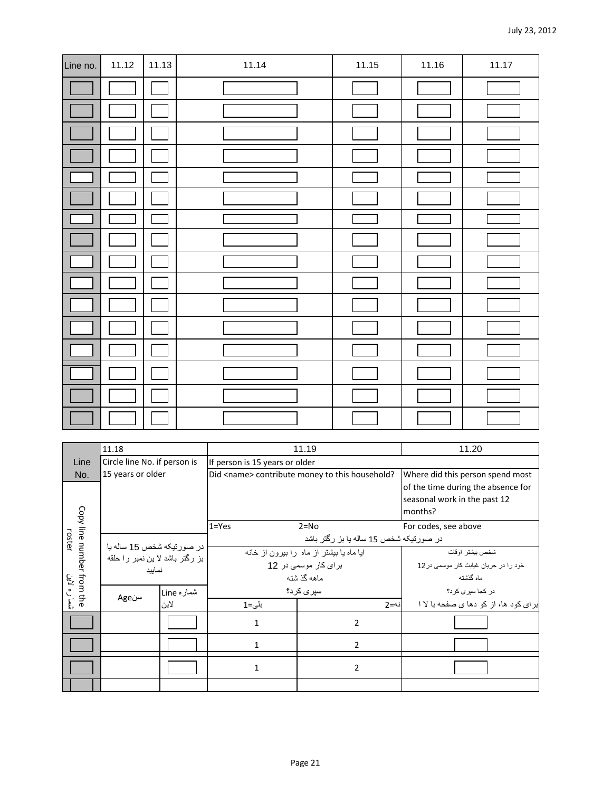| Line no. | 11.12 | 11.13 | 11.14 | 11.15 | 11.16 | 11.17 |
|----------|-------|-------|-------|-------|-------|-------|
|          |       |       |       |       |       |       |
|          |       |       |       |       |       |       |
|          |       |       |       |       |       |       |
|          |       |       |       |       |       |       |
|          |       |       |       |       |       |       |
|          |       |       |       |       |       |       |
|          |       |       |       |       |       |       |
|          |       |       |       |       |       |       |
|          |       |       |       |       |       |       |
|          |       |       |       |       |       |       |
|          |       |       |       |       |       |       |
|          |       |       |       |       |       |       |
|          |       |       |       |       |       |       |
|          |       |       |       |       |       |       |
|          |       |       |       |       |       |       |
|          |       |       |       |       |       |       |

|                                      | 11.18                                                        |            |                                | 11.19                                                                         | 11.20                                     |  |  |
|--------------------------------------|--------------------------------------------------------------|------------|--------------------------------|-------------------------------------------------------------------------------|-------------------------------------------|--|--|
| Line                                 | Circle line No. if person is                                 |            | If person is 15 years or older |                                                                               |                                           |  |  |
| No.                                  | 15 years or older                                            |            |                                | Did <name> contribute money to this household?</name>                         | Where did this person spend most          |  |  |
|                                      |                                                              |            |                                | of the time during the absence for<br>seasonal work in the past 12<br>months? |                                           |  |  |
|                                      |                                                              |            | $1 = Yes$                      | $2 = No$                                                                      | For codes, see above                      |  |  |
| roster                               |                                                              |            |                                | در صورتیکه شخص 15 ساله یا بز رگتر باشد                                        |                                           |  |  |
|                                      | در صورتیکه شخص 15 ساله یا<br>بز رگتر باشد لا بن نمبر را حلقه |            |                                | ایا ماه یا بیشتر از ماه را بیرون از خانه                                      | شخص بيشتر اوقات                           |  |  |
|                                      | نماييد                                                       |            | بر ای کار موسمی در 12          |                                                                               | خود را در جریان غیابت کار موسمی در 12     |  |  |
|                                      |                                                              |            |                                | ماهه گذشته                                                                    | ماه گذشته                                 |  |  |
| Copy line number from the<br>ره لاين |                                                              | شماره Line |                                | سپری کرد؟                                                                     | در کجا سیری کرد؟                          |  |  |
| Ę.                                   | سنAge                                                        | لاين       | بلى=1                          | نە=2                                                                          | بر ای کو د ها، از  کو  دها ی صفحه با لا ا |  |  |
|                                      |                                                              |            | $\mathbf{1}$                   | $\overline{2}$                                                                |                                           |  |  |
|                                      |                                                              |            | 1                              | $\overline{2}$                                                                |                                           |  |  |
|                                      |                                                              |            | $\mathbf{1}$                   | 2                                                                             |                                           |  |  |
|                                      |                                                              |            |                                |                                                                               |                                           |  |  |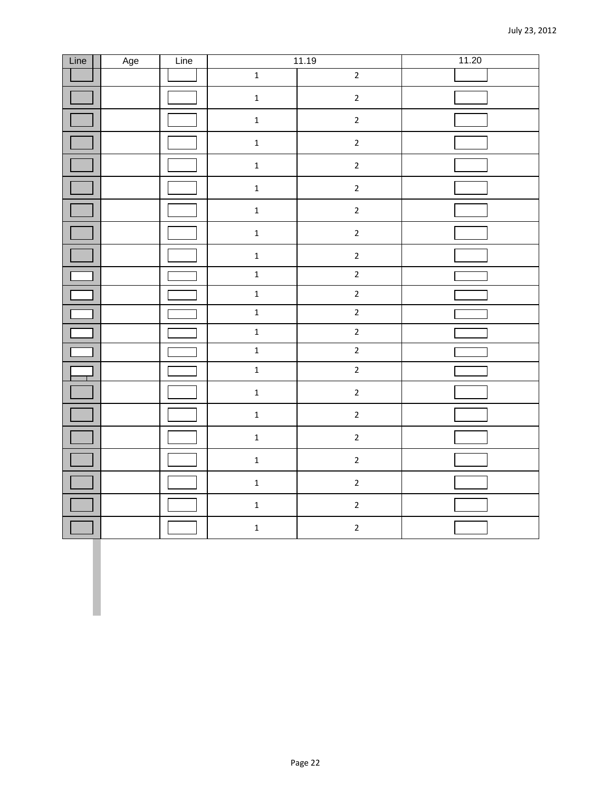| Line | Age | Line |                         | 11.19          | 11.20 |
|------|-----|------|-------------------------|----------------|-------|
|      |     |      | $\mathbf 1$             | $\overline{2}$ |       |
|      |     |      | $\mathbf 1$             | $\overline{2}$ |       |
|      |     |      | $\mathbf 1$             | $\overline{2}$ |       |
|      |     |      | $\mathbf 1$             | $\overline{c}$ |       |
|      |     |      | $\mathbf 1$             | $\mathbf{2}$   |       |
|      |     |      | $\mathbf 1$             | $\overline{2}$ |       |
|      |     |      | $\mathbf 1$             | $\overline{2}$ |       |
|      |     |      | $\mathbf 1$             | $\mathbf{2}$   |       |
|      |     |      | $\mathbf 1$             | $\mathbf{2}$   |       |
|      |     |      | $\overline{\mathbf{1}}$ | $\overline{2}$ |       |
|      |     |      | $\mathbf 1$             | $\overline{2}$ |       |
|      |     |      | $\overline{\mathbf{1}}$ | $\overline{2}$ |       |
|      |     |      | $\mathbf 1$             | $\overline{2}$ |       |
|      |     |      | $\mathbf{1}$            | $\overline{2}$ |       |
|      |     |      | $\mathbf{1}$            | $\overline{2}$ |       |
|      |     |      | $\mathbf 1$             | $\mathbf{2}$   |       |
|      |     |      | $\mathbf 1$             | $\mathbf 2$    |       |
|      |     |      | $\mathbf 1$             | $\mathbf{2}$   |       |
|      |     |      | $\mathbf 1$             | $\overline{2}$ |       |
|      |     |      | $\mathbf 1$             | $\overline{2}$ |       |
|      |     |      | $\mathbf 1$             | $\mathbf{2}$   |       |
|      |     |      | $\mathbf 1$             | $\mathbf{2}$   |       |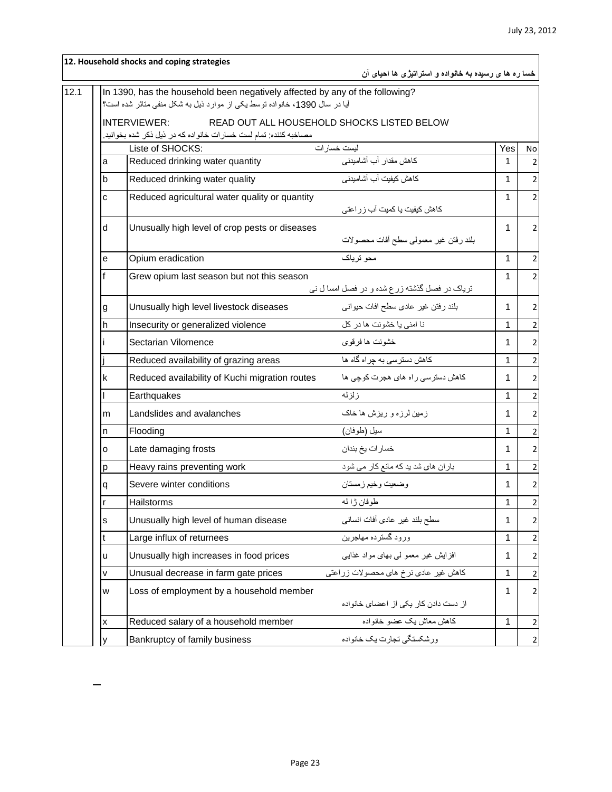|   | 12. Household shocks and coping strategies                                   | خسا ره ها ی رسیده به خانواده و استراتیژی ها احیای آن |              |                |
|---|------------------------------------------------------------------------------|------------------------------------------------------|--------------|----------------|
|   | In 1390, has the household been negatively affected by any of the following? |                                                      |              |                |
|   | آیا در سال 1390، خانواده توسط یکی از موارد ذیل به شکل منفی متاثر شده است؟    |                                                      |              |                |
|   | <b>INTERVIEWER:</b>                                                          | READ OUT ALL HOUSEHOLD SHOCKS LISTED BELOW           |              |                |
|   | مصاخبه كننده: تمام لست خسار ات خانواده كه در ذيل ذكر شده بخوانيد.            |                                                      |              |                |
|   | Liste of SHOCKS:<br>Reduced drinking water quantity                          | ليست خسار ات<br>كاهش مقدار آب آشاميدني               | Yes<br>1     | No             |
| a |                                                                              |                                                      |              |                |
| b | Reduced drinking water quality                                               | كاهش كيفيت آب آشاميدني                               | 1            | 2              |
| C | Reduced agricultural water quality or quantity                               | کاهش کیفیت یا کمیت آب زراعتی                         | 1            | $\overline{2}$ |
| d | Unusually high level of crop pests or diseases                               |                                                      | 1            | 2              |
|   |                                                                              | بلند رفتن غير معمولي سطح أفات محصولات                |              |                |
| е | Opium eradication                                                            | محو ترياک                                            | $\mathbf 1$  | $\overline{2}$ |
|   | Grew opium last season but not this season                                   |                                                      | $\mathbf 1$  | $\overline{2}$ |
|   |                                                                              | تریاک در فصل گذشته زرع شده و در فصل امسا ل نبی       |              |                |
| g | Unusually high level livestock diseases                                      | بلند رفتن غیر عادی سطح افات حیوانی                   | $\mathbf 1$  | 2              |
| h | Insecurity or generalized violence                                           | نا امنى يا خشونت ها در كل                            | $\mathbf 1$  | 2              |
|   | Sectarian Vilomence                                                          | خشونت ها فرقوى                                       | 1            | 2              |
|   | Reduced availability of grazing areas                                        | کاهش دسترسی به چراه گاه ها                           | $\mathbf{1}$ | $\overline{2}$ |
| k | Reduced availability of Kuchi migration routes                               | کاهش دسترسی راه های هجرت کوچی ها                     | 1            | $\overline{2}$ |
|   | Earthquakes                                                                  | زلزله                                                | 1            | 2              |
| m | Landslides and avalanches                                                    | زمین لرزه و ریزش ها خاک                              | 1            | $\overline{2}$ |
| n | Flooding                                                                     | سيل (طوفان)                                          | 1            | $\overline{2}$ |
| о | Late damaging frosts                                                         | خسار ات يخ بندان                                     | 1            | $\overline{2}$ |
| р | Heavy rains preventing work                                                  | باران های شد ید که مانع کار می شود                   | 1            | $\overline{2}$ |
| q | Severe winter conditions                                                     | وضعيت وخيم زمستان                                    | 1.           | $\mathbf 2$    |
| r | Hailstorms                                                                   | طوفان ژا له                                          | 1            | $\mathbf 2$    |
| s | Unusually high level of human disease                                        | سطح بلند غير عادى أفات انسانى                        | $\mathbf 1$  | 2              |
| t | Large influx of returnees                                                    | ورود گسترده مهاجرين                                  | 1            | 2              |
| u | Unusually high increases in food prices                                      | افزایش غیر معمو لمی بهای مواد غذایی                  | 1            | $\overline{2}$ |
| V | Unusual decrease in farm gate prices                                         | كاهش غير عادي نرخ هاي محصولات زراعتي                 | $\mathbf{1}$ | $\mathbf 2$    |
| W | Loss of employment by a household member                                     | از دست دادن كار يكى از اعضاى خانواده                 | 1            | $\overline{2}$ |
| X | Reduced salary of a household member                                         | كاهش معاش يك عضو خانواده                             | 1            | $\overline{2}$ |
| y | Bankruptcy of family business                                                | ورشكستگي تجارت يک خانواده                            |              | $\overline{2}$ |
|   |                                                                              |                                                      |              |                |

L,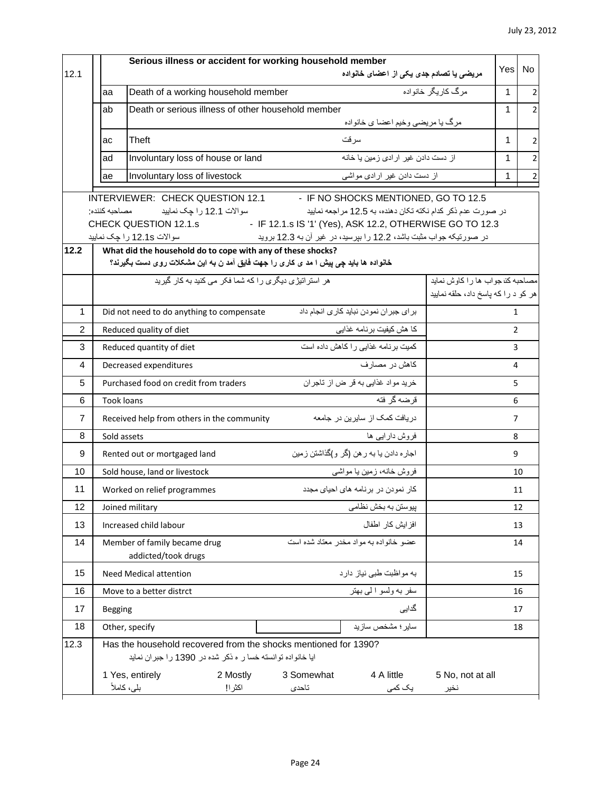| 12.1 |                | Serious illness or accident for working household member<br>مریضی یا تصادم جدی یکی از اعضای خانواده                                                                                  | <b>Yes</b>     | <b>No</b>      |
|------|----------------|--------------------------------------------------------------------------------------------------------------------------------------------------------------------------------------|----------------|----------------|
|      | aa             | مرگ کاریگر خانواده<br>Death of a working household member                                                                                                                            | 1              | 2              |
|      | ab             | Death or serious illness of other household member                                                                                                                                   | 1              |                |
|      |                | مرگ يا مريضي وخيم اعضا ي خانواده                                                                                                                                                     |                |                |
|      | ac             | سر قت<br>Theft                                                                                                                                                                       | 1              | 2              |
|      | ad             | از دست دادن غیر ار ادی زمین یا خانه<br>Involuntary loss of house or land                                                                                                             | 1              | $\overline{2}$ |
|      | ae             | Involuntary loss of livestock<br>از دست دادن غیر ارادی مواشی                                                                                                                         | 1              |                |
|      |                | INTERVIEWER: CHECK QUESTION 12.1 F NO SHOCKS MENTIONED, GO TO 12.5                                                                                                                   |                |                |
|      |                | مصاحبه كننده<br>سوالات 12.1 را چک نمایید<br>در صورت عدم ذکر کدام نکته تکان دهنده، به 12.5 مراجعه نمایید                                                                              |                |                |
|      |                | - IF 12.1.s IS '1' (Yes), ASK 12.2, OTHERWISE GO TO 12.3<br>CHECK QUESTION 12.1.s<br>در صورتیکه جواب مثبت باشد، 12.2 را بپرسید، در غیر أن به 12.3 بروید<br>سوالات 12.1s را چک نمایید |                |                |
| 12.2 |                | What did the household do to cope with any of these shocks?                                                                                                                          |                |                |
|      |                | خانواده ها باید چی پیش ا مد ی کاری را جهت فایق آمد ن به این مشکلات روی دست بگیرند؟                                                                                                   |                |                |
|      |                | هر استر اتیڑ ی دیگر ی را که شما فکر ً می کنید به کار گیرید<br>مصاحبه كناجواب ها را كاوش نمايد<br>هر کو د را که پاسخ داد، حلقه نمایید                                                 |                |                |
| 1    |                | بر ای جبر ان نمودن نباید کاری انجام داد<br>Did not need to do anything to compensate                                                                                                 | $\mathbf{1}$   |                |
| 2    |                | كا هش كيفيت برنامه غذايي<br>Reduced quality of diet                                                                                                                                  | $\overline{2}$ |                |
| 3    |                | کمیت برنامه غذایی را کاهش داده است<br>Reduced quantity of diet                                                                                                                       | 3              |                |
| 4    |                | كاهش در مصارف<br>Decreased expenditures                                                                                                                                              | 4              |                |
| 5    |                | خريد مواد غذايي به قر ض از تاجران<br>Purchased food on credit from traders                                                                                                           | 5              |                |
| 6    |                | قرضه گر فته<br>Took loans                                                                                                                                                            | 6              |                |
| 7    |                | در یافت کمک از سایرین در جامعه<br>Received help from others in the community                                                                                                         | 7              |                |
| 8    |                | فروش دارایبی ها<br>Sold assets                                                                                                                                                       | 8              |                |
| 9    |                | اجاره دادن یا به ر هن (گر و)گذاشتن زمین<br>Rented out or mortgaged land                                                                                                              | 9              |                |
| 10   |                | فروش خانه، زمین یا مواشی<br>Sold house, land or livestock                                                                                                                            |                | 10             |
| 11   |                | كار نمودن در برنامه هاى احياى مجدد<br>Worked on relief programmes                                                                                                                    |                | 11             |
| 12   |                | Joined military<br>پیوستن به بخش نظامی                                                                                                                                               |                | 12             |
| 13   |                | افز ایش کار اطفال<br>Increased child labour                                                                                                                                          |                | 13             |
| 14   |                | عضو خانواده به مواد مخدر معتاد شده است<br>Member of family became drug<br>addicted/took drugs                                                                                        |                | 14             |
| 15   |                | به مواظبت طبي نياز دارد<br><b>Need Medical attention</b>                                                                                                                             |                | 15             |
| 16   |                | سفر به ولسو الى بهتر<br>Move to a better distrct                                                                                                                                     |                | 16             |
| 17   | <b>Begging</b> | گدایی                                                                                                                                                                                |                | 17             |
| 18   |                | سایر ؛ مشخص سازید<br>Other, specify                                                                                                                                                  |                | 18             |
| 12.3 |                | Has the household recovered from the shocks mentioned for 1390?<br>ایا خانواده توانسته خسا ر ه نکر شده در 1390 را جبران نماید                                                        |                |                |
|      |                | 1 Yes, entirely<br>2 Mostly<br>3 Somewhat<br>4 A little<br>5 No, not at all<br>بلى، كاملأ<br>اكثرا!<br>تاحدى<br>یک کمی<br>نخير                                                       |                |                |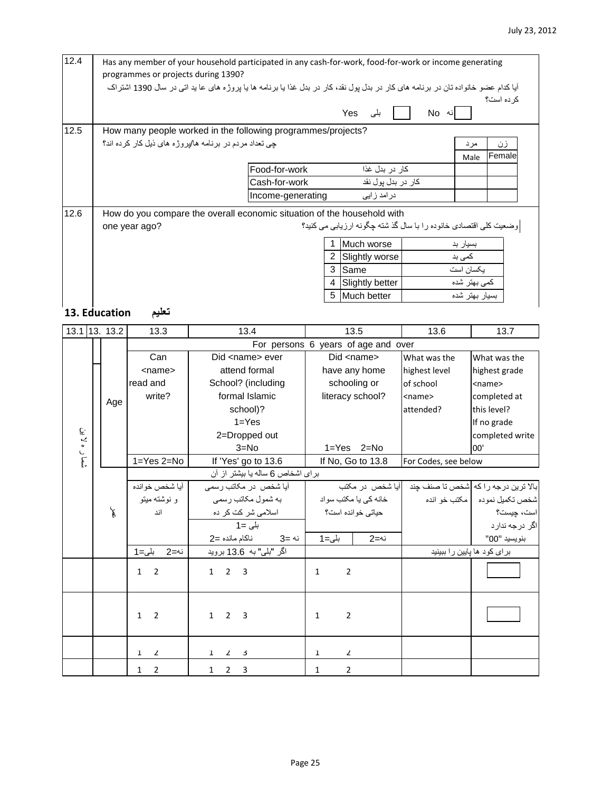| 12.4          | Has any member of your household participated in any cash-for-work, food-for-work or income generating<br>programmes or projects during 1390? |                              |                                                                                                                                  |                      |                                     |                                                                 |                                     |  |  |  |  |  |
|---------------|-----------------------------------------------------------------------------------------------------------------------------------------------|------------------------------|----------------------------------------------------------------------------------------------------------------------------------|----------------------|-------------------------------------|-----------------------------------------------------------------|-------------------------------------|--|--|--|--|--|
|               |                                                                                                                                               |                              | آیا کدام عضو خانواده تان در برنامه های کار در بدل پول نقد، کار در بدل غذا یا برنامه ها یا پروژه های عا ید اتی در سال 1390 اشتراک |                      |                                     |                                                                 |                                     |  |  |  |  |  |
|               |                                                                                                                                               |                              |                                                                                                                                  |                      |                                     |                                                                 | كر ده است؟                          |  |  |  |  |  |
|               | Yes<br>نه No<br>بلی                                                                                                                           |                              |                                                                                                                                  |                      |                                     |                                                                 |                                     |  |  |  |  |  |
| 12.5          | How many people worked in the following programmes/projects?                                                                                  |                              |                                                                                                                                  |                      |                                     |                                                                 |                                     |  |  |  |  |  |
|               | چی تعداد مردم در برنامه ها/پروژه های ذیل کار کرده اند؟<br>زن<br>مرد                                                                           |                              |                                                                                                                                  |                      |                                     |                                                                 |                                     |  |  |  |  |  |
|               | Female<br>Male                                                                                                                                |                              |                                                                                                                                  |                      |                                     |                                                                 |                                     |  |  |  |  |  |
|               | كار در بدل غذا<br>Food-for-work                                                                                                               |                              |                                                                                                                                  |                      |                                     |                                                                 |                                     |  |  |  |  |  |
|               | کار در بدل پول نقد<br>Cash-for-work                                                                                                           |                              |                                                                                                                                  |                      |                                     |                                                                 |                                     |  |  |  |  |  |
|               | Income-generating<br>در امد ز ابی                                                                                                             |                              |                                                                                                                                  |                      |                                     |                                                                 |                                     |  |  |  |  |  |
| 12.6          | How do you compare the overall economic situation of the household with                                                                       |                              |                                                                                                                                  |                      |                                     |                                                                 |                                     |  |  |  |  |  |
|               |                                                                                                                                               | one year ago?                |                                                                                                                                  |                      |                                     | وضعیت کلی اقتصادی خانوده را با سال گذشته چگونه ارزیابی می کنید؟ |                                     |  |  |  |  |  |
|               |                                                                                                                                               |                              |                                                                                                                                  |                      |                                     |                                                                 |                                     |  |  |  |  |  |
|               |                                                                                                                                               |                              |                                                                                                                                  | 1.<br>$\overline{2}$ | Much worse                          | بسیار بد<br>کمی بد                                              |                                     |  |  |  |  |  |
|               |                                                                                                                                               |                              |                                                                                                                                  |                      | Slightly worse<br>3 Same            |                                                                 | يكسان است                           |  |  |  |  |  |
|               |                                                                                                                                               |                              |                                                                                                                                  | 4                    | Slightly better                     |                                                                 | كمى بهتر شده                        |  |  |  |  |  |
|               |                                                                                                                                               |                              |                                                                                                                                  | 5                    | Much better                         |                                                                 | بسيار بهتر شده                      |  |  |  |  |  |
| 13. Education |                                                                                                                                               |                              |                                                                                                                                  |                      |                                     |                                                                 |                                     |  |  |  |  |  |
|               |                                                                                                                                               | تعليم                        |                                                                                                                                  |                      |                                     |                                                                 |                                     |  |  |  |  |  |
| 13.1 13. 13.2 |                                                                                                                                               | 13.3                         | 13.4                                                                                                                             |                      | 13.5                                | 13.6                                                            | 13.7                                |  |  |  |  |  |
|               |                                                                                                                                               |                              |                                                                                                                                  |                      | For persons 6 years of age and over |                                                                 |                                     |  |  |  |  |  |
|               |                                                                                                                                               | Can                          | Did <name> ever</name>                                                                                                           |                      | Did <name></name>                   | What was the                                                    | What was the                        |  |  |  |  |  |
|               |                                                                                                                                               | <name></name>                | attend formal                                                                                                                    |                      | have any home                       | highest level                                                   | highest grade                       |  |  |  |  |  |
|               |                                                                                                                                               | read and                     | School? (including                                                                                                               |                      | schooling or                        | of school                                                       | <name></name>                       |  |  |  |  |  |
|               | Age                                                                                                                                           | write?                       | formal Islamic                                                                                                                   |                      | literacy school?                    | <name></name>                                                   | completed at                        |  |  |  |  |  |
|               |                                                                                                                                               |                              | school)?<br>$1 = Yes$                                                                                                            |                      |                                     | attended?                                                       | this level?                         |  |  |  |  |  |
|               |                                                                                                                                               |                              | 2=Dropped out                                                                                                                    |                      |                                     |                                                                 | If no grade<br>completed write      |  |  |  |  |  |
|               |                                                                                                                                               |                              | $3 = No$                                                                                                                         |                      | $1 = Yes$<br>2=No                   |                                                                 | 00'                                 |  |  |  |  |  |
| شمار ه لا ين  |                                                                                                                                               | 1=Yes 2=No                   | If 'Yes' go to 13.6                                                                                                              |                      | If No, Go to 13.8                   | For Codes, see below                                            |                                     |  |  |  |  |  |
|               |                                                                                                                                               |                              | برای اشخاص 6 ساله یا بیشتر از آن                                                                                                 |                      |                                     |                                                                 |                                     |  |  |  |  |  |
|               |                                                                                                                                               | أيا شخص خوانده               | أيا شخص در مكاتب رس <i>مى</i>                                                                                                    |                      | أيا شخص در مكتب                     |                                                                 | بالا ترین درجه را که شخص تا صنف چند |  |  |  |  |  |
|               |                                                                                                                                               | و نوشته میتو                 | به شمول مکاتب رسمي                                                                                                               |                      | خانه کی یا مکتب سواد                |                                                                 | شخص تكميل نموده    مكتب خو انده     |  |  |  |  |  |
|               | F                                                                                                                                             | اند                          | اسلامی شر کت کر ده                                                                                                               |                      | حیاتی خوانده است؟                   |                                                                 | است، چیست؟                          |  |  |  |  |  |
|               |                                                                                                                                               |                              | $1 = L$ بلی                                                                                                                      |                      |                                     |                                                                 | اگر درجه ندار د                     |  |  |  |  |  |
|               |                                                                                                                                               |                              | ناكام مانده =2<br>نه =3                                                                                                          | بلى=1                | نە=2                                |                                                                 | بنويسيد "00"                        |  |  |  |  |  |
|               |                                                                                                                                               | بلى=1<br>نە=2                | اگر "بلی" به  13.6 <u>بروید</u>                                                                                                  |                      |                                     |                                                                 | برای کود ها پایین را ببینید         |  |  |  |  |  |
|               |                                                                                                                                               | $1 \quad 2$                  | $1 \quad 2 \quad 3$                                                                                                              | $\mathbf{1}$         | $\overline{2}$                      |                                                                 |                                     |  |  |  |  |  |
|               |                                                                                                                                               |                              |                                                                                                                                  |                      |                                     |                                                                 |                                     |  |  |  |  |  |
|               |                                                                                                                                               |                              |                                                                                                                                  |                      |                                     |                                                                 |                                     |  |  |  |  |  |
|               |                                                                                                                                               | $1\quad 2$                   | $1 \quad 2 \quad 3$                                                                                                              | $\mathbf{1}$         | $\overline{2}$                      |                                                                 |                                     |  |  |  |  |  |
|               |                                                                                                                                               |                              |                                                                                                                                  |                      |                                     |                                                                 |                                     |  |  |  |  |  |
|               |                                                                                                                                               |                              |                                                                                                                                  |                      |                                     |                                                                 |                                     |  |  |  |  |  |
|               |                                                                                                                                               | $\mathbf{1}$<br>$\mathbf{Z}$ | $\mathbf{1}$<br>$2 \times 3$                                                                                                     | 1                    | 2                                   |                                                                 |                                     |  |  |  |  |  |
|               |                                                                                                                                               | $\mathbf 2$<br>$\mathbf 1$   | $1 \quad 2 \quad 3$                                                                                                              | $\mathbf 1$          | $\overline{2}$                      |                                                                 |                                     |  |  |  |  |  |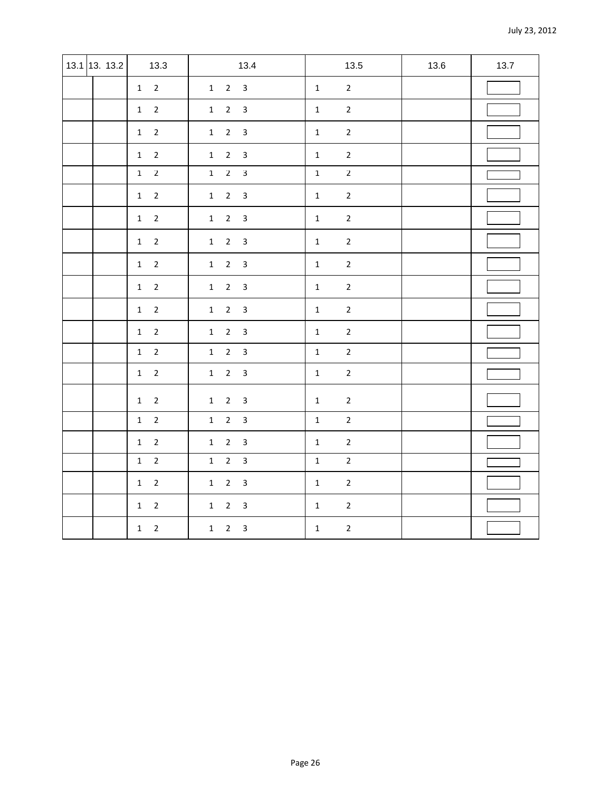| 13.1 13. 13.2 | 13.3                           | 13.4                                                      |              | 13.5           | 13.6 | 13.7 |
|---------------|--------------------------------|-----------------------------------------------------------|--------------|----------------|------|------|
|               | $1\quad 2$                     | $1 \quad 2 \quad 3$                                       | $\mathbf 1$  | $\overline{2}$ |      |      |
|               | $\overline{2}$<br>1            | $\overline{2}$<br>$\overline{\mathbf{3}}$<br>1            | $\mathbf{1}$ | $\overline{2}$ |      |      |
|               | $\overline{2}$<br>$\mathbf{1}$ | $2^{\circ}$<br>$\overline{3}$<br>$\mathbf{1}$             | $\mathbf{1}$ | $\mathbf 2$    |      |      |
|               | $1\quad 2$                     | $2^{\circ}$<br>$\overline{\mathbf{3}}$<br>$\mathbf{1}$    | $\mathbf 1$  | $\overline{2}$ |      |      |
|               | $1\quad 2$                     | $1 \quad 2 \quad 3$                                       | $\mathbf{1}$ | $\overline{2}$ |      |      |
|               | $\overline{2}$<br>$\mathbf{1}$ | $\overline{2}$<br>$\overline{\mathbf{3}}$<br>$\mathbf{1}$ | $\mathbf{1}$ | $\overline{2}$ |      |      |
|               | $1\quad 2$                     | $2^{\circ}$<br>$\overline{\mathbf{3}}$<br>$\mathbf{1}$    | $\mathbf{1}$ | $\mathbf 2$    |      |      |
|               | $1\quad 2$                     | $1 \quad 2 \quad 3$                                       | $\mathbf 1$  | $\overline{2}$ |      |      |
|               | $1\quad 2$                     | $1\quad 2$<br>$\overline{3}$                              | $\mathbf{1}$ | $\overline{2}$ |      |      |
|               | $1\quad 2$                     | $\overline{2}$<br>$\overline{\mathbf{3}}$<br>$\mathbf{1}$ | $\mathbf 1$  | $\mathbf 2$    |      |      |
|               | $1\quad 2$                     | $\overline{2}$<br>$\overline{3}$<br>$\mathbf{1}$          | $\mathbf 1$  | $\overline{2}$ |      |      |
|               | $1\quad 2$                     | $2 \quad 3$<br>1                                          | $\mathbf 1$  | $\overline{2}$ |      |      |
|               | $\overline{2}$<br>1            | $\overline{2}$<br>$\overline{3}$<br>$\mathbf{1}$          | $\mathbf 1$  | $\overline{2}$ |      |      |
|               | $1\quad 2$                     | $2^{\circ}$<br>$\mathbf{1}$<br>$\overline{\mathbf{3}}$    | $\mathbf{1}$ | $\mathbf 2$    |      |      |
|               | $1\quad 2$                     | $2 \quad 3$<br>$\mathbf{1}$                               | $\mathbf{1}$ | $\mathbf 2$    |      |      |
|               | $\overline{2}$<br>1            | $\overline{2}$<br>$\overline{\mathbf{3}}$<br>1            | $\mathbf{1}$ | $\overline{2}$ |      |      |
|               | $\overline{2}$<br>$\mathbf{1}$ | $\overline{2}$<br>$\overline{\mathbf{3}}$<br>$\mathbf{1}$ | $\mathbf{1}$ | $\mathbf 2$    |      |      |
|               | $\overline{2}$<br>1            | $\overline{2}$<br>$\overline{\mathbf{3}}$<br>$\mathbf{1}$ | $\mathbf 1$  | $\overline{2}$ |      |      |
|               | $\overline{2}$<br>1            | $\overline{2}$<br>$\overline{3}$<br>$\mathbf{1}$          | $\mathbf 1$  | $\overline{2}$ |      |      |
|               | $\mathbf 2$<br>$\mathbf{1}$    | $\overline{2}$<br>$\overline{3}$<br>$\mathbf{1}$          | $\mathbf{1}$ | $\mathbf 2$    |      |      |
|               | $\mathbf 2$<br>$\mathbf{1}$    | $\overline{2}$<br>$\mathbf{1}$<br>$\overline{3}$          | $\mathbf 1$  | $\mathbf 2$    |      |      |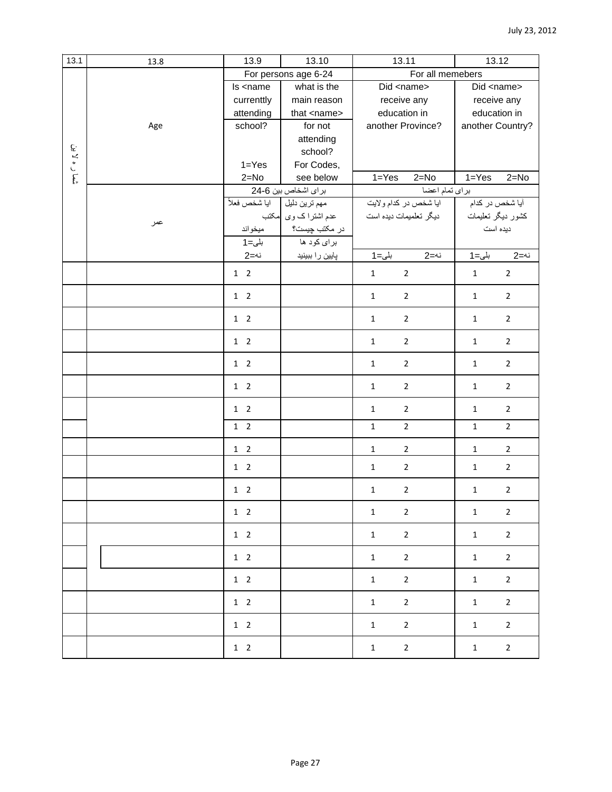| 13.1         | 13.8 | 13.9                                                                                             | 13.10                | 13.11                           | 13.12                          |
|--------------|------|--------------------------------------------------------------------------------------------------|----------------------|---------------------------------|--------------------------------|
|              |      |                                                                                                  | For persons age 6-24 | For all memebers                |                                |
|              |      | Is <name< td=""><td>what is the</td><td>Did <name></name></td><td>Did <name></name></td></name<> | what is the          | Did <name></name>               | Did <name></name>              |
|              |      | currenttly                                                                                       | main reason          | receive any                     | receive any                    |
|              |      | attending                                                                                        | that <name></name>   | education in                    | education in                   |
|              | Age  | school?                                                                                          | for not              | another Province?               | another Country?               |
|              |      |                                                                                                  | attending            |                                 |                                |
|              |      |                                                                                                  | school?              |                                 |                                |
|              |      | $1 = Yes$                                                                                        | For Codes,           |                                 |                                |
| شمار ه لا بن |      | $2 = No$                                                                                         | see below            | $\overline{1}$ =Yes<br>$2 = No$ | $1 = Yes$<br>$2 = No$          |
|              |      |                                                                                                  | برای اشخاص بین 6-24  | براي تمام اعضا                  |                                |
|              |      | ايا شخص فعلاً                                                                                    | مهم ترين دليل        | ايا شخص در كدام ولايت           | آیا شخص در کدام                |
|              |      |                                                                                                  | عدم اشتراک وی مکتب   | دیگر تعلمیمات دیده است          | كشور ديگر تعليمات              |
|              | عمر  | ميخواند                                                                                          | در مکتب چیست؟        |                                 | دیده است                       |
|              |      | $1 = 1$ بلی                                                                                      | برای کود ها          |                                 |                                |
|              |      | نە=2                                                                                             | پایین را ببینید      | بلى=1<br>نە=2                   | نە=2<br>بلى=1                  |
|              |      |                                                                                                  |                      |                                 |                                |
|              |      | $1\quad 2$                                                                                       |                      | $\overline{2}$<br>$\mathbf{1}$  | $\mathbf 2$<br>$\mathbf{1}$    |
|              |      | $1\quad 2$                                                                                       |                      | $\mathbf{1}$<br>$\overline{2}$  | $\overline{2}$<br>$\mathbf{1}$ |
|              |      | $1\quad 2$                                                                                       |                      | $\mathbf{1}$<br>$\overline{2}$  | $\overline{2}$<br>$\mathbf{1}$ |
|              |      | $1\quad 2$                                                                                       |                      | $\overline{2}$<br>$\mathbf{1}$  | $\overline{2}$<br>$\mathbf{1}$ |
|              |      | $1\quad 2$                                                                                       |                      | $\overline{2}$<br>$\mathbf{1}$  | $\overline{2}$<br>$\mathbf{1}$ |
|              |      | $1\quad 2$                                                                                       |                      | $\overline{2}$<br>$\mathbf{1}$  | $\mathbf 2$<br>$\mathbf{1}$    |
|              |      | $1\quad 2$                                                                                       |                      | $\overline{2}$<br>$\mathbf{1}$  | $\overline{2}$<br>$\mathbf{1}$ |
|              |      | $1\quad 2$                                                                                       |                      | $\mathbf{1}$<br>$\overline{2}$  | $\overline{2}$<br>$1\,$        |
|              |      | $1\quad 2$                                                                                       |                      | $\overline{2}$<br>$\mathbf{1}$  | $\overline{2}$<br>$\mathbf{1}$ |
|              |      | $1\quad 2$                                                                                       |                      | $\overline{2}$<br>$\mathbf{1}$  | $\overline{2}$<br>1            |
|              |      | $1\quad 2$                                                                                       |                      | $\overline{2}$<br>$\mathbf{1}$  | $\overline{2}$<br>$\mathbf{1}$ |
|              |      | $1\quad 2$                                                                                       |                      | $\mathbf 1$<br>$\mathbf{2}$     | $\overline{2}$<br>$\mathbf{1}$ |
|              |      | $1\quad 2$                                                                                       |                      | $\overline{2}$<br>$\mathbf{1}$  | $\mathbf{2}$<br>$\mathbf{1}$   |
|              |      | $1\quad 2$                                                                                       |                      | $\overline{2}$<br>$\mathbf{1}$  | $\overline{2}$<br>$\mathbf{1}$ |
|              |      | $1\quad 2$                                                                                       |                      | $\mathbf{2}$<br>$\mathbf{1}$    | $\mathbf 2$<br>$\mathbf{1}$    |
|              |      | $1\quad 2$                                                                                       |                      | $\overline{2}$<br>$\mathbf{1}$  | $\overline{2}$<br>$\mathbf{1}$ |
|              |      | $1\quad 2$                                                                                       |                      | $\overline{2}$<br>$\mathbf{1}$  | $\overline{2}$<br>$\mathbf{1}$ |
|              |      | $1\quad 2$                                                                                       |                      | $\overline{2}$<br>$\mathbf 1$   | $\mathbf 2$<br>$\mathbf{1}$    |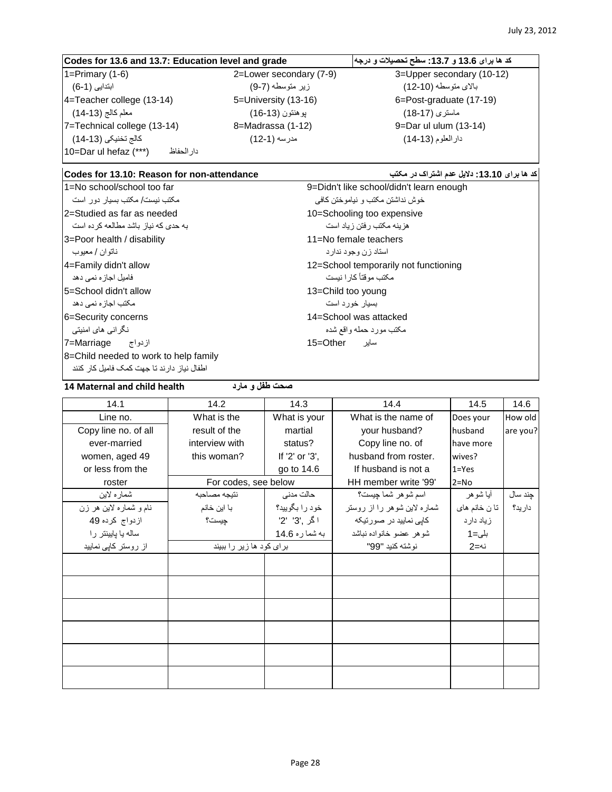## **کد ها برای 13.6 و :13.7 سطح تحصیالت و درجه grade and level Education 13.7: and 13.6 for Codes** 1=Primary (1-6) 2=Lower secondary (7-9) 3=Upper secondary (10-12) باالی متوسطه )12-10( زیر متوسطه )9-7( ابتدایی )6-1( 4=Teacher college (13-14) 5=University (13-16) 6=Post-graduate (17-19) ماستری )18-17( پوهنتون )16-13( معلم کالج )14-13( 7=Technical college (13-14) 8=Madrassa (1-12) 9=Dar ul ulum (13-14) دارالعلوم )14-13( مدرسه )12-1( کالج تخنیکی )14-13( 10=Dar ul hefaz (\*\*\*) دارالحفاظ

#### **کد ها برای :13.10 دالیل عدم اشتراک در مکتب attendance-non for Reason 13.10: for Codes**

**صحت طفل و مارد health child and Maternal 14**

1=No school/school too far 9=Didn't like school/didn't learn enough خوش نداشتن مکتب و نیاموختن کافی مکتب نیست/ مکتب بسیار دور است 2=Studied as far as needed 10=Schooling too expensive هزینه مکتب رفتن زیاد است به حدی که نیاز باشد مطالعه کرده است 3=Poor health / disability 11=No female teachers استاد زن وجود ندارد ناتوان / معیوب مکتب موقتاً کارا نیست فامیل اجازه نمی دهد 5=School didn't allow 13=Child too young بسیار خورد است مکتب اجازه نمی دهد 6=Security concerns 14=School was attacked مکتب مورد حمله واقع شده نگرانی های امنیتی سایر Other=15 ازدواج Marriage=7 8=Child needed to work to help family اطفال نیاز دارند تا جهت کمک فامیل کار کنند

4=Family didn't allow 12=School temporarily not functioning

| 14.1                   | 14.2                     | 14.3           | 14.4                        | 14.5          | 14.6     |
|------------------------|--------------------------|----------------|-----------------------------|---------------|----------|
| Line no.               | What is the              | What is your   | What is the name of         | Does your     | How old  |
| Copy line no. of all   | result of the            | martial        | your husband?               | husband       | are you? |
| ever-married           | interview with           | status?        | Copy line no. of            | have more     |          |
| women, aged 49         | this woman?              | If '2' or '3', | husband from roster.        | wives?        |          |
| or less from the       |                          | go to 14.6     | If husband is not a         | $1 = Yes$     |          |
| roster                 | For codes, see below     |                | HH member write '99'        | $2 = No$      |          |
| شمار ه لاين            | نتيجه مصاحبه             | حالت مدنى      | اسم شو هر شما چیست؟         | أيا شوهر      | چند سال  |
| نام و شماره لاین هر زن | با این خانم              | خود را بگوييد؟ | شماره لاین شوهر را از روستر | تا ن خانم های | دار يد؟  |
| ازدواج كرده 49         | جيست؟                    | اگر ,'3' '2'   | کاپی نمایید در صورتیکه      | زیاد دار د    |          |
| ساله يا يايينتر را     |                          | به شما ره 14.6 | شوهر عضو خانواده نباشد      | بلى=1         |          |
| از روستر کاپی نمایید   | برای کود ها زیر را ببیند |                | نوشته كنيد "99"             | نە=2          |          |
|                        |                          |                |                             |               |          |
|                        |                          |                |                             |               |          |
|                        |                          |                |                             |               |          |
|                        |                          |                |                             |               |          |
|                        |                          |                |                             |               |          |
|                        |                          |                |                             |               |          |
|                        |                          |                |                             |               |          |
|                        |                          |                |                             |               |          |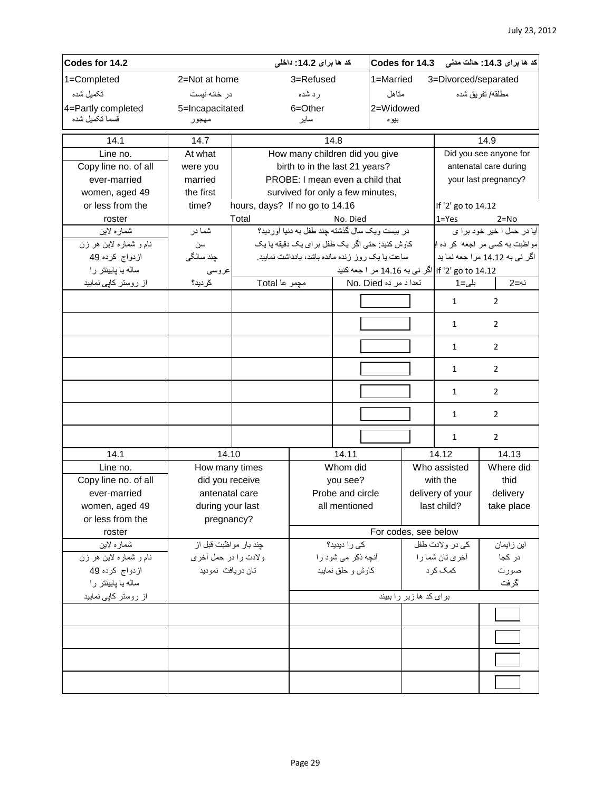| Codes for 14.2         |                       | کد ها برای 14.2: داخلی         |                                                 |                    | كد ها براى 14.3: حالت مدنى Codes for 14.3 |                         |                                  |                                            |
|------------------------|-----------------------|--------------------------------|-------------------------------------------------|--------------------|-------------------------------------------|-------------------------|----------------------------------|--------------------------------------------|
| 1=Completed            | 2=Not at home         |                                | 3=Refused                                       |                    | 1=Married                                 |                         | 3=Divorced/separated             |                                            |
| تكميل شده              | در خانه نیست          |                                | رد شده                                          |                    | متاهل                                     |                         |                                  | مطلقه/ تفريق شده                           |
| 4=Partly completed     | 5=Incapacitated       |                                | 6=Other                                         |                    | 2=Widowed                                 |                         |                                  |                                            |
| قسماً تكميل شده        | مهجور                 |                                | ساير                                            |                    | بيوه                                      |                         |                                  |                                            |
| 14.1                   | 14.7                  |                                |                                                 | 14.8               |                                           |                         |                                  | 14.9                                       |
| Line no.               | At what               |                                | How many children did you give                  |                    |                                           |                         |                                  | Did you see anyone for                     |
| Copy line no. of all   | were you              |                                | birth to in the last 21 years?                  |                    |                                           |                         |                                  | antenatal care during                      |
| ever-married           | married               |                                | PROBE: I mean even a child that                 |                    |                                           |                         |                                  | your last pregnancy?                       |
| women, aged 49         | the first             |                                | survived for only a few minutes,                |                    |                                           |                         |                                  |                                            |
| or less from the       | time?                 | hours, days? If no go to 14.16 |                                                 |                    |                                           |                         | If '2' go to 14.12               |                                            |
| roster                 |                       | Total                          |                                                 | No. Died           |                                           |                         | $1 = Yes$                        | $2 = No$                                   |
| شماره لاين             | شما در                |                                | در بيست ويك سال كذشته جند طفل به دنيا أورديد؟   |                    |                                           |                         |                                  | آیا در حمل ا خیر خود بر ا ی                |
| نام و شماره لاین هر زن | سن                    |                                | كاوش كنيد: حتى اگر يک طفل براي يک دقيقه يا يک   |                    |                                           |                         |                                  | مواظبت به کسی مر اجعه کر ده ا <sub>ا</sub> |
| ازدواج كرده 49         | جِند سالگی            |                                | ساعت یا یک روز زنده مانده باشد، یادداشت نمایید. |                    |                                           |                         |                                  | اگر نی به 14.12 مرا جعه نما پد             |
| ساله يا پايينتر را     | عروسى                 |                                |                                                 |                    |                                           |                         | lf '2' go to 14.12 مر ا جعه كنيد |                                            |
| از روستر کاپی نمایید   | كرديد؟                | مچمو عا Total                  |                                                 |                    | تعدا د مر ده No. Died                     |                         | بلى=1                            | نە=2                                       |
|                        |                       |                                |                                                 |                    |                                           |                         | $\mathbf{1}$                     | $\overline{2}$                             |
|                        |                       |                                |                                                 |                    |                                           |                         | $\mathbf{1}$                     | $\overline{2}$                             |
|                        |                       |                                |                                                 |                    |                                           |                         | $\mathbf{1}$                     | $\overline{2}$                             |
|                        |                       |                                |                                                 |                    |                                           |                         | $\mathbf{1}$                     | $\overline{2}$                             |
|                        |                       |                                |                                                 |                    |                                           |                         | 1                                | $\overline{2}$                             |
|                        |                       |                                |                                                 |                    |                                           |                         | 1                                | $\overline{2}$                             |
|                        |                       |                                |                                                 |                    |                                           |                         | $\mathbf{1}$                     | $\overline{2}$                             |
| 14.1                   | 14.10                 |                                |                                                 | 14.11              |                                           |                         | 14.12                            | 14.13                                      |
| Line no.               | How many times        |                                |                                                 | Whom did           |                                           |                         | Who assisted                     | Where did                                  |
| Copy line no. of all   | did you receive       |                                |                                                 | you see?           |                                           |                         | with the                         | thid                                       |
| ever-married           | antenatal care        |                                |                                                 | Probe and circle   |                                           | delivery of your        |                                  | delivery                                   |
| women, aged 49         | during your last      |                                |                                                 | all mentioned      |                                           |                         | last child?                      | take place                                 |
| or less from the       | pregnancy?            |                                |                                                 |                    |                                           |                         |                                  |                                            |
| roster                 |                       |                                |                                                 |                    | For codes, see below                      |                         |                                  |                                            |
| شماره لاين             | چند بار مواظبت قبل از |                                |                                                 | کی را دیدید؟       |                                           |                         | كي در ولادت طفل                  | این ز ایمان                                |
| نام و شماره لاین هر زن | ولادت را در حمل أخرى  |                                |                                                 | أنچه ذکر می شود را |                                           |                         | آخر ی تان شما را                 | در کجا                                     |
| ازدواج كرده 49         | تان دریافت نمودید     |                                |                                                 | كاوش و حلق نماييد  |                                           |                         | كمک کرد                          | صورت                                       |
| ساله يا پايينتر را     |                       |                                |                                                 |                    |                                           | گرفت                    |                                  |                                            |
| از روستر کاپی نمایید   |                       |                                |                                                 |                    |                                           | برای کد ها زیر را ببیند |                                  |                                            |
|                        |                       |                                |                                                 |                    |                                           |                         |                                  |                                            |
|                        |                       |                                |                                                 |                    |                                           |                         |                                  |                                            |
|                        |                       |                                |                                                 |                    |                                           |                         |                                  |                                            |
|                        |                       |                                |                                                 |                    |                                           |                         |                                  |                                            |
|                        |                       |                                |                                                 |                    |                                           |                         |                                  |                                            |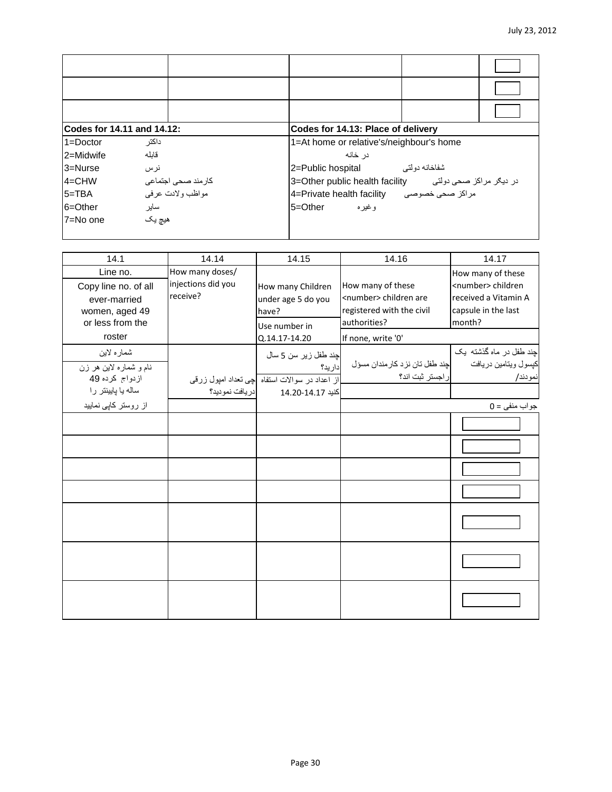| Codes for 14.11 and 14.12: |                     | Codes for 14.13: Place of delivery                       |
|----------------------------|---------------------|----------------------------------------------------------|
| $1 =$ Doctor               | داكتر               | 1=At home or relative's/neighbour's home                 |
| 2=Midwife                  | قابله               | در خانه                                                  |
| $3 =$ Nurse                | نرس                 | شفاخانه دو لتے<br>2=Public hospital                      |
| $4 = CHW$                  | كارمند صحى اجتماعي  | در دیگر مراکز صحی دولتی - 3=Other public health facility |
| $5 = TBA$                  | مو اظب و لادت عر في | مراكز صحى خصوصى 4=Private health facility                |
| 6=Other                    | ساير                | 5=Other<br>و غير ه                                       |
| 7=No one                   | هيچ پک              |                                                          |

| 14.1                                                                                   | 14.14                                             | 14.15                                                                                        | 14.16                                                                                              | 14.17                                                                                                       |
|----------------------------------------------------------------------------------------|---------------------------------------------------|----------------------------------------------------------------------------------------------|----------------------------------------------------------------------------------------------------|-------------------------------------------------------------------------------------------------------------|
| Line no.<br>Copy line no. of all<br>ever-married<br>women, aged 49<br>or less from the | How many doses/<br>injections did you<br>receive? | How many Children<br>under age 5 do you<br>have?<br>Use number in                            | How many of these<br><number> children are<br/>registered with the civil<br/>authorities?</number> | How many of these<br><number> children<br/>received a Vitamin A<br/>capsule in the last<br/>month?</number> |
| roster                                                                                 |                                                   | Q.14.17-14.20                                                                                | If none, write '0'                                                                                 |                                                                                                             |
| شماره لاين<br>نام و شماره لاین هر زن<br>ازدواج كرده 49                                 |                                                   | چند طفل زیر سن 5 سال<br>داريد؟<br>از اعداد در سوالات استفاه <mark>چی تعداد امپول زرقی</mark> | چند طفل تان نزد كارمندان مسؤل<br>ر اجستر ثبت اند؟                                                  | چند طفل در ماه گذشته یک<br>كيسول ويتامين دريافت<br>نمودند/                                                  |
| ساله يا پايينتر را<br>از روستر کاپی نمایید                                             | دريافت نموديد؟                                    | كنيد 14.17-14.20                                                                             |                                                                                                    | $0 = 0$ جو اب منفی                                                                                          |
|                                                                                        |                                                   |                                                                                              |                                                                                                    |                                                                                                             |
|                                                                                        |                                                   |                                                                                              |                                                                                                    |                                                                                                             |
|                                                                                        |                                                   |                                                                                              |                                                                                                    |                                                                                                             |
|                                                                                        |                                                   |                                                                                              |                                                                                                    |                                                                                                             |
|                                                                                        |                                                   |                                                                                              |                                                                                                    |                                                                                                             |
|                                                                                        |                                                   |                                                                                              |                                                                                                    |                                                                                                             |
|                                                                                        |                                                   |                                                                                              |                                                                                                    |                                                                                                             |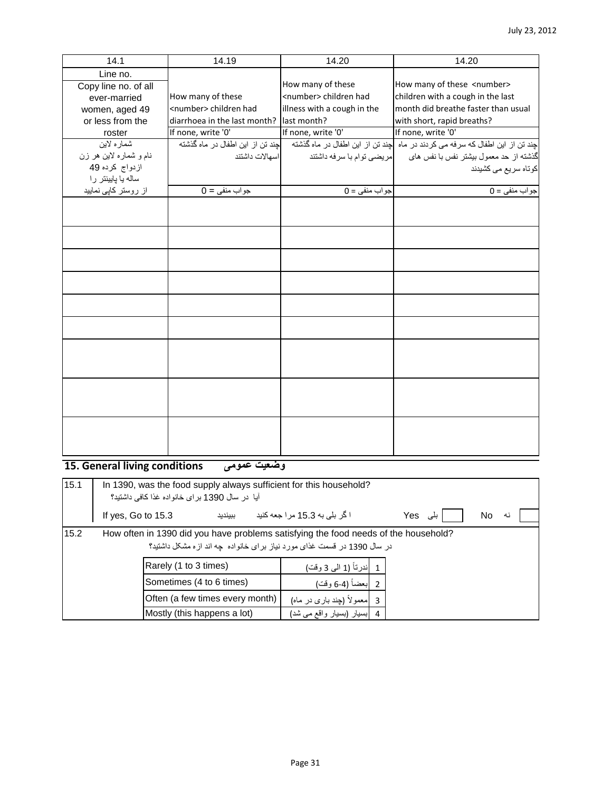| 14.1                   | 14.19                            | 14.20                          | 14.20                                                                        |
|------------------------|----------------------------------|--------------------------------|------------------------------------------------------------------------------|
| Line no.               |                                  |                                |                                                                              |
| Copy line no. of all   |                                  | How many of these              | How many of these <number></number>                                          |
| ever-married           | How many of these                | <number> children had</number> | children with a cough in the last                                            |
| women, aged 49         | <number> children had</number>   | illness with a cough in the    | month did breathe faster than usual                                          |
| or less from the       | diarrhoea in the last month?     | last month?                    | with short, rapid breaths?                                                   |
| roster                 | If none, write '0'               | If none, write '0'             | If none, write '0'                                                           |
| شماره لاين             | چند تن از این اطفال در ماه گذشته |                                | جند تن از این اطفال که سرفه می کردند در ماه حند تن از این اطفال در ماه گذشته |
| نام و شماره لاین هر زن | اسهالات داشتند                   | مريضى توام با سرفه داشتند      | گذشته از حد معمول بیشتر نفس با نفس های                                       |
| ازدواج كرده 49         |                                  |                                | كوتاه سريع مى كشيدند                                                         |
| ساله يا يايينتر را     |                                  |                                |                                                                              |
| از روستر کاپی نمایید   | $0 =$ جواب منفي                  | $0 = 0$ جواب منفی              | $0 = 0$ جو اب منفی                                                           |
|                        |                                  |                                |                                                                              |
|                        |                                  |                                |                                                                              |
|                        |                                  |                                |                                                                              |
|                        |                                  |                                |                                                                              |
|                        |                                  |                                |                                                                              |
|                        |                                  |                                |                                                                              |
|                        |                                  |                                |                                                                              |
|                        |                                  |                                |                                                                              |
|                        |                                  |                                |                                                                              |
|                        |                                  |                                |                                                                              |
|                        |                                  |                                |                                                                              |
|                        |                                  |                                |                                                                              |
|                        |                                  |                                |                                                                              |
|                        |                                  |                                |                                                                              |
|                        |                                  |                                |                                                                              |
|                        |                                  |                                |                                                                              |
|                        |                                  |                                |                                                                              |

**15. General living conditions عمومی وضعیت**

| 15.1 | In 1390, was the food supply always sufficient for this household?<br>آيا  در سال 1390 بر اي خانو اده غذا كافي داشتيد؟                                         |                                                  |         |  |                               |  |         |     |    |  |
|------|----------------------------------------------------------------------------------------------------------------------------------------------------------------|--------------------------------------------------|---------|--|-------------------------------|--|---------|-----|----|--|
|      | If yes, Go to 15.3                                                                                                                                             |                                                  | ببينديد |  | ا گر بلی به 15.3 مرا جعه کنید |  | ہلی Yes | No. | نه |  |
| 15.2 | How often in 1390 did you have problems satisfying the food needs of the household?<br>در سال 1390 در قسمت غذای مورد نیاز برای خانواده چه اند ازه مشکل داشتید؟ |                                                  |         |  |                               |  |         |     |    |  |
|      |                                                                                                                                                                | Rarely (1 to 3 times)<br>1  ندرتاً (1 الى 3 وقت) |         |  |                               |  |         |     |    |  |
|      |                                                                                                                                                                | Sometimes (4 to 6 times)                         |         |  | 2  بعضاً (4-6 وقت)            |  |         |     |    |  |
|      |                                                                                                                                                                | Often (a few times every month)                  |         |  | 3  معمولاً (چند باری در ماه)  |  |         |     |    |  |
|      |                                                                                                                                                                | Mostly (this happens a lot)                      |         |  | 4  بسیار (بسیار واقع می شد)   |  |         |     |    |  |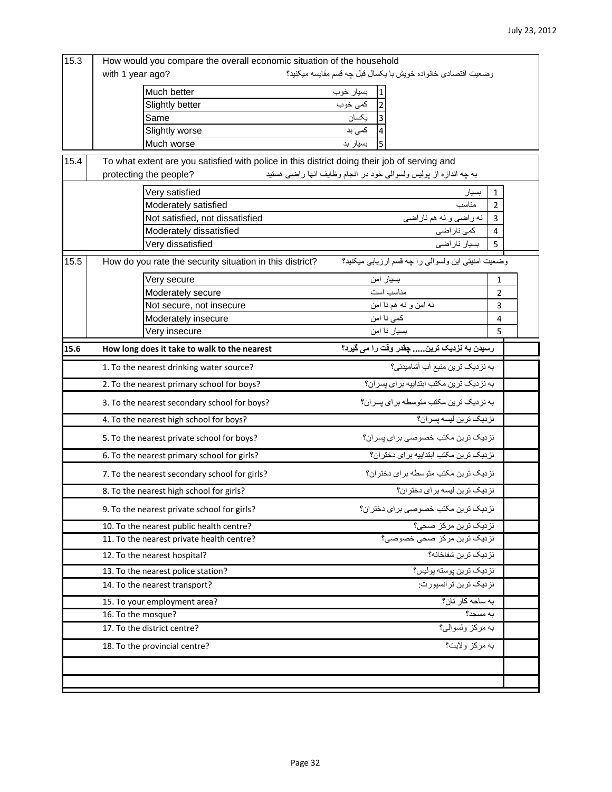| 15.3 | How would you compare the overall economic situation of the household                        |                                                                  |                |
|------|----------------------------------------------------------------------------------------------|------------------------------------------------------------------|----------------|
|      | with 1 year ago?                                                                             | وضعيت اقتصادي خانواده خويش با يكسال قبل جه قسم مقايسه ميكنيد؟    |                |
|      | Much better                                                                                  | بسيار خوب                                                        |                |
|      | Slightly better                                                                              | $\overline{2}$<br>كمى خوب                                        |                |
|      | Same                                                                                         | يكسان                                                            |                |
|      | Slightly worse                                                                               | کمی بد                                                           |                |
|      | Much worse                                                                                   | بسيار بد                                                         |                |
| 15.4 | To what extent are you satisfied with police in this district doing their job of serving and |                                                                  |                |
|      | protecting the people?                                                                       | به چه اندازه از پولیس ولسوالی خود در انجام وظایف انها راضی هستید |                |
|      | Very satisfied                                                                               | بسيار                                                            | $\mathbf{1}$   |
|      | Moderately satisfied                                                                         | مناسب                                                            | $\overline{2}$ |
|      | Not satisfied, not dissatisfied                                                              | نه راضيي و نه هم ناراضي                                          | 3              |
|      | Moderately dissatisfied                                                                      | كمى نار اضى                                                      | $\pmb{4}$      |
|      | Very dissatisfied                                                                            | بسيار ناراضي                                                     | 5              |
| 15.5 | How do you rate the security situation in this district?                                     | وضعيت امنيتي اين ولسوالي را چه قسم ارزيابي ميكنيد؟               |                |
|      | Very secure                                                                                  | بسيار امن                                                        | $\mathbf{1}$   |
|      | Moderately secure                                                                            | مناسب است                                                        | $\overline{2}$ |
|      | Not secure, not insecure                                                                     | نه امن و نه هم نا امن                                            | 3              |
|      | Moderately insecure                                                                          | كمي نا امن                                                       | 4              |
|      | Very insecure                                                                                | بسيار نا امن                                                     | 5              |
| 15.6 | How long does it take to walk to the nearest                                                 | رسیدن به نزدیک ترین چقدر وقت را می گیرد؟                         |                |
|      | 1. To the nearest drinking water source?                                                     | به نزدیک ترین منبع آب آشامیدنی؟                                  |                |
|      | 2. To the nearest primary school for boys?                                                   | به نزدیک ترین مکتب ابتداییه برای پسران؟                          |                |
|      | 3. To the nearest secondary school for boys?                                                 | به نز دیک ترین مکتب متوسطه بر ای پسر ان؟                         |                |
|      | 4. To the nearest high school for boys?                                                      | نزدیک ترین لیسه پسران؟                                           |                |
|      | 5. To the nearest private school for boys?                                                   | نز دیک ترین مکتب خصوصی بر ای پسر ان؟                             |                |
|      | 6. To the nearest primary school for girls?                                                  | نز دیک ترین مکتب ابتداییه بر ای دختر ان؟                         |                |
|      | 7. To the nearest secondary school for girls?                                                | نز دیک تر بن مکتب متوسطه بر ای دختر ان؟                          |                |
|      | 8. To the nearest high school for girls?                                                     | نز دیک تر بن لیسه بر ای دختر ان؟                                 |                |
|      | 9. To the nearest private school for girls?                                                  | نز دیک ترین مکتب خصوصی بر ای دختر ان؟                            |                |
|      | 10. To the nearest public health centre?                                                     | نزدیک ترین مرکز صحی؟                                             |                |
|      | 11. To the nearest private health centre?                                                    | نزديك ترين مركز صحى خصوصى؟                                       |                |
|      | 12. To the nearest hospital?                                                                 | نز دیک ترین شفاخانه؟                                             |                |
|      | 13. To the nearest police station?                                                           | نزدیک ترین پوسته پولیس؟                                          |                |
|      | 14. To the nearest transport?                                                                | نز دیک ترین تر انسپورت:                                          |                |
|      | 15. To your employment area?                                                                 | به ساحه کار تان؟                                                 |                |
|      | 16. To the mosque?                                                                           | به مسجد؟                                                         |                |
|      | 17. To the district centre?                                                                  | به مركز ولسوالي؟                                                 |                |
|      | 18. To the provincial centre?                                                                | به مركز ولايت؟                                                   |                |
|      |                                                                                              |                                                                  |                |
|      |                                                                                              |                                                                  |                |
|      |                                                                                              |                                                                  |                |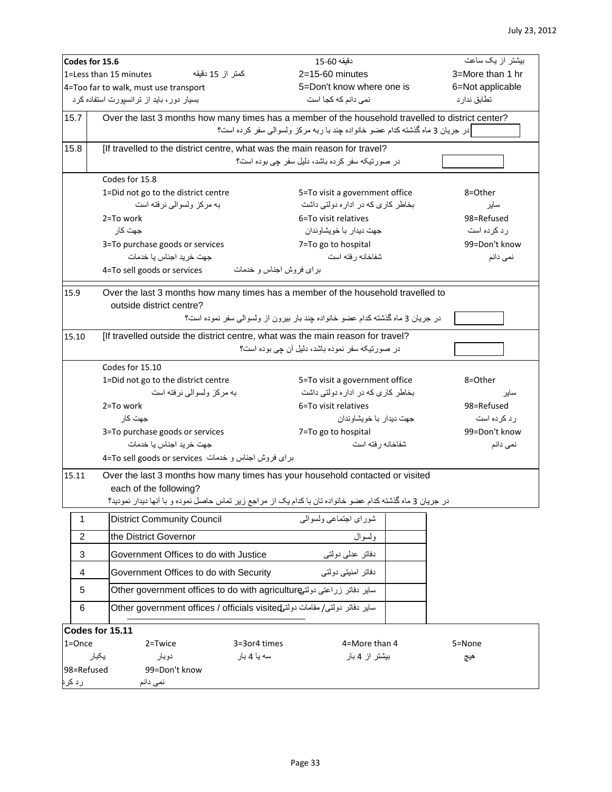|                                       | Codes for 15.6                                                                                            | دقيقه 60-15                                                                   | بیشتر از یک ساعت |  |  |  |  |
|---------------------------------------|-----------------------------------------------------------------------------------------------------------|-------------------------------------------------------------------------------|------------------|--|--|--|--|
|                                       | 1=Less than 15 minutes<br>كمتر از 15 دقيقه                                                                | $2=15-60$ minutes                                                             | 3=More than 1 hr |  |  |  |  |
| 4=Too far to walk, must use transport |                                                                                                           | 5=Don't know where one is                                                     | 6=Not applicable |  |  |  |  |
|                                       | نمی دانم که کجا است<br>بسیار دور، باید از ترانسپورت استفاده کرد                                           |                                                                               | تطابق ندار د     |  |  |  |  |
|                                       |                                                                                                           |                                                                               |                  |  |  |  |  |
| 15.7                                  | Over the last 3 months how many times has a member of the household travelled to district center?         |                                                                               |                  |  |  |  |  |
|                                       | در جريان 3 ماه گذشته كدام عضو خانواده چند با ربه مركز ولسوالي سفر كرده است؟                               |                                                                               |                  |  |  |  |  |
| 15.8                                  | [If travelled to the district centre, what was the main reason for travel?                                |                                                                               |                  |  |  |  |  |
|                                       |                                                                                                           | در صورتیکه سفر کرده باشد، دلیل سفر چی بوده است؟                               |                  |  |  |  |  |
|                                       | Codes for 15.8                                                                                            |                                                                               |                  |  |  |  |  |
|                                       | 1=Did not go to the district centre                                                                       | 5=To visit a government office                                                | 8=Other          |  |  |  |  |
|                                       | به مرکز ولسوالی نرفته است                                                                                 | بخاطر کاری که در اداره دولتی داشت                                             | ساير             |  |  |  |  |
|                                       | 2=To work                                                                                                 | 6=To visit relatives                                                          | 98=Refused       |  |  |  |  |
|                                       | جهت كار                                                                                                   | جهت ديدار با خويشاوندان                                                       | رد کرده است      |  |  |  |  |
|                                       |                                                                                                           |                                                                               | 99=Don't know    |  |  |  |  |
|                                       | 3=To purchase goods or services<br>جهت خريد اجناس يا خدمات                                                | 7=To go to hospital<br>شفاخانه رفته است                                       | نمی دانم         |  |  |  |  |
|                                       |                                                                                                           |                                                                               |                  |  |  |  |  |
|                                       | 4=To sell goods or services                                                                               | برای فروش اجناس و خدمات                                                       |                  |  |  |  |  |
| 15.9                                  | Over the last 3 months how many times has a member of the household travelled to                          |                                                                               |                  |  |  |  |  |
|                                       | outside district centre?                                                                                  |                                                                               |                  |  |  |  |  |
|                                       |                                                                                                           | در جریان 3 ماه گذشته کدام عضو خانواده چند بار بیرون از ولسوالی سفر نموده است؟ |                  |  |  |  |  |
|                                       |                                                                                                           |                                                                               |                  |  |  |  |  |
| 15.10                                 | [If travelled outside the district centre, what was the main reason for travel?                           |                                                                               |                  |  |  |  |  |
|                                       |                                                                                                           | در صورتیکه سفر نموده باشد، دلیل آن جی بوده است؟                               |                  |  |  |  |  |
|                                       | Codes for 15.10                                                                                           |                                                                               |                  |  |  |  |  |
|                                       | 1=Did not go to the district centre                                                                       | 5=To visit a government office                                                | 8=Other          |  |  |  |  |
|                                       | به مرکز ولسوالی نرفته است<br>بخاطر کاری که در اداره دولتی داشت<br>ساير                                    |                                                                               |                  |  |  |  |  |
| 2=To work                             |                                                                                                           | 6=To visit relatives                                                          | 98=Refused       |  |  |  |  |
| جهت كار                               |                                                                                                           | جهت ديدار با خويشاوندان                                                       | رد کرده است      |  |  |  |  |
|                                       | 3=To purchase goods or services                                                                           | 7=To go to hospital                                                           | 99=Don't know    |  |  |  |  |
|                                       | جهت خرید اجناس یا خدمات                                                                                   | شفاخانه رفته است                                                              | نمی دانم         |  |  |  |  |
|                                       | براى فروش اجناس و خدمات 4=To sell goods or services                                                       |                                                                               |                  |  |  |  |  |
|                                       |                                                                                                           |                                                                               |                  |  |  |  |  |
| 15.11                                 | Over the last 3 months how many times has your household contacted or visited                             |                                                                               |                  |  |  |  |  |
|                                       | each of the following?                                                                                    |                                                                               |                  |  |  |  |  |
|                                       | در جريان 3 ماه گذشته كدام عضو خانواده تان با كدام يك از مراجع زير تماس حاصل نموده و با أنها ديدار نموديد؟ |                                                                               |                  |  |  |  |  |
| $\mathbf 1$                           | <b>District Community Council</b>                                                                         | شوراي اجتماعي ولسوالي                                                         |                  |  |  |  |  |
| 2                                     | the District Governor                                                                                     | ولسوال                                                                        |                  |  |  |  |  |
| $\sqrt{3}$                            | Government Offices to do with Justice                                                                     | دفاتر عدلمي دولتبي                                                            |                  |  |  |  |  |
| 4                                     | Government Offices to do with Security                                                                    | دفاتر امنیتی دولتی                                                            |                  |  |  |  |  |
| 5                                     | سایر دفاتر زراعتی دولتے Other government offices to do with agriculture                                   |                                                                               |                  |  |  |  |  |
| 6                                     | ساير دفاتر دولتى/مقامات دولتى Other government offices / officials visited                                |                                                                               |                  |  |  |  |  |
| Codes for 15.11                       |                                                                                                           |                                                                               |                  |  |  |  |  |
| $1 =$ Once                            | 2=Twice                                                                                                   | 4=More than 4<br>3=3or4 times                                                 | 5=None           |  |  |  |  |
|                                       | يكبار<br>دوبار<br>سه یا 4 بار                                                                             | بیشتر از 4 بار                                                                | هيج              |  |  |  |  |
| 98=Refused                            | 99=Don't know                                                                                             |                                                                               |                  |  |  |  |  |
| رد کر                                 | نمی دانم                                                                                                  |                                                                               |                  |  |  |  |  |
|                                       |                                                                                                           |                                                                               |                  |  |  |  |  |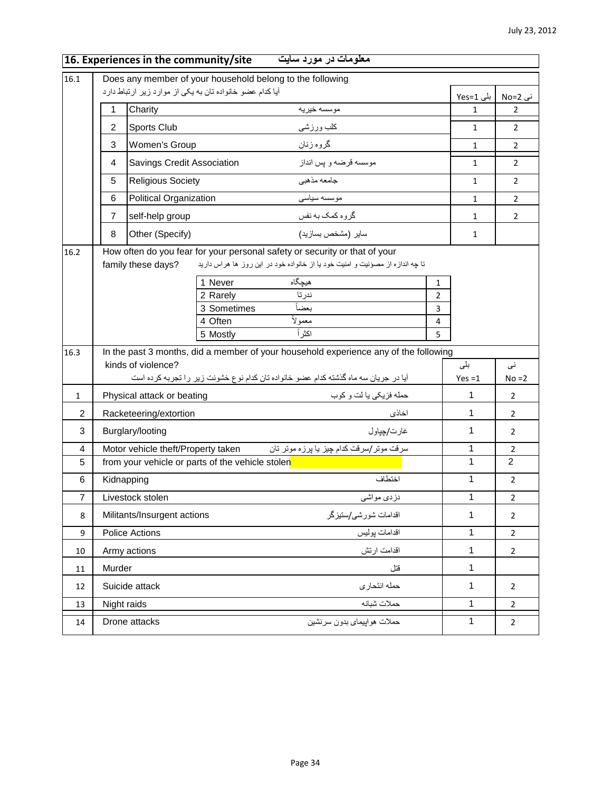|                | 16. Experiences in the community/site                                                                                                                         | معلومات در مورد سایت                                                                                                          |                                                  |              |                     |
|----------------|---------------------------------------------------------------------------------------------------------------------------------------------------------------|-------------------------------------------------------------------------------------------------------------------------------|--------------------------------------------------|--------------|---------------------|
| 16.1           | Does any member of your household belong to the following                                                                                                     |                                                                                                                               |                                                  |              |                     |
|                | أيا كدام عضو خانواده تان به يكي از موارد زير ارتباط دارد                                                                                                      |                                                                                                                               |                                                  | بلی Yes=1    | نی No=2             |
|                | 1<br>Charity                                                                                                                                                  | مو سسه خير په                                                                                                                 |                                                  | $\mathbf{1}$ | $\overline{2}$      |
|                | 2<br>Sports Club                                                                                                                                              | كلب ورزشى                                                                                                                     |                                                  | $\mathbf{1}$ | $\overline{2}$      |
|                | 3<br>Women's Group                                                                                                                                            | گروه زنان                                                                                                                     |                                                  | $\mathbf 1$  | $\overline{2}$      |
|                | Savings Credit Association<br>4                                                                                                                               | موسسه قرضه و پس انداز                                                                                                         |                                                  | $\mathbf{1}$ | $\overline{2}$      |
|                | 5<br><b>Religious Society</b>                                                                                                                                 | جامعه مذهبي                                                                                                                   |                                                  | $\mathbf{1}$ | $\overline{2}$      |
|                | 6<br>Political Organization                                                                                                                                   | موسسه سياسى                                                                                                                   |                                                  | 1            | $\overline{2}$      |
|                | $\overline{7}$<br>self-help group                                                                                                                             | گروه کمک به نفس                                                                                                               |                                                  | $\mathbf{1}$ | $\overline{2}$      |
|                | 8<br>Other (Specify)                                                                                                                                          | سایر (مشخص بسازید)                                                                                                            |                                                  | $\mathbf{1}$ |                     |
| 16.2           | How often do you fear for your personal safety or security or that of your<br>family these days?<br>1 Never<br>2 Rarely<br>3 Sometimes<br>4 Often<br>5 Mostly | تا چه اندازه از مصؤنیت و امنیت خود یا از خانواده خود در این روز ها هراس دارید<br>هيچگاه<br>ندرتا<br>بعضاً<br>معمولأ<br>اكثر أ | 1<br>$\overline{2}$<br>3<br>$\overline{4}$<br>5. |              |                     |
| 16.3           |                                                                                                                                                               | In the past 3 months, did a member of your household experience any of the following                                          |                                                  |              |                     |
|                | kinds of violence?                                                                                                                                            |                                                                                                                               |                                                  | بلی          | نی                  |
|                |                                                                                                                                                               | آیا در جریان سه ماه گذشته کدام عضو خانواده تان کدام نوع خشونت زیر را تجربه کرده است                                           |                                                  | $Yes = 1$    | $No = 2$            |
| $\mathbf{1}$   | Physical attack or beating                                                                                                                                    | حمله فزيكي يا لت و كوب                                                                                                        |                                                  | 1            | $\overline{2}$      |
| $\overline{2}$ | Racketeering/extortion                                                                                                                                        | اخاذى                                                                                                                         |                                                  | 1            | $\overline{2}$      |
| 3              | Burglary/looting                                                                                                                                              | غارت/چپاول                                                                                                                    |                                                  | 1            | $\overline{2}$      |
| 4<br>5         | Motor vehicle theft/Property taken<br>from your vehicle or parts of the vehicle stolen                                                                        | سرقت موتر/سرقت كدام چيز يا پرزه موتر تان                                                                                      |                                                  | 1<br>1       | $\overline{2}$<br>2 |
|                |                                                                                                                                                               | اختطاف                                                                                                                        |                                                  | $\mathbf{1}$ | $\overline{2}$      |
| 6              | Kidnapping                                                                                                                                                    |                                                                                                                               |                                                  |              |                     |
| $\overline{7}$ | Livestock stolen                                                                                                                                              | دز دی مواشی                                                                                                                   |                                                  | 1            | $\overline{2}$      |
| 8              | Militants/Insurgent actions                                                                                                                                   | اقدامات شورشى/ستيزكر                                                                                                          |                                                  | $\mathbf 1$  | $\overline{2}$      |
| 9              | <b>Police Actions</b>                                                                                                                                         | اقدامات پوليس                                                                                                                 |                                                  | 1            | $\overline{2}$      |
| 10             | Army actions                                                                                                                                                  | اقدامت ارتش                                                                                                                   |                                                  | 1            | $\overline{a}$      |
| 11             | Murder                                                                                                                                                        | قتل                                                                                                                           |                                                  | 1            |                     |
| 12             | Suicide attack                                                                                                                                                | حمله انتحارى                                                                                                                  |                                                  | $\mathbf 1$  | $\overline{2}$      |
| 13             | Night raids                                                                                                                                                   | حملات شبانه                                                                                                                   |                                                  | 1            | $\overline{2}$      |
| 14             | Drone attacks                                                                                                                                                 | حملات هوابيماي بدون سرنشين                                                                                                    |                                                  | $\mathbf{1}$ | $\overline{2}$      |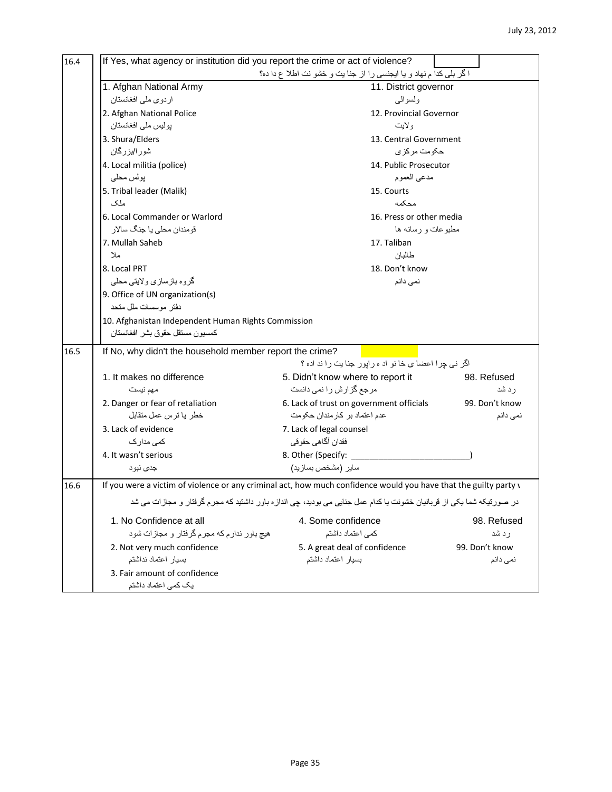| If Yes, what agency or institution did you report the crime or act of violence? |                                                                                                                      |                |  |  |  |  |
|---------------------------------------------------------------------------------|----------------------------------------------------------------------------------------------------------------------|----------------|--|--|--|--|
| ا كَر بلى كدا م نهاد و يا ايجنسى را از جنا يت و خشو نت اطلا ع دا ده؟            |                                                                                                                      |                |  |  |  |  |
| 1. Afghan National Army                                                         | 11. District governor                                                                                                |                |  |  |  |  |
| اردوى ملى افغانستان                                                             | ولسوالبي                                                                                                             |                |  |  |  |  |
| 2. Afghan National Police                                                       | 12. Provincial Governor                                                                                              |                |  |  |  |  |
| پولیس ملی افغانستان                                                             | ولايت                                                                                                                |                |  |  |  |  |
| 3. Shura/Elders                                                                 | 13. Central Government                                                                                               |                |  |  |  |  |
| شور ا/بزرگان                                                                    | حکومت مرکز ی                                                                                                         |                |  |  |  |  |
| 4. Local militia (police)                                                       | 14. Public Prosecutor                                                                                                |                |  |  |  |  |
| پولس محلي                                                                       | مدعي العموم                                                                                                          |                |  |  |  |  |
| 5. Tribal leader (Malik)                                                        | 15. Courts                                                                                                           |                |  |  |  |  |
| ملک                                                                             | محكمه                                                                                                                |                |  |  |  |  |
| 6. Local Commander or Warlord                                                   | 16. Press or other media                                                                                             |                |  |  |  |  |
| قومندان محلي يا جنگ سالار                                                       | مطبوعات و رسانه ها                                                                                                   |                |  |  |  |  |
| 7. Mullah Saheb                                                                 | 17. Taliban                                                                                                          |                |  |  |  |  |
| ملا                                                                             | طالبان                                                                                                               |                |  |  |  |  |
| 8. Local PRT                                                                    | 18. Don't know                                                                                                       |                |  |  |  |  |
| گروه بازسازي ولايتي محلي                                                        | نمی دانم                                                                                                             |                |  |  |  |  |
| 9. Office of UN organization(s)                                                 |                                                                                                                      |                |  |  |  |  |
| دفتر موسسات ملل متحد                                                            |                                                                                                                      |                |  |  |  |  |
|                                                                                 | 10. Afghanistan Independent Human Rights Commission                                                                  |                |  |  |  |  |
| كمسيون مستقل حقوق بشر افغانستان                                                 |                                                                                                                      |                |  |  |  |  |
| If No, why didn't the household member report the crime?                        |                                                                                                                      |                |  |  |  |  |
|                                                                                 | اگر نی چرا اعضا ی خانو اد ه رایور جنایت را ند اده ؟                                                                  |                |  |  |  |  |
| 1. It makes no difference                                                       | 5. Didn't know where to report it                                                                                    | 98. Refused    |  |  |  |  |
| مهم نيست                                                                        | مرجع گزارش را نمی دانست                                                                                              | ر د شد         |  |  |  |  |
| 2. Danger or fear of retaliation                                                | 6. Lack of trust on government officials                                                                             | 99. Don't know |  |  |  |  |
| خطر يا ترس عمل متقابل                                                           | عدم اعتماد بر كار مندان حكومت                                                                                        | نمی دانم       |  |  |  |  |
| 3. Lack of evidence                                                             | 7. Lack of legal counsel                                                                                             |                |  |  |  |  |
| کمی مدارک                                                                       | فقدان أكماهي حقوقي                                                                                                   |                |  |  |  |  |
| 4. It wasn't serious                                                            | 8. Other (Specify:                                                                                                   |                |  |  |  |  |
| جدي نبود                                                                        | سایر (مشخص بسازید)                                                                                                   |                |  |  |  |  |
|                                                                                 | If you were a victim of violence or any criminal act, how much confidence would you have that the guilty party v     |                |  |  |  |  |
|                                                                                 | در صورتیکه شما یکی از قربانیان خشونت یا کدام عمل جنایی می بودید، چی اندازه باور داشتید که مجرم گرفتار و مجازات می شد |                |  |  |  |  |
| 1. No Confidence at all                                                         | 4. Some confidence                                                                                                   | 98. Refused    |  |  |  |  |
| هیچ باور ندارم که مجرم گرفتار و مجازات شود                                      | كمي اعتماد داشتم                                                                                                     | ر د شد         |  |  |  |  |
| 2. Not very much confidence                                                     | 5. A great deal of confidence                                                                                        | 99. Don't know |  |  |  |  |
| بسيار اعتماد نداشتم                                                             | بسيار اعتماد داشتم                                                                                                   | نمی دانم       |  |  |  |  |
| 3. Fair amount of confidence                                                    |                                                                                                                      |                |  |  |  |  |
| یک کمی اعتماد داشتم                                                             |                                                                                                                      |                |  |  |  |  |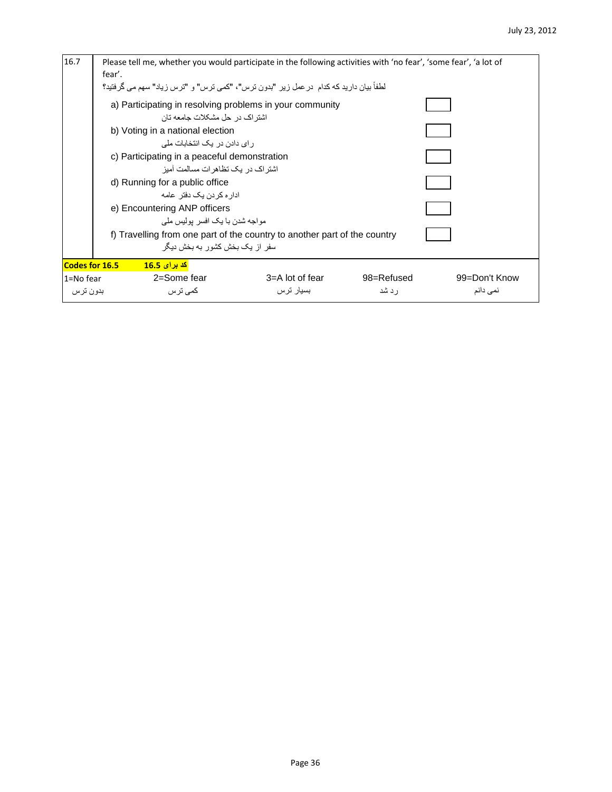| 16.7                                                                                                                                                                                                                                                                                                                   | Please tell me, whether you would participate in the following activities with 'no fear', 'some fear', 'a lot of<br>fear'.<br>لطفاً بيان داريد كه كدام  در عمل زير  "بدون ترس"، "كمى ترس" و  "ترس زياد" سهم مى گرفتيد؟ |                 |            |               |  |  |  |
|------------------------------------------------------------------------------------------------------------------------------------------------------------------------------------------------------------------------------------------------------------------------------------------------------------------------|------------------------------------------------------------------------------------------------------------------------------------------------------------------------------------------------------------------------|-----------------|------------|---------------|--|--|--|
| a) Participating in resolving problems in your community<br>اشتر اک در حل مشکلات جامعه تان<br>b) Voting in a national election<br>ر ای دادن در یک انتخابات ملی<br>c) Participating in a peaceful demonstration<br>اشتر اک در  بک تظاهر ات مسالمت آمبز<br>d) Running for a public office<br>ادار ہ کر دن یک دفتر ِ عامه |                                                                                                                                                                                                                        |                 |            |               |  |  |  |
|                                                                                                                                                                                                                                                                                                                        |                                                                                                                                                                                                                        |                 |            |               |  |  |  |
| Codes for 16.5                                                                                                                                                                                                                                                                                                         | <mark>کد برای 16.5</mark><br>2=Some fear                                                                                                                                                                               | 3=A lot of fear | 98=Refused | 99=Don't Know |  |  |  |
| 1=No fear<br>بدون ترس                                                                                                                                                                                                                                                                                                  | کمے تر س                                                                                                                                                                                                               | بسيار ترس       | ر د شد     | نمی دانم      |  |  |  |